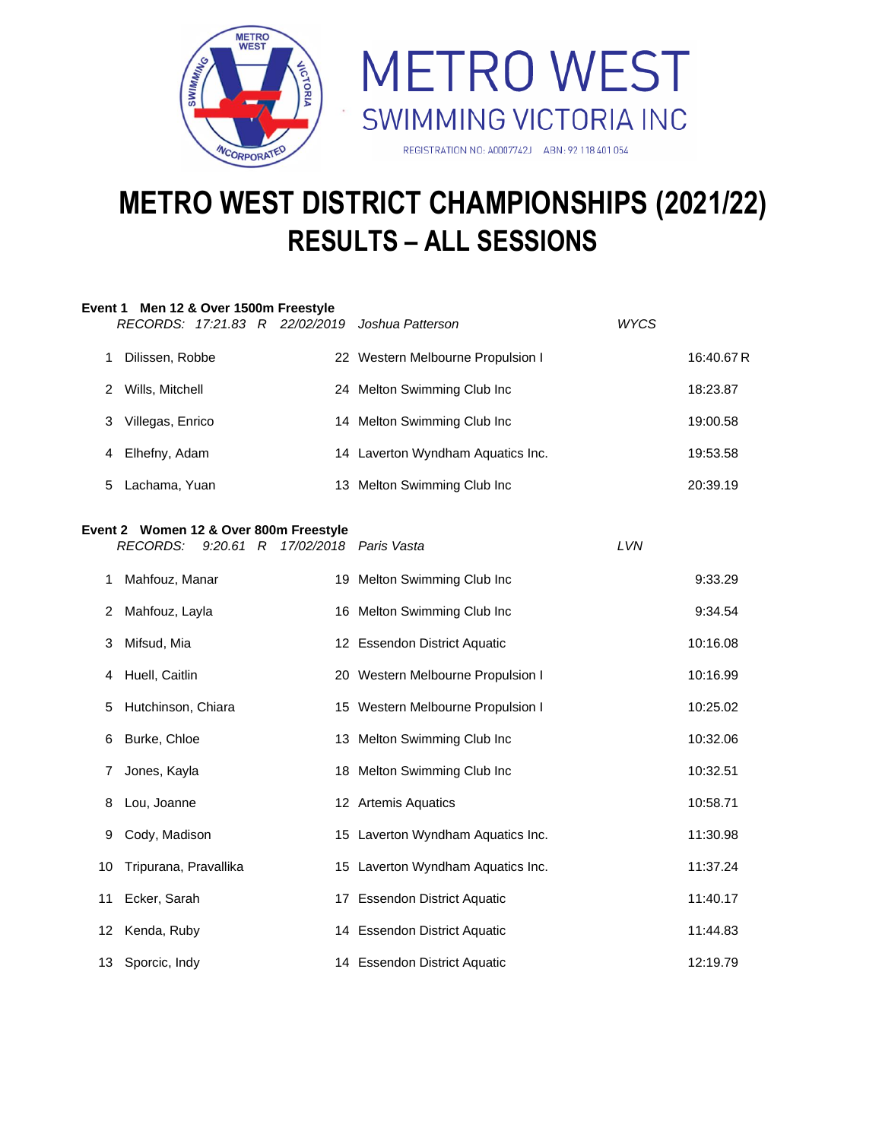



# **METRO WEST DISTRICT CHAMPIONSHIPS (2021/22) RESULTS – ALL SESSIONS**

|    | Event 1 Men 12 & Over 1500m Freestyle<br>RECORDS: 17:21.83 R 22/02/2019 Joshua Patterson |                                   | WYCS |            |
|----|------------------------------------------------------------------------------------------|-----------------------------------|------|------------|
| 1. | Dilissen, Robbe                                                                          | 22 Western Melbourne Propulsion I |      | 16:40.67 R |
| 2  | Wills, Mitchell                                                                          | 24 Melton Swimming Club Inc       |      | 18:23.87   |
| 3  | Villegas, Enrico                                                                         | 14 Melton Swimming Club Inc       |      | 19:00.58   |
| 4  | Elhefny, Adam                                                                            | 14 Laverton Wyndham Aquatics Inc. |      | 19:53.58   |
| 5  | Lachama, Yuan                                                                            | 13 Melton Swimming Club Inc       |      | 20:39.19   |
|    | Event 2 Women 12 & Over 800m Freestyle<br><b>RECORDS:</b><br>$9:20.61$ R                 | 17/02/2018  Paris Vasta           | LVN  |            |
| 1. | Mahfouz, Manar                                                                           | 19 Melton Swimming Club Inc       |      | 9:33.29    |
| 2  | Mahfouz, Layla                                                                           | 16 Melton Swimming Club Inc       |      | 9:34.54    |
| 3. | Mifsud, Mia                                                                              | 12 Essendon District Aquatic      |      | 10:16.08   |
| 4  | Huell, Caitlin                                                                           | 20 Western Melbourne Propulsion I |      | 10:16.99   |
| 5  | Hutchinson, Chiara                                                                       | 15 Western Melbourne Propulsion I |      | 10:25.02   |
| 6  | Burke, Chloe                                                                             | 13 Melton Swimming Club Inc       |      | 10:32.06   |
| 7  | Jones, Kayla                                                                             | 18 Melton Swimming Club Inc       |      | 10:32.51   |
| 8  | Lou, Joanne                                                                              | 12 Artemis Aquatics               |      | 10:58.71   |
| 9  | Cody, Madison                                                                            | 15 Laverton Wyndham Aquatics Inc. |      | 11:30.98   |
| 10 | Tripurana, Pravallika                                                                    | 15 Laverton Wyndham Aquatics Inc. |      | 11:37.24   |
| 11 | Ecker, Sarah                                                                             | 17 Essendon District Aquatic      |      | 11:40.17   |
| 12 | Kenda, Ruby                                                                              | 14 Essendon District Aquatic      |      | 11:44.83   |
|    | 13 Sporcic, Indy                                                                         | 14 Essendon District Aquatic      |      | 12:19.79   |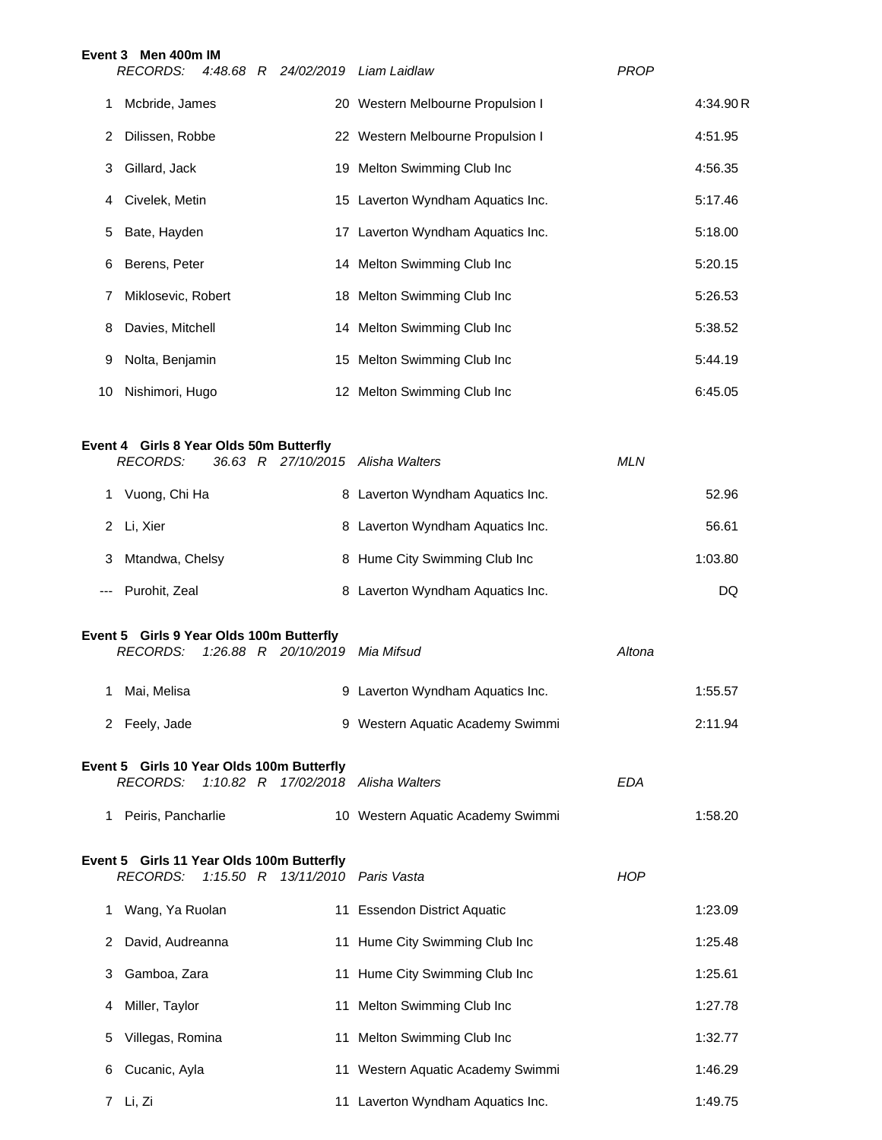|     | Event 3 Men 400m IM<br><b>RECORDS:</b><br>4:48.68 R 24/02/2019 Liam Laidlaw                     |                                   | <b>PROP</b> |
|-----|-------------------------------------------------------------------------------------------------|-----------------------------------|-------------|
| 1   | Mcbride, James                                                                                  | 20 Western Melbourne Propulsion I | 4:34.90R    |
| 2   | Dilissen, Robbe                                                                                 | 22 Western Melbourne Propulsion I | 4:51.95     |
| 3   | Gillard, Jack                                                                                   | 19 Melton Swimming Club Inc       | 4:56.35     |
| 4   | Civelek, Metin                                                                                  | 15 Laverton Wyndham Aquatics Inc. | 5:17.46     |
| 5   | Bate, Hayden                                                                                    | 17 Laverton Wyndham Aquatics Inc. | 5:18.00     |
| 6   | Berens, Peter                                                                                   | 14 Melton Swimming Club Inc       | 5:20.15     |
| 7   | Miklosevic, Robert                                                                              | 18 Melton Swimming Club Inc       | 5:26.53     |
| 8   | Davies, Mitchell                                                                                | 14 Melton Swimming Club Inc       | 5:38.52     |
| 9   | Nolta, Benjamin                                                                                 | 15 Melton Swimming Club Inc       | 5:44.19     |
| 10  | Nishimori, Hugo                                                                                 | 12 Melton Swimming Club Inc       | 6:45.05     |
|     |                                                                                                 |                                   |             |
|     | Event 4 Girls 8 Year Olds 50m Butterfly<br><b>RECORDS:</b><br>36.63 R 27/10/2015 Alisha Walters |                                   | <b>MLN</b>  |
| 1   | Vuong, Chi Ha                                                                                   | 8 Laverton Wyndham Aquatics Inc.  | 52.96       |
| 2   | Li, Xier                                                                                        | 8 Laverton Wyndham Aquatics Inc.  | 56.61       |
| 3   | Mtandwa, Chelsy                                                                                 | 8 Hume City Swimming Club Inc     | 1:03.80     |
| --- | Purohit, Zeal                                                                                   | 8 Laverton Wyndham Aquatics Inc.  | DQ          |
|     |                                                                                                 |                                   |             |
|     | Event 5 Girls 9 Year Olds 100m Butterfly<br><b>RECORDS:</b><br>1:26.88 R 20/10/2019 Mia Mifsud  |                                   | Altona      |
|     | 1 Mai, Melisa                                                                                   | 9 Laverton Wyndham Aquatics Inc.  | 1:55.57     |
|     | 2 Feely, Jade                                                                                   | 9 Western Aquatic Academy Swimmi  | 2:11.94     |
|     | Event 5 Girls 10 Year Olds 100m Butterfly                                                       |                                   |             |
|     | 1:10.82 R 17/02/2018 Alisha Walters<br><i>RECORDS:</i>                                          |                                   | <b>EDA</b>  |
| 1   | Peiris, Pancharlie                                                                              | 10 Western Aquatic Academy Swimmi | 1:58.20     |
|     | Event 5 Girls 11 Year Olds 100m Butterfly                                                       |                                   |             |
|     | 1:15.50 R 13/11/2010 Paris Vasta<br><b>RECORDS:</b>                                             |                                   | <b>HOP</b>  |
| 1.  | Wang, Ya Ruolan                                                                                 | 11 Essendon District Aquatic      | 1:23.09     |
| 2   | David, Audreanna                                                                                | 11 Hume City Swimming Club Inc    | 1:25.48     |
| 3   | Gamboa, Zara                                                                                    | 11 Hume City Swimming Club Inc    | 1:25.61     |
| 4   | Miller, Taylor                                                                                  | 11 Melton Swimming Club Inc       | 1:27.78     |
| 5   | Villegas, Romina                                                                                | 11 Melton Swimming Club Inc       | 1:32.77     |
| 6   | Cucanic, Ayla                                                                                   | 11 Western Aquatic Academy Swimmi | 1:46.29     |
|     | 7 Li, Zi                                                                                        | 11 Laverton Wyndham Aquatics Inc. | 1:49.75     |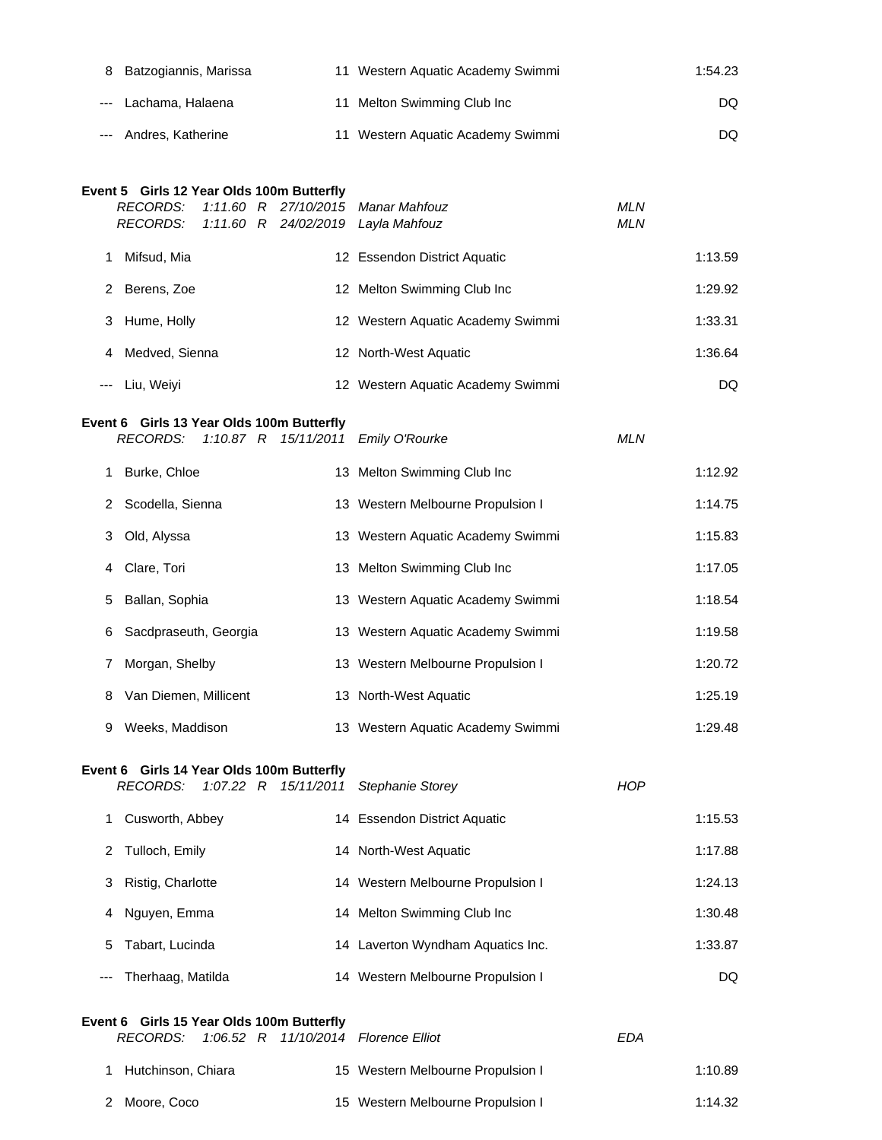| 8 Batzogiannis, Marissa | 11 Western Aquatic Academy Swimmi | 1:54.23 |
|-------------------------|-----------------------------------|---------|
| --- Lachama, Halaena    | 11 Melton Swimming Club Inc       | DQ.     |
| --- Andres, Katherine   | 11 Western Aquatic Academy Swimmi | DQ.     |

## **Event 5 Girls 12 Year Olds 100m Butterfly**

|   | RECORDS:<br>RECORDS: |  | 1:11.60 R 27/10/2015 Manar Mahfouz<br>1:11.60 R 24/02/2019 Layla Mahfouz | <b>MLN</b><br><b>MLN</b> |         |
|---|----------------------|--|--------------------------------------------------------------------------|--------------------------|---------|
|   | Mifsud, Mia          |  | 12 Essendon District Aquatic                                             |                          | 1:13.59 |
|   | 2 Berens, Zoe        |  | 12 Melton Swimming Club Inc                                              |                          | 1:29.92 |
| 3 | Hume, Holly          |  | 12 Western Aquatic Academy Swimmi                                        |                          | 1:33.31 |
| 4 | Medved, Sienna       |  | 12 North-West Aquatic                                                    |                          | 1:36.64 |
|   | --- Liu, Weivi       |  | 12 Western Aquatic Academy Swimmi                                        |                          | DQ      |

#### **Event 6 Girls 13 Year Olds 100m Butterfly**

|   |                         |  | RECORDS: 1:10.87 R 15/11/2011 Emily O'Rourke | <b>MLN</b> |
|---|-------------------------|--|----------------------------------------------|------------|
|   | 1 Burke, Chloe          |  | 13 Melton Swimming Club Inc                  | 1:12.92    |
|   | 2 Scodella, Sienna      |  | 13 Western Melbourne Propulsion I            | 1:14.75    |
|   | 3 Old, Alyssa           |  | 13 Western Aquatic Academy Swimmi            | 1:15.83    |
|   | 4 Clare, Tori           |  | 13 Melton Swimming Club Inc                  | 1:17.05    |
|   | 5 Ballan, Sophia        |  | 13 Western Aquatic Academy Swimmi            | 1:18.54    |
|   | 6 Sacdpraseuth, Georgia |  | 13 Western Aquatic Academy Swimmi            | 1:19.58    |
|   | Morgan, Shelby<br>7     |  | 13 Western Melbourne Propulsion I            | 1:20.72    |
|   | 8 Van Diemen, Millicent |  | 13 North-West Aquatic                        | 1:25.19    |
| 9 | Weeks, Maddison         |  | 13 Western Aquatic Academy Swimmi            | 1:29.48    |

#### **Event 6 Girls 14 Year Olds 100m Butterfly**

|          | RECORDS:          |  | 1:07.22 R 15/11/2011 Stephanie Storey | <b>HOP</b> |         |
|----------|-------------------|--|---------------------------------------|------------|---------|
|          | Cusworth, Abbey   |  | 14 Essendon District Aquatic          |            | 1:15.53 |
|          | 2 Tulloch, Emily  |  | 14 North-West Aquatic                 |            | 1:17.88 |
| 3        | Ristig, Charlotte |  | 14 Western Melbourne Propulsion I     |            | 1:24.13 |
| 4        | Nguyen, Emma      |  | 14 Melton Swimming Club Inc           |            | 1:30.48 |
| 5.       | Tabart, Lucinda   |  | 14 Laverton Wyndham Aquatics Inc.     |            | 1:33.87 |
| $\cdots$ | Therhaag, Matilda |  | 14 Western Melbourne Propulsion I     |            | DQ      |

## **Event 6 Girls 15 Year Olds 100m Butterfly**

|                      |  | RECORDS: 1:06.52 R 11/10/2014 Florence Elliot | FDA |         |
|----------------------|--|-----------------------------------------------|-----|---------|
| 1 Hutchinson, Chiara |  | 15 Western Melbourne Propulsion I             |     | 1:10.89 |
| 2 Moore, Coco        |  | 15 Western Melbourne Propulsion I             |     | 1:14.32 |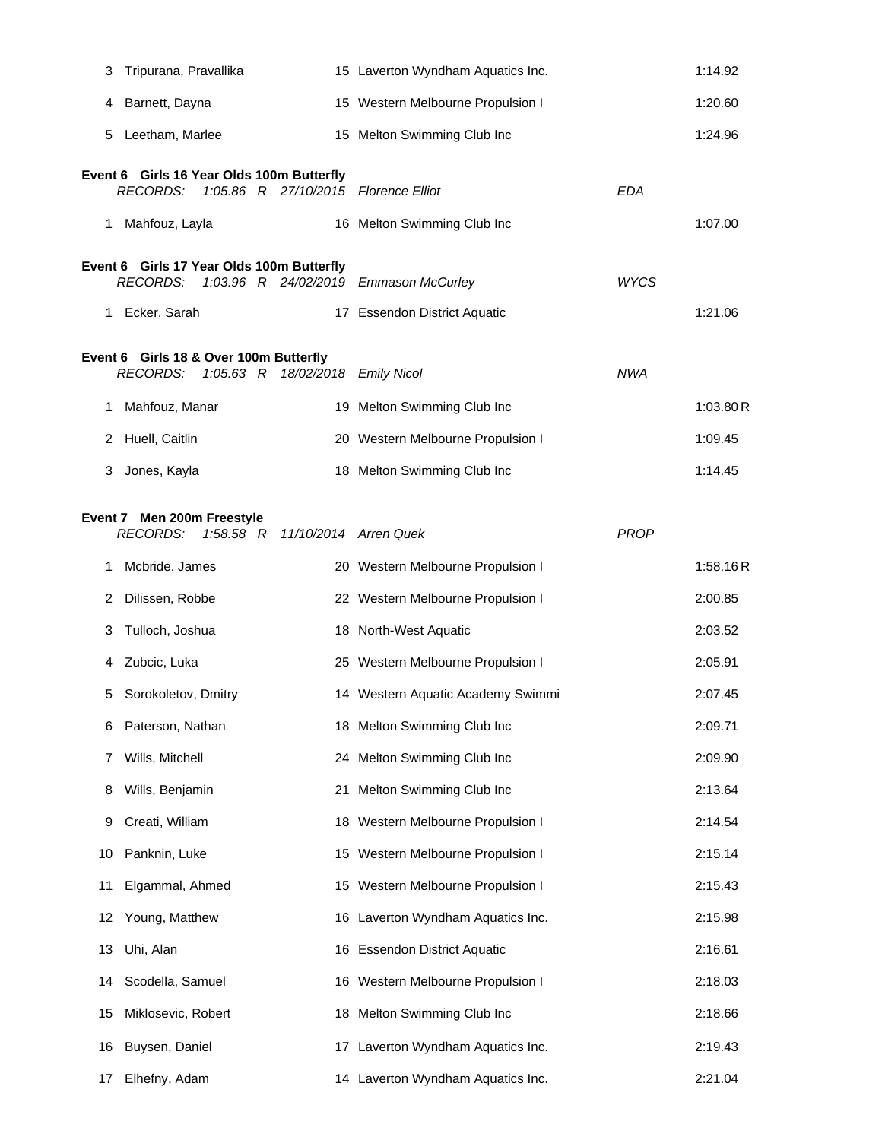| 3  | Tripurana, Pravallika                                                                                | 15 Laverton Wyndham Aquatics Inc.    | 1:14.92   |
|----|------------------------------------------------------------------------------------------------------|--------------------------------------|-----------|
| 4  | Barnett, Dayna                                                                                       | 15 Western Melbourne Propulsion I    | 1:20.60   |
| 5  | Leetham, Marlee                                                                                      | 15 Melton Swimming Club Inc          | 1:24.96   |
|    | Event 6 Girls 16 Year Olds 100m Butterfly<br><b>RECORDS:</b><br>1:05.86 R 27/10/2015 Florence Elliot | EDA                                  |           |
| 1  | Mahfouz, Layla                                                                                       | 16 Melton Swimming Club Inc          | 1:07.00   |
|    | Event 6 Girls 17 Year Olds 100m Butterfly                                                            | <b>WYCS</b>                          |           |
|    | <b>RECORDS:</b><br>1:03.96 R 24/02/2019 Emmason McCurley<br>1 Ecker, Sarah                           | 17 Essendon District Aquatic         | 1:21.06   |
|    |                                                                                                      |                                      |           |
|    | Event 6 Girls 18 & Over 100m Butterfly<br><b>RECORDS:</b><br>$1:05.63$ R                             | 18/02/2018 Emily Nicol<br><b>NWA</b> |           |
| 1. | Mahfouz, Manar                                                                                       | 19 Melton Swimming Club Inc          | 1:03.80 R |
| 2  | Huell, Caitlin                                                                                       | 20 Western Melbourne Propulsion I    | 1:09.45   |
| 3  | Jones, Kayla                                                                                         | 18 Melton Swimming Club Inc          | 1:14.45   |
|    | Event 7 Men 200m Freestyle                                                                           |                                      |           |
|    | <b>RECORDS:</b><br>1:58.58 R 11/10/2014 Arren Quek                                                   | <b>PROP</b>                          |           |
| 1. | Mcbride, James                                                                                       | 20 Western Melbourne Propulsion I    | 1:58.16R  |
| 2  | Dilissen, Robbe                                                                                      | 22 Western Melbourne Propulsion I    | 2:00.85   |
| 3  | Tulloch, Joshua                                                                                      | 18 North-West Aquatic                | 2:03.52   |
| 4  | Zubcic, Luka                                                                                         | 25 Western Melbourne Propulsion I    | 2:05.91   |
| 5  | Sorokoletov, Dmitry                                                                                  | 14 Western Aquatic Academy Swimmi    | 2:07.45   |
| 6  | Paterson, Nathan                                                                                     | 18 Melton Swimming Club Inc          | 2:09.71   |
| 7  | Wills, Mitchell                                                                                      | 24 Melton Swimming Club Inc          | 2:09.90   |
| 8  | Wills, Benjamin                                                                                      | 21 Melton Swimming Club Inc          | 2:13.64   |
| 9  | Creati, William                                                                                      | 18 Western Melbourne Propulsion I    | 2:14.54   |
| 10 | Panknin, Luke<br>15                                                                                  | Western Melbourne Propulsion I       | 2:15.14   |
| 11 | Elgammal, Ahmed                                                                                      | 15 Western Melbourne Propulsion I    | 2:15.43   |
| 12 | Young, Matthew                                                                                       | 16 Laverton Wyndham Aquatics Inc.    | 2:15.98   |
| 13 | Uhi, Alan<br>16                                                                                      | <b>Essendon District Aquatic</b>     | 2:16.61   |
| 14 | Scodella, Samuel                                                                                     | 16 Western Melbourne Propulsion I    | 2:18.03   |
| 15 | Miklosevic, Robert                                                                                   | 18 Melton Swimming Club Inc          | 2:18.66   |
| 16 | Buysen, Daniel                                                                                       | 17 Laverton Wyndham Aquatics Inc.    | 2:19.43   |
| 17 | Elhefny, Adam                                                                                        | 14 Laverton Wyndham Aquatics Inc.    | 2:21.04   |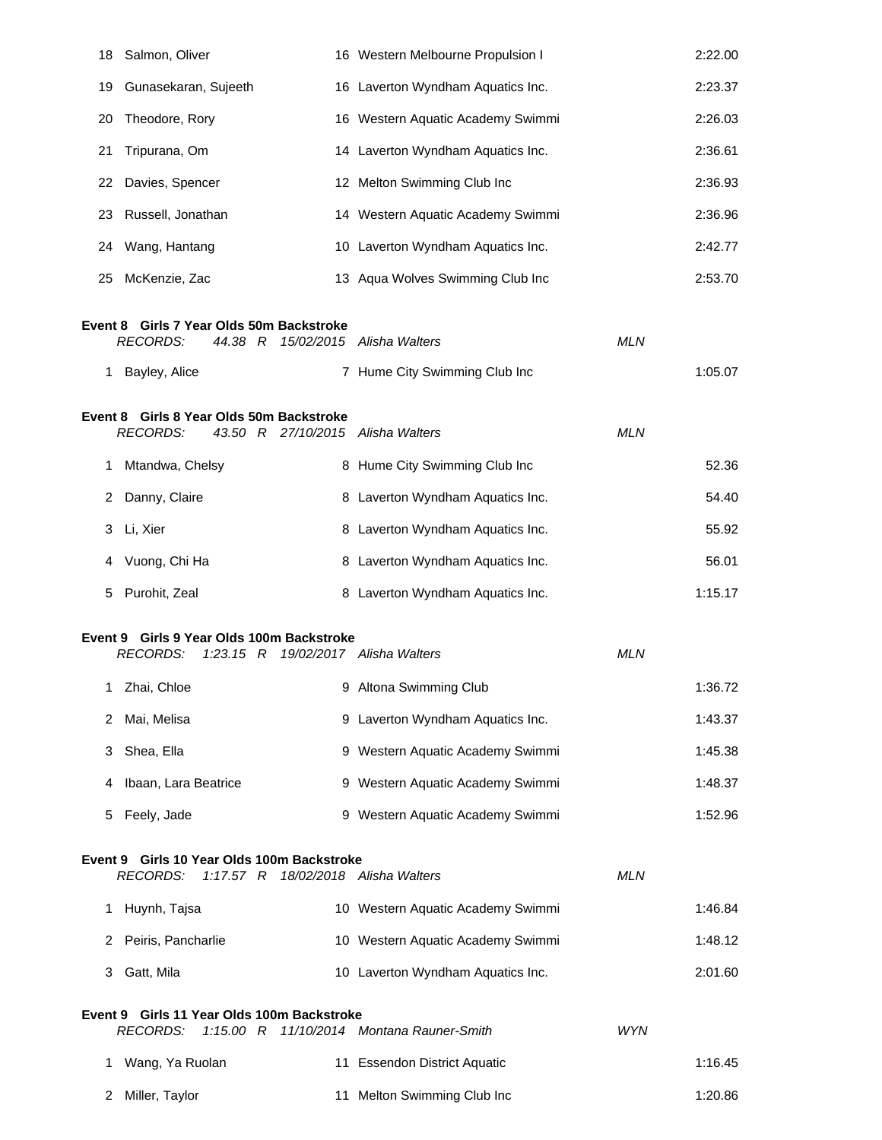| 18 | Salmon, Oliver                                                                                      | 16 Western Melbourne Propulsion I         |            | 2:22.00 |
|----|-----------------------------------------------------------------------------------------------------|-------------------------------------------|------------|---------|
| 19 | Gunasekaran, Sujeeth                                                                                | 16 Laverton Wyndham Aquatics Inc.         |            | 2:23.37 |
| 20 | Theodore, Rory                                                                                      | 16 Western Aquatic Academy Swimmi         |            | 2:26.03 |
| 21 | Tripurana, Om                                                                                       | 14 Laverton Wyndham Aquatics Inc.         |            | 2:36.61 |
|    | 22 Davies, Spencer                                                                                  | 12 Melton Swimming Club Inc               |            | 2:36.93 |
| 23 | Russell, Jonathan                                                                                   | 14 Western Aquatic Academy Swimmi         |            | 2:36.96 |
| 24 | Wang, Hantang                                                                                       | 10 Laverton Wyndham Aquatics Inc.         |            | 2:42.77 |
| 25 | McKenzie, Zac                                                                                       | 13 Aqua Wolves Swimming Club Inc          |            | 2:53.70 |
|    | Event 8 Girls 7 Year Olds 50m Backstroke<br><b>RECORDS:</b><br>44.38 R                              | 15/02/2015 Alisha Walters                 | <b>MLN</b> |         |
| 1. | Bayley, Alice                                                                                       | 7 Hume City Swimming Club Inc             |            | 1:05.07 |
|    | Event 8 Girls 8 Year Olds 50m Backstroke<br><b>RECORDS:</b><br>43.50 R 27/10/2015 Alisha Walters    |                                           | <b>MLN</b> |         |
| 1  | Mtandwa, Chelsy                                                                                     | 8 Hume City Swimming Club Inc             |            | 52.36   |
| 2  | Danny, Claire                                                                                       | 8 Laverton Wyndham Aquatics Inc.          |            | 54.40   |
|    | 3 Li, Xier                                                                                          | 8 Laverton Wyndham Aquatics Inc.          |            | 55.92   |
| 4  | Vuong, Chi Ha                                                                                       | 8 Laverton Wyndham Aquatics Inc.          |            | 56.01   |
| 5  | Purohit, Zeal                                                                                       | 8 Laverton Wyndham Aquatics Inc.          |            | 1:15.17 |
|    | Event 9 Girls 9 Year Olds 100m Backstroke<br><b>RECORDS:</b><br>1:23.15 R 19/02/2017 Alisha Walters |                                           | <b>MLN</b> |         |
|    | 1 Zhai, Chloe                                                                                       | 9 Altona Swimming Club                    |            | 1:36.72 |
| 2  | Mai, Melisa                                                                                         | 9 Laverton Wyndham Aquatics Inc.          |            | 1:43.37 |
| 3  | Shea, Ella                                                                                          | 9 Western Aquatic Academy Swimmi          |            | 1:45.38 |
| 4  | Ibaan, Lara Beatrice                                                                                | 9 Western Aquatic Academy Swimmi          |            | 1:48.37 |
| 5  | Feely, Jade                                                                                         | 9 Western Aquatic Academy Swimmi          |            | 1:52.96 |
|    | Event 9 Girls 10 Year Olds 100m Backstroke<br><b>RECORDS:</b><br>1:17.57 R                          | 18/02/2018 Alisha Walters                 | <b>MLN</b> |         |
|    | 1 Huynh, Tajsa                                                                                      | 10 Western Aquatic Academy Swimmi         |            | 1:46.84 |
| 2  | Peiris, Pancharlie                                                                                  | 10 Western Aquatic Academy Swimmi         |            | 1:48.12 |
| 3  | Gatt, Mila                                                                                          | 10 Laverton Wyndham Aquatics Inc.         |            | 2:01.60 |
|    | Event 9 Girls 11 Year Olds 100m Backstroke<br><b>RECORDS:</b>                                       | 1:15.00 R 11/10/2014 Montana Rauner-Smith | <b>WYN</b> |         |
| 1. | Wang, Ya Ruolan                                                                                     | 11 Essendon District Aquatic              |            | 1:16.45 |
| 2  | Miller, Taylor                                                                                      | 11 Melton Swimming Club Inc               |            | 1:20.86 |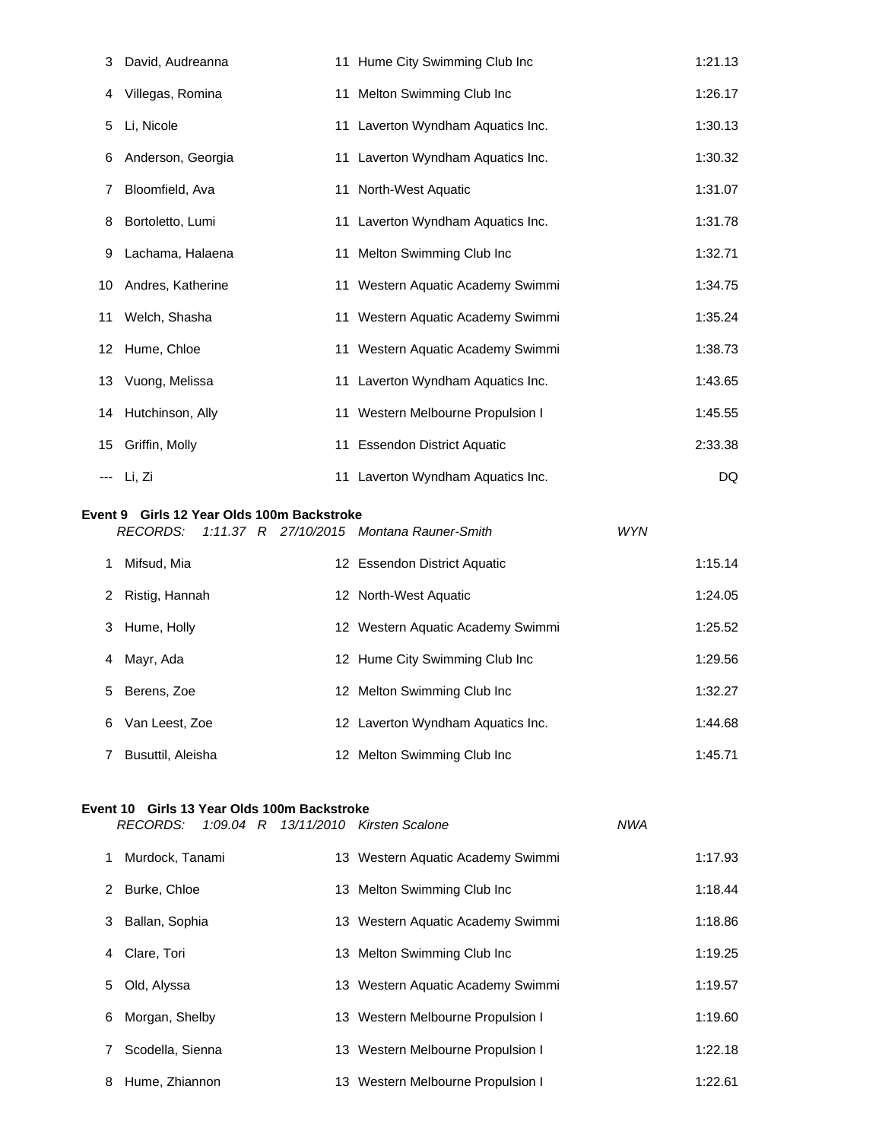|    | 3 David, Audreanna   | 11 Hume City Swimming Club Inc    | 1:21.13 |
|----|----------------------|-----------------------------------|---------|
| 4  | Villegas, Romina     | 11 Melton Swimming Club Inc       | 1:26.17 |
| 5  | Li, Nicole           | 11 Laverton Wyndham Aquatics Inc. | 1:30.13 |
| 6  | Anderson, Georgia    | 11 Laverton Wyndham Aquatics Inc. | 1:30.32 |
| 7  | Bloomfield, Ava      | 11 North-West Aquatic             | 1:31.07 |
|    | 8 Bortoletto, Lumi   | 11 Laverton Wyndham Aquatics Inc. | 1:31.78 |
| 9  | Lachama, Halaena     | 11 Melton Swimming Club Inc       | 1:32.71 |
|    | 10 Andres, Katherine | 11 Western Aquatic Academy Swimmi | 1:34.75 |
|    | 11 Welch, Shasha     | 11 Western Aquatic Academy Swimmi | 1:35.24 |
|    | 12 Hume, Chloe       | 11 Western Aquatic Academy Swimmi | 1:38.73 |
|    | 13 Vuong, Melissa    | 11 Laverton Wyndham Aquatics Inc. | 1:43.65 |
|    | 14 Hutchinson, Ally  | 11 Western Melbourne Propulsion I | 1:45.55 |
| 15 | Griffin, Molly       | 11 Essendon District Aquatic      | 2:33.38 |
|    | --- Li, Zi           | 11 Laverton Wyndham Aquatics Inc. | DQ      |
|    |                      |                                   |         |

#### **Event 9 Girls 12 Year Olds 100m Backstroke**

|   | RECORDS:          |  | 1:11.37 R 27/10/2015 Montana Rauner-Smith | <b>WYN</b> |         |
|---|-------------------|--|-------------------------------------------|------------|---------|
|   | Mifsud, Mia       |  | 12 Essendon District Aquatic              |            | 1:15.14 |
| 2 | Ristig, Hannah    |  | 12 North-West Aquatic                     |            | 1:24.05 |
| 3 | Hume, Holly       |  | 12 Western Aquatic Academy Swimmi         |            | 1:25.52 |
| 4 | Mayr, Ada         |  | 12 Hume City Swimming Club Inc            |            | 1:29.56 |
| 5 | Berens, Zoe       |  | 12 Melton Swimming Club Inc               |            | 1:32.27 |
| 6 | Van Leest, Zoe    |  | 12 Laverton Wyndham Aquatics Inc.         |            | 1:44.68 |
|   | Busuttil, Aleisha |  | 12 Melton Swimming Club Inc               |            | 1:45.71 |

## **Event 10 Girls 13 Year Olds 100m Backstroke**

|   | 1:09.04 R 13/11/2010 Kirsten Scalone<br>RECORDS: |                                   | <b>NWA</b> |
|---|--------------------------------------------------|-----------------------------------|------------|
|   | Murdock, Tanami                                  | 13 Western Aquatic Academy Swimmi | 1:17.93    |
|   | 2 Burke, Chloe                                   | 13 Melton Swimming Club Inc       | 1:18.44    |
|   | 3 Ballan, Sophia                                 | 13 Western Aquatic Academy Swimmi | 1:18.86    |
| 4 | Clare, Tori                                      | 13 Melton Swimming Club Inc       | 1:19.25    |
| 5 | Old, Alyssa                                      | 13 Western Aquatic Academy Swimmi | 1:19.57    |
|   | 6 Morgan, Shelby                                 | 13 Western Melbourne Propulsion I | 1:19.60    |
|   | Scodella, Sienna                                 | 13 Western Melbourne Propulsion I | 1:22.18    |
|   | 8 Hume, Zhiannon                                 | 13 Western Melbourne Propulsion I | 1:22.61    |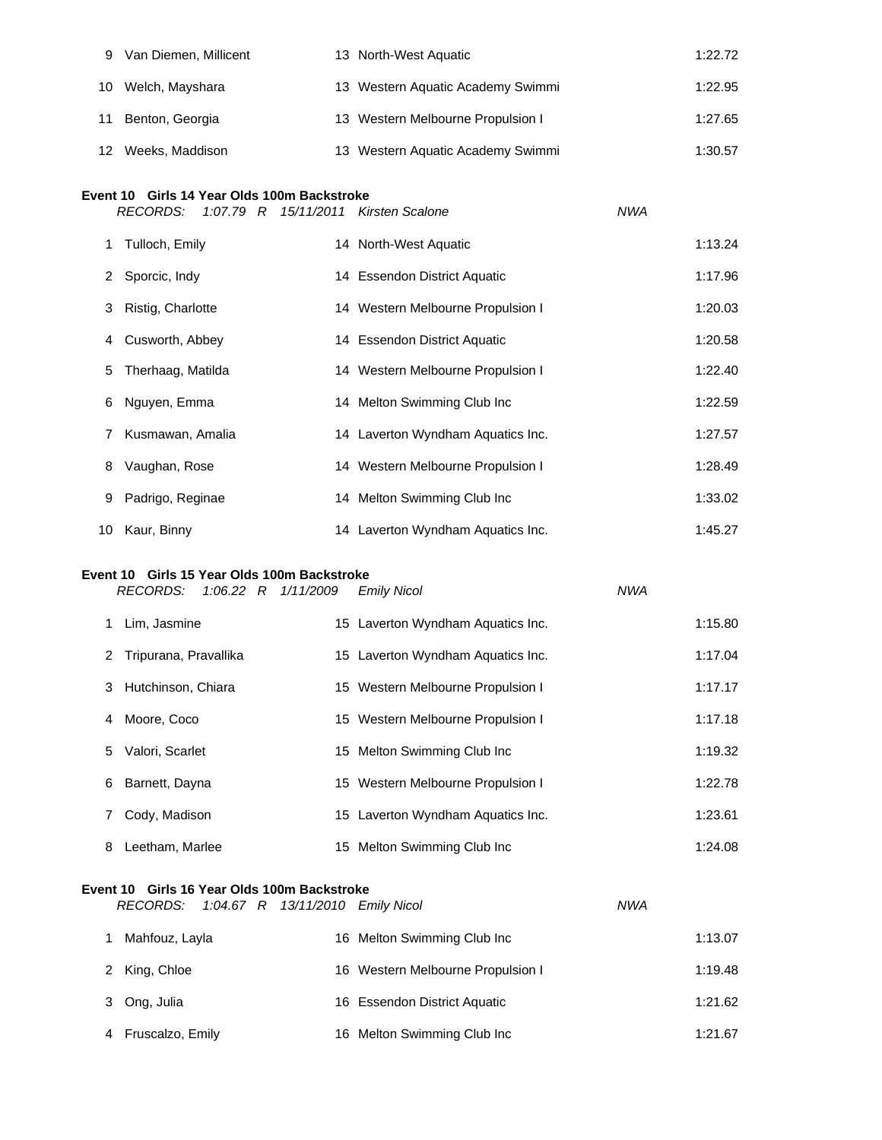| 9                                                                                                             | Van Diemen, Millicent |  | 13 North-West Aquatic             |  | 1:22.72 |  |  |
|---------------------------------------------------------------------------------------------------------------|-----------------------|--|-----------------------------------|--|---------|--|--|
| 10                                                                                                            | Welch, Mayshara       |  | 13 Western Aquatic Academy Swimmi |  | 1:22.95 |  |  |
| 11                                                                                                            | Benton, Georgia       |  | 13 Western Melbourne Propulsion I |  | 1:27.65 |  |  |
| 12                                                                                                            | Weeks, Maddison       |  | 13 Western Aquatic Academy Swimmi |  | 1:30.57 |  |  |
| Event 10 Girls 14 Year Olds 100m Backstroke<br><b>NWA</b><br>RECORDS:<br>1:07.79 R 15/11/2011 Kirsten Scalone |                       |  |                                   |  |         |  |  |
| 1.                                                                                                            | Tulloch, Emily        |  | 14 North-West Aquatic             |  | 1:13.24 |  |  |
| 2                                                                                                             | Sporcic, Indy         |  | 14 Essendon District Aquatic      |  | 1:17.96 |  |  |
| 3                                                                                                             | Ristig, Charlotte     |  | 14 Western Melbourne Propulsion I |  | 1:20.03 |  |  |
| 4                                                                                                             | Cusworth, Abbey       |  | 14 Essendon District Aquatic      |  | 1:20.58 |  |  |
| 5                                                                                                             | Therhaag, Matilda     |  | 14 Western Melbourne Propulsion I |  | 1:22.40 |  |  |
| 6                                                                                                             | Nguyen, Emma          |  | 14 Melton Swimming Club Inc       |  | 1:22.59 |  |  |
| 7                                                                                                             | Kusmawan, Amalia      |  | 14 Laverton Wyndham Aquatics Inc. |  | 1:27.57 |  |  |

| 7 | Kusmawan, Amalia   | 14 Laverton Wyndham Aquatics Inc. | 1:27.57 |
|---|--------------------|-----------------------------------|---------|
| 8 | Vaughan, Rose      | 14 Western Melbourne Propulsion I | 1:28.49 |
|   | 9 Padrigo, Reginae | 14 Melton Swimming Club Inc       | 1:33.02 |
|   | 10 Kaur, Binny     | 14 Laverton Wyndham Aquatics Inc. | 1:45.27 |

## **Event 10 Girls 15 Year Olds 100m Backstroke**

|    | RECORDS:                |  | 1:06.22 R 1/11/2009 | <b>Emily Nicol</b>                | <b>NWA</b> |         |
|----|-------------------------|--|---------------------|-----------------------------------|------------|---------|
| 1. | Lim, Jasmine            |  |                     | 15 Laverton Wyndham Aquatics Inc. |            | 1:15.80 |
|    | 2 Tripurana, Pravallika |  |                     | 15 Laverton Wyndham Aquatics Inc. |            | 1:17.04 |
|    | 3 Hutchinson, Chiara    |  |                     | 15 Western Melbourne Propulsion I |            | 1:17.17 |
| 4  | Moore, Coco             |  |                     | 15 Western Melbourne Propulsion I |            | 1:17.18 |
|    | 5 Valori, Scarlet       |  |                     | 15 Melton Swimming Club Inc       |            | 1:19.32 |
| 6  | Barnett, Dayna          |  |                     | 15 Western Melbourne Propulsion I |            | 1:22.78 |
| 7  | Cody, Madison           |  |                     | 15 Laverton Wyndham Aquatics Inc. |            | 1:23.61 |
| 8  | Leetham, Marlee         |  |                     | 15 Melton Swimming Club Inc       |            | 1:24.08 |

## **Event 10 Girls 16 Year Olds 100m Backstroke**

| RECORDS:           |  | 1:04.67 R 13/11/2010 Emily Nicol |                                   | NWA |         |
|--------------------|--|----------------------------------|-----------------------------------|-----|---------|
| Mahfouz, Layla     |  |                                  | 16 Melton Swimming Club Inc       |     | 1:13.07 |
| 2 King, Chloe      |  |                                  | 16 Western Melbourne Propulsion I |     | 1:19.48 |
| 3 Ong, Julia       |  |                                  | 16 Essendon District Aquatic      |     | 1:21.62 |
| 4 Fruscalzo, Emily |  |                                  | 16 Melton Swimming Club Inc       |     | 1:21.67 |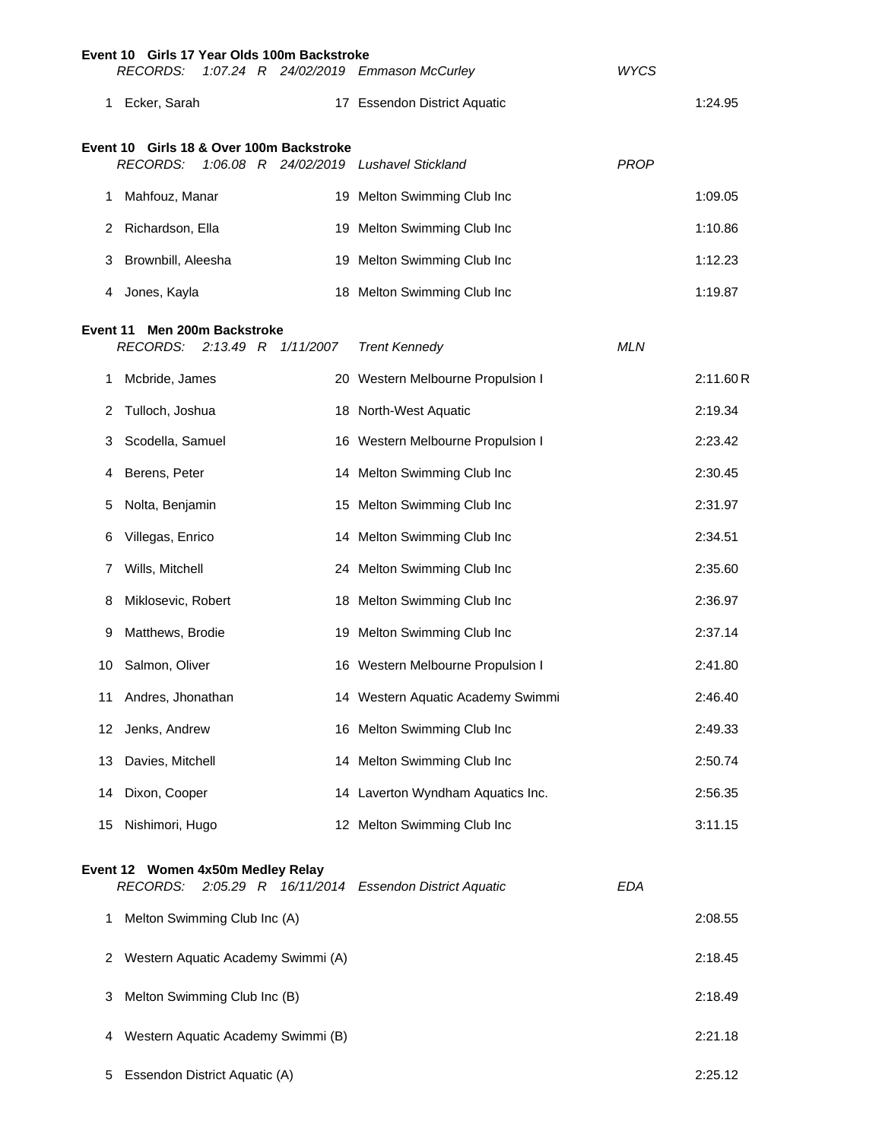|          | Event 10 Girls 17 Year Olds 100m Backstroke          |                                    |           |                                                |             |          |
|----------|------------------------------------------------------|------------------------------------|-----------|------------------------------------------------|-------------|----------|
|          | <b>RECORDS:</b>                                      |                                    |           | 1:07.24 R 24/02/2019 Emmason McCurley          | <b>WYCS</b> |          |
| 1.       | Ecker, Sarah                                         |                                    |           | 17 Essendon District Aquatic                   |             | 1:24.95  |
|          | Event 10 Girls 18 & Over 100m Backstroke             |                                    |           |                                                |             |          |
|          | <b>RECORDS:</b>                                      |                                    |           | 1:06.08 R 24/02/2019 Lushavel Stickland        | <b>PROP</b> |          |
| 1.       | Mahfouz, Manar                                       |                                    |           | 19 Melton Swimming Club Inc                    |             | 1:09.05  |
| 2        | Richardson, Ella                                     |                                    |           | 19 Melton Swimming Club Inc                    |             | 1:10.86  |
| 3.       | Brownbill, Aleesha                                   |                                    |           | 19 Melton Swimming Club Inc                    |             | 1:12.23  |
| 4        | Jones, Kayla                                         |                                    |           | 18 Melton Swimming Club Inc                    |             | 1:19.87  |
| Event 11 | <b>RECORDS:</b>                                      | Men 200m Backstroke<br>$2:13.49$ R | 1/11/2007 | <b>Trent Kennedy</b>                           | <b>MLN</b>  |          |
| 1.       | Mcbride, James                                       |                                    |           | 20 Western Melbourne Propulsion I              |             | 2:11.60R |
| 2        | Tulloch, Joshua                                      |                                    |           | 18 North-West Aquatic                          |             | 2:19.34  |
| 3.       | Scodella, Samuel                                     |                                    |           | 16 Western Melbourne Propulsion I              |             | 2:23.42  |
| 4        | Berens, Peter                                        |                                    |           | 14 Melton Swimming Club Inc                    |             | 2:30.45  |
| 5        | Nolta, Benjamin                                      |                                    |           | 15 Melton Swimming Club Inc                    |             | 2:31.97  |
| 6        | Villegas, Enrico                                     |                                    |           | 14 Melton Swimming Club Inc                    |             | 2:34.51  |
| 7        | Wills, Mitchell                                      |                                    |           | 24 Melton Swimming Club Inc                    |             | 2:35.60  |
| 8        | Miklosevic, Robert                                   |                                    |           | 18 Melton Swimming Club Inc                    |             | 2:36.97  |
| 9        | Matthews, Brodie                                     |                                    |           | 19 Melton Swimming Club Inc                    |             | 2:37.14  |
| 10       | Salmon, Oliver                                       |                                    |           | 16 Western Melbourne Propulsion I              |             | 2:41.80  |
|          | Andres, Jhonathan                                    |                                    |           | 14 Western Aquatic Academy Swimmi              |             | 2:46.40  |
| 12       | Jenks, Andrew                                        |                                    |           | 16 Melton Swimming Club Inc                    |             | 2:49.33  |
| 13       | Davies, Mitchell                                     |                                    |           | 14 Melton Swimming Club Inc                    |             | 2:50.74  |
| 14       | Dixon, Cooper                                        |                                    |           | 14 Laverton Wyndham Aquatics Inc.              |             | 2:56.35  |
| 15       | Nishimori, Hugo                                      |                                    |           | 12 Melton Swimming Club Inc                    |             | 3:11.15  |
|          | Event 12 Women 4x50m Medley Relay<br><b>RECORDS:</b> |                                    |           | 2:05.29 R 16/11/2014 Essendon District Aquatic | <b>EDA</b>  |          |
| 1        | Melton Swimming Club Inc (A)                         |                                    |           |                                                |             | 2:08.55  |
| 2        | Western Aquatic Academy Swimmi (A)                   |                                    |           |                                                |             | 2:18.45  |
| 3        | Melton Swimming Club Inc (B)                         |                                    |           |                                                |             | 2:18.49  |
| 4        | Western Aquatic Academy Swimmi (B)                   |                                    |           |                                                |             | 2:21.18  |
| 5        | Essendon District Aquatic (A)                        |                                    |           |                                                |             | 2:25.12  |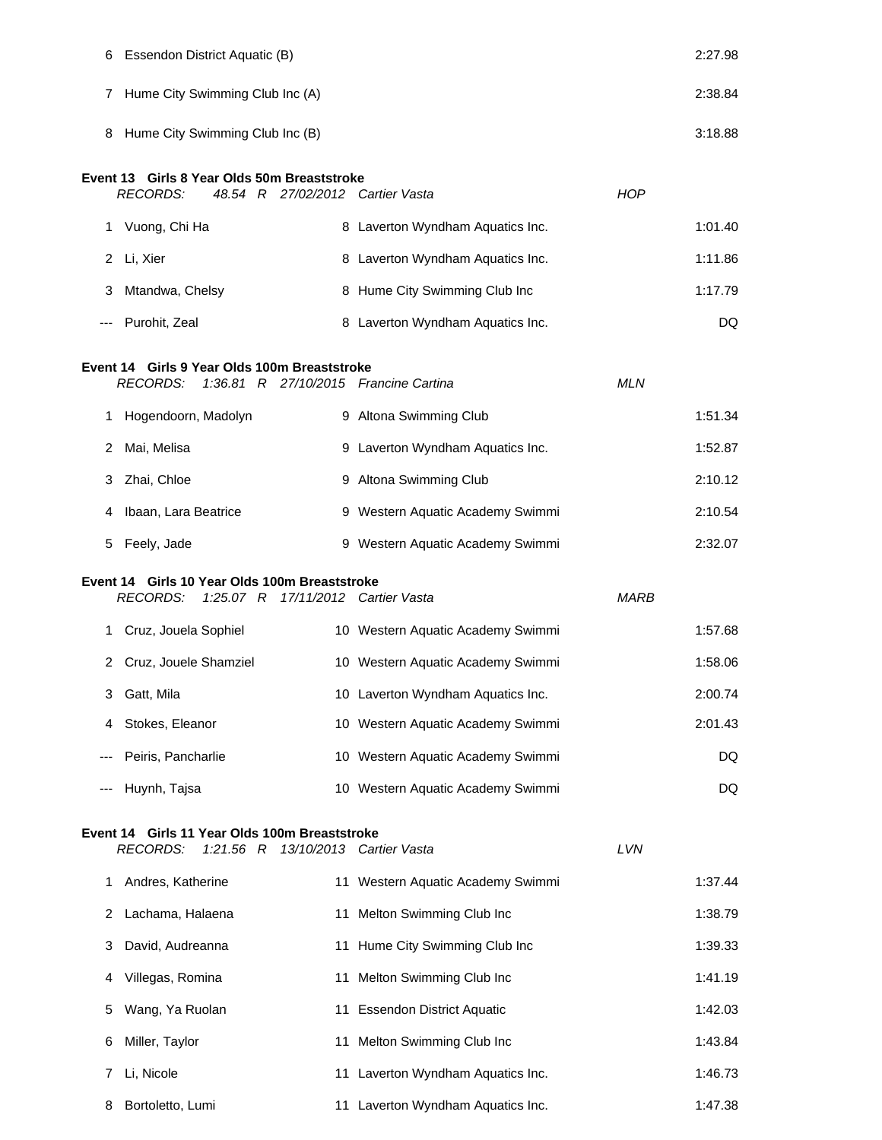| 6               | Essendon District Aquatic (B)                                                                            |                                   | 2:27.98     |
|-----------------|----------------------------------------------------------------------------------------------------------|-----------------------------------|-------------|
| $7\phantom{.0}$ | Hume City Swimming Club Inc (A)                                                                          |                                   | 2:38.84     |
|                 | 8 Hume City Swimming Club Inc (B)                                                                        |                                   | 3:18.88     |
|                 | Event 13 Girls 8 Year Olds 50m Breaststroke<br><b>RECORDS:</b><br>48.54 R 27/02/2012 Cartier Vasta       |                                   | <b>HOP</b>  |
|                 | 1 Vuong, Chi Ha                                                                                          | 8 Laverton Wyndham Aquatics Inc.  | 1:01.40     |
|                 | 2 Li, Xier                                                                                               | 8 Laverton Wyndham Aquatics Inc.  | 1:11.86     |
| 3               | Mtandwa, Chelsy                                                                                          | 8 Hume City Swimming Club Inc     | 1:17.79     |
|                 | Purohit, Zeal                                                                                            | 8 Laverton Wyndham Aquatics Inc.  | DQ          |
|                 | Event 14 Girls 9 Year Olds 100m Breaststroke<br><b>RECORDS:</b><br>1:36.81 R 27/10/2015 Francine Cartina |                                   | <b>MLN</b>  |
| 1.              | Hogendoorn, Madolyn                                                                                      | 9 Altona Swimming Club            | 1:51.34     |
| 2               | Mai, Melisa                                                                                              | 9 Laverton Wyndham Aquatics Inc.  | 1:52.87     |
| 3               | Zhai, Chloe                                                                                              | 9 Altona Swimming Club            | 2:10.12     |
| 4               | Ibaan, Lara Beatrice                                                                                     | 9 Western Aquatic Academy Swimmi  | 2:10.54     |
| 5               | Feely, Jade                                                                                              | 9 Western Aquatic Academy Swimmi  | 2:32.07     |
|                 | Event 14 Girls 10 Year Olds 100m Breaststroke<br><b>RECORDS:</b><br>$1:25.07$ R                          | 17/11/2012 Cartier Vasta          | <b>MARB</b> |
| 1.              | Cruz, Jouela Sophiel                                                                                     | 10 Western Aquatic Academy Swimmi | 1:57.68     |
|                 |                                                                                                          |                                   |             |
|                 | 2 Cruz, Jouele Shamziel                                                                                  | 10 Western Aquatic Academy Swimmi | 1:58.06     |
| 3               | Gatt, Mila                                                                                               | 10 Laverton Wyndham Aquatics Inc. | 2:00.74     |
| 4               | Stokes, Eleanor                                                                                          | 10 Western Aquatic Academy Swimmi | 2:01.43     |
|                 | Peiris, Pancharlie                                                                                       | 10 Western Aquatic Academy Swimmi | DQ          |
|                 | Huynh, Tajsa                                                                                             | 10 Western Aquatic Academy Swimmi | DQ          |
|                 | Event 14 Girls 11 Year Olds 100m Breaststroke<br><b>RECORDS:</b><br>$1:21.56$ R                          | 13/10/2013 Cartier Vasta          | LVN         |
| 1               | Andres, Katherine                                                                                        | 11 Western Aquatic Academy Swimmi | 1:37.44     |
| 2               | Lachama, Halaena                                                                                         | 11 Melton Swimming Club Inc       | 1:38.79     |
| 3               | David, Audreanna                                                                                         | 11 Hume City Swimming Club Inc    | 1:39.33     |
| 4               | Villegas, Romina                                                                                         | 11 Melton Swimming Club Inc       | 1:41.19     |
| 5               | Wang, Ya Ruolan                                                                                          | 11 Essendon District Aquatic      | 1:42.03     |
| 6               | Miller, Taylor                                                                                           | 11 Melton Swimming Club Inc       | 1:43.84     |
| 7               | Li, Nicole                                                                                               | 11 Laverton Wyndham Aquatics Inc. | 1:46.73     |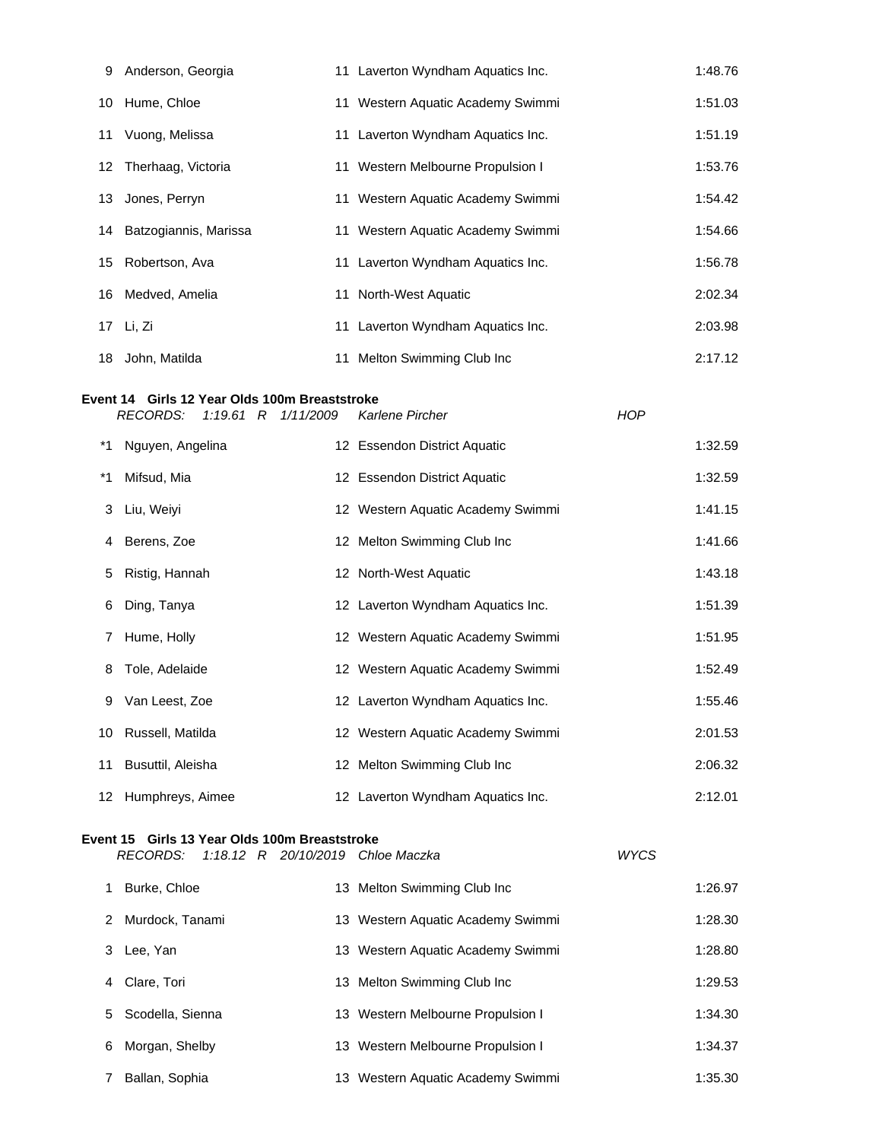| 9                                                                                                                             | Anderson, Georgia                                                                                     |  | 11 Laverton Wyndham Aquatics Inc. |             | 1:48.76 |  |
|-------------------------------------------------------------------------------------------------------------------------------|-------------------------------------------------------------------------------------------------------|--|-----------------------------------|-------------|---------|--|
| 10                                                                                                                            | Hume, Chloe                                                                                           |  | 11 Western Aquatic Academy Swimmi |             | 1:51.03 |  |
| 11                                                                                                                            | Vuong, Melissa                                                                                        |  | 11 Laverton Wyndham Aquatics Inc. |             | 1:51.19 |  |
| 12                                                                                                                            | Therhaag, Victoria                                                                                    |  | 11 Western Melbourne Propulsion I |             | 1:53.76 |  |
| 13                                                                                                                            | Jones, Perryn                                                                                         |  | 11 Western Aquatic Academy Swimmi |             | 1:54.42 |  |
| 14                                                                                                                            | Batzogiannis, Marissa                                                                                 |  | 11 Western Aquatic Academy Swimmi |             | 1:54.66 |  |
| 15                                                                                                                            | Robertson, Ava                                                                                        |  | 11 Laverton Wyndham Aquatics Inc. |             | 1:56.78 |  |
| 16                                                                                                                            | Medved, Amelia                                                                                        |  | 11 North-West Aquatic             |             | 2:02.34 |  |
| 17                                                                                                                            | Li, Zi                                                                                                |  | 11 Laverton Wyndham Aquatics Inc. |             | 2:03.98 |  |
| 18                                                                                                                            | John, Matilda                                                                                         |  | 11 Melton Swimming Club Inc       |             | 2:17.12 |  |
| Event 14 Girls 12 Year Olds 100m Breaststroke<br><b>RECORDS:</b><br>$1:19.61$ R<br>Karlene Pircher<br><b>HOP</b><br>1/11/2009 |                                                                                                       |  |                                   |             |         |  |
| *1                                                                                                                            | Nguyen, Angelina                                                                                      |  | 12 Essendon District Aquatic      |             | 1:32.59 |  |
| *1                                                                                                                            | Mifsud, Mia                                                                                           |  | 12 Essendon District Aquatic      |             | 1:32.59 |  |
| 3                                                                                                                             | Liu, Weiyi                                                                                            |  | 12 Western Aquatic Academy Swimmi |             | 1:41.15 |  |
| 4                                                                                                                             | Berens, Zoe                                                                                           |  | 12 Melton Swimming Club Inc       |             | 1:41.66 |  |
| 5                                                                                                                             | Ristig, Hannah                                                                                        |  | 12 North-West Aquatic             |             | 1:43.18 |  |
| 6                                                                                                                             | Ding, Tanya                                                                                           |  | 12 Laverton Wyndham Aquatics Inc. |             | 1:51.39 |  |
| 7                                                                                                                             | Hume, Holly                                                                                           |  | 12 Western Aquatic Academy Swimmi |             | 1:51.95 |  |
| 8                                                                                                                             | Tole, Adelaide                                                                                        |  | 12 Western Aquatic Academy Swimmi |             | 1:52.49 |  |
| 9                                                                                                                             | Van Leest, Zoe                                                                                        |  | 12 Laverton Wyndham Aquatics Inc. |             | 1:55.46 |  |
| 10                                                                                                                            | Russell, Matilda                                                                                      |  | 12 Western Aquatic Academy Swimmi |             | 2:01.53 |  |
| 11                                                                                                                            | Busuttil, Aleisha                                                                                     |  | 12 Melton Swimming Club Inc       |             | 2:06.32 |  |
| 12                                                                                                                            | Humphreys, Aimee                                                                                      |  | 12 Laverton Wyndham Aquatics Inc. |             | 2:12.01 |  |
|                                                                                                                               | Event 15 Girls 13 Year Olds 100m Breaststroke<br><b>RECORDS:</b><br>1:18.12 R 20/10/2019 Chloe Maczka |  |                                   | <b>WYCS</b> |         |  |

|   | Burke, Chloe     | 13 Melton Swimming Club Inc       | 1:26.97 |
|---|------------------|-----------------------------------|---------|
| 2 | Murdock, Tanami  | 13 Western Aquatic Academy Swimmi | 1:28.30 |
|   | Lee, Yan         | 13 Western Aquatic Academy Swimmi | 1:28.80 |
| 4 | Clare, Tori      | 13 Melton Swimming Club Inc       | 1:29.53 |
| 5 | Scodella, Sienna | 13 Western Melbourne Propulsion I | 1:34.30 |
| 6 | Morgan, Shelby   | 13 Western Melbourne Propulsion I | 1:34.37 |
|   | Ballan, Sophia   | 13 Western Aquatic Academy Swimmi | 1:35.30 |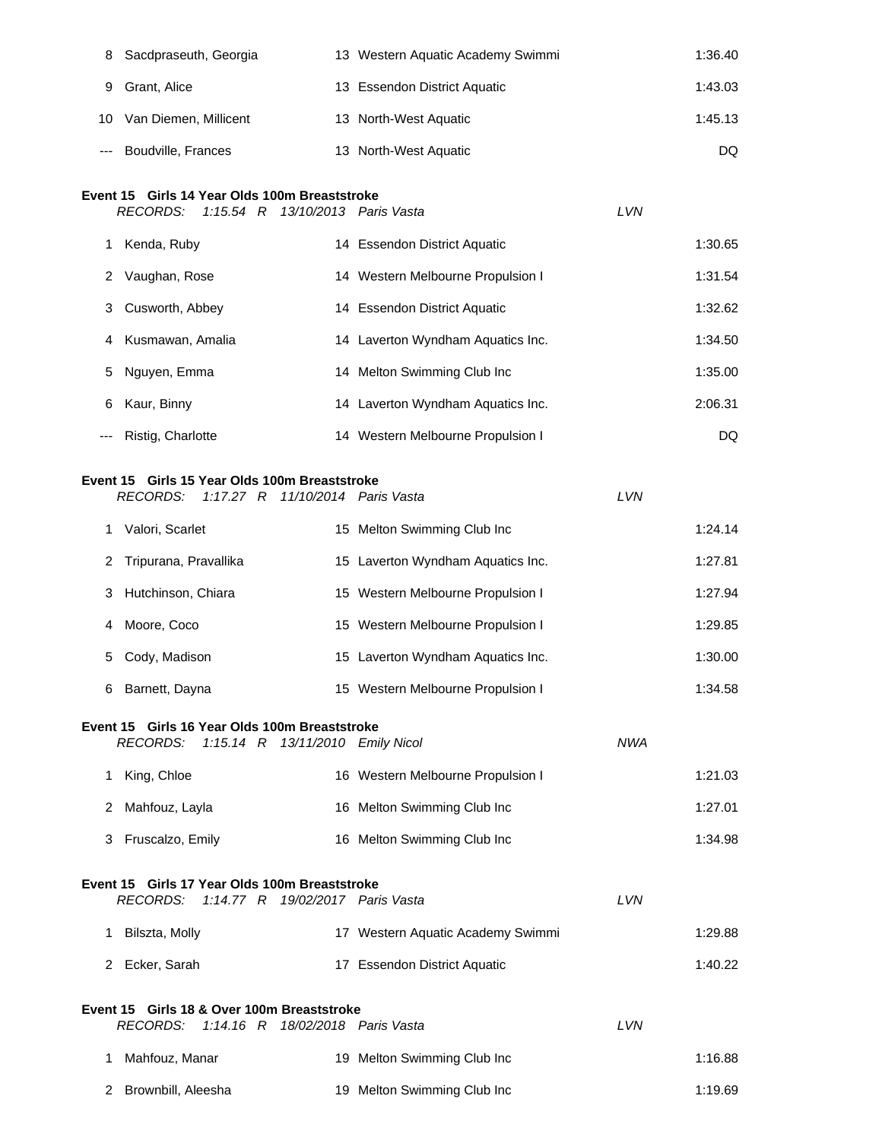| 8   | Sacdpraseuth, Georgia                               | 13 Western Aquatic Academy Swimmi |            | 1:36.40 |
|-----|-----------------------------------------------------|-----------------------------------|------------|---------|
| 9   | Grant, Alice                                        | 13 Essendon District Aquatic      |            | 1:43.03 |
| 10  | Van Diemen, Millicent                               | 13 North-West Aquatic             |            | 1:45.13 |
|     | Boudville, Frances                                  | 13 North-West Aquatic             |            | DQ      |
|     | Event 15 Girls 14 Year Olds 100m Breaststroke       |                                   |            |         |
|     | <b>RECORDS:</b><br>1:15.54 R 13/10/2013 Paris Vasta |                                   | LVN        |         |
| 1   | Kenda, Ruby                                         | 14 Essendon District Aquatic      |            | 1:30.65 |
| 2   | Vaughan, Rose                                       | 14 Western Melbourne Propulsion I |            | 1:31.54 |
| 3   | Cusworth, Abbey                                     | 14 Essendon District Aquatic      |            | 1:32.62 |
| 4   | Kusmawan, Amalia                                    | 14 Laverton Wyndham Aquatics Inc. |            | 1:34.50 |
| 5   | Nguyen, Emma                                        | 14 Melton Swimming Club Inc       |            | 1:35.00 |
| 6   | Kaur, Binny                                         | 14 Laverton Wyndham Aquatics Inc. |            | 2:06.31 |
| --- | Ristig, Charlotte                                   | 14 Western Melbourne Propulsion I |            | DQ      |
|     | Event 15 Girls 15 Year Olds 100m Breaststroke       |                                   |            |         |
|     | <b>RECORDS:</b><br>1:17.27 $R$                      | 11/10/2014 Paris Vasta            | LVN        |         |
| 1.  | Valori, Scarlet                                     | 15 Melton Swimming Club Inc       |            | 1:24.14 |
| 2   | Tripurana, Pravallika                               | 15 Laverton Wyndham Aquatics Inc. |            | 1:27.81 |
| 3   | Hutchinson, Chiara                                  | 15 Western Melbourne Propulsion I |            | 1:27.94 |
| 4   | Moore, Coco                                         | 15 Western Melbourne Propulsion I |            | 1:29.85 |
| 5   | Cody, Madison                                       | 15 Laverton Wyndham Aquatics Inc. |            | 1:30.00 |
|     | Barnett, Dayna                                      | 15 Western Melbourne Propulsion I |            | 1:34.58 |
|     | Event 15 Girls 16 Year Olds 100m Breaststroke       |                                   |            |         |
|     | 1:15.14 R 13/11/2010 Emily Nicol<br>RECORDS:        |                                   | <b>NWA</b> |         |
|     | 1 King, Chloe                                       | 16 Western Melbourne Propulsion I |            | 1:21.03 |
| 2   | Mahfouz, Layla                                      | 16 Melton Swimming Club Inc       |            | 1:27.01 |
| 3   | Fruscalzo, Emily                                    | 16 Melton Swimming Club Inc       |            | 1:34.98 |
|     | Event 15 Girls 17 Year Olds 100m Breaststroke       |                                   |            |         |
|     | RECORDS:<br>1:14.77 R 19/02/2017 Paris Vasta        |                                   | LVN        |         |
| 1   | Bilszta, Molly                                      | 17 Western Aquatic Academy Swimmi |            | 1:29.88 |
|     | 2 Ecker, Sarah                                      | 17 Essendon District Aquatic      |            | 1:40.22 |
|     | Event 15 Girls 18 & Over 100m Breaststroke          |                                   |            |         |
|     | RECORDS: 1:14.16 R 18/02/2018 Paris Vasta           |                                   | LVN        |         |
| 1   | Mahfouz, Manar                                      | 19 Melton Swimming Club Inc       |            | 1:16.88 |
| 2   | Brownbill, Aleesha                                  | 19 Melton Swimming Club Inc       |            | 1:19.69 |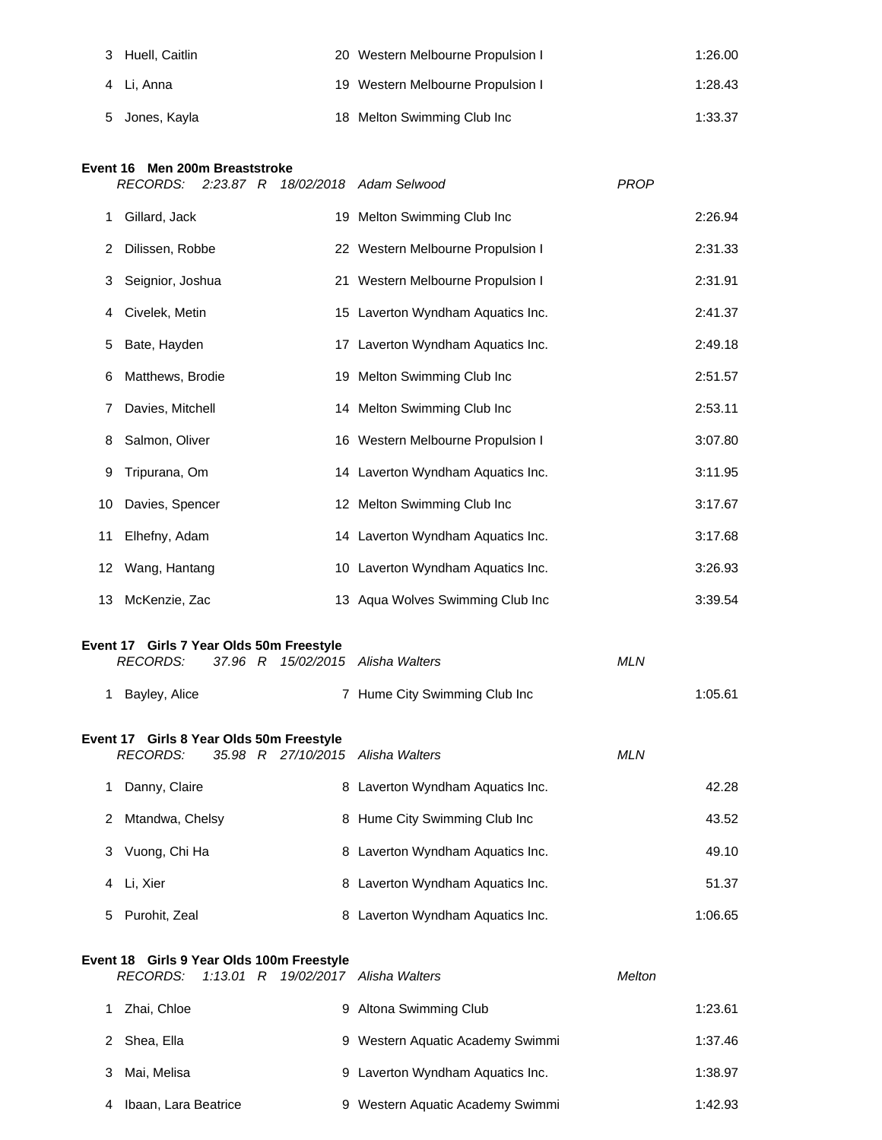| 3 Huell, Caitlin | 20 Western Melbourne Propulsion I | 1:26.00 |
|------------------|-----------------------------------|---------|
| 4 Li. Anna       | 19 Western Melbourne Propulsion I | 1:28.43 |
| 5 Jones, Kayla   | 18 Melton Swimming Club Inc       | 1:33.37 |

## **Event 16 Men 200m Breaststroke**

|    | <b>RECORDS:</b><br>2:23.87 R                                                                     | 18/02/2018 Adam Selwood           | <b>PROP</b> |
|----|--------------------------------------------------------------------------------------------------|-----------------------------------|-------------|
| 1  | Gillard, Jack                                                                                    | 19 Melton Swimming Club Inc       | 2:26.94     |
| 2  | Dilissen, Robbe                                                                                  | 22 Western Melbourne Propulsion I | 2:31.33     |
| 3  | Seignior, Joshua                                                                                 | 21 Western Melbourne Propulsion I | 2:31.91     |
| 4  | Civelek, Metin                                                                                   | 15 Laverton Wyndham Aquatics Inc. | 2:41.37     |
| 5  | Bate, Hayden                                                                                     | 17 Laverton Wyndham Aquatics Inc. | 2:49.18     |
| 6  | Matthews, Brodie                                                                                 | 19 Melton Swimming Club Inc       | 2:51.57     |
| 7  | Davies, Mitchell                                                                                 | 14 Melton Swimming Club Inc       | 2:53.11     |
| 8  | Salmon, Oliver                                                                                   | 16 Western Melbourne Propulsion I | 3:07.80     |
| 9  | Tripurana, Om                                                                                    | 14 Laverton Wyndham Aquatics Inc. | 3:11.95     |
| 10 | Davies, Spencer                                                                                  | 12 Melton Swimming Club Inc       | 3:17.67     |
| 11 | Elhefny, Adam                                                                                    | 14 Laverton Wyndham Aquatics Inc. | 3:17.68     |
| 12 | Wang, Hantang                                                                                    | 10 Laverton Wyndham Aquatics Inc. | 3:26.93     |
| 13 | McKenzie, Zac                                                                                    | 13 Aqua Wolves Swimming Club Inc  | 3:39.54     |
|    | Event 17 Girls 7 Year Olds 50m Freestyle<br><b>RECORDS:</b><br>37.96 R                           | 15/02/2015 Alisha Walters         | <b>MLN</b>  |
| 1  | Bayley, Alice                                                                                    | 7 Hume City Swimming Club Inc     | 1:05.61     |
|    | Event 17 Girls 8 Year Olds 50m Freestyle<br><b>RECORDS:</b><br>35.98 R 27/10/2015 Alisha Walters |                                   | <b>MLN</b>  |
| 1. | Danny, Claire                                                                                    | 8 Laverton Wyndham Aquatics Inc.  | 42.28       |
| 2  | Mtandwa, Chelsy                                                                                  | 8 Hume City Swimming Club Inc     | 43.52       |
| 3  | Vuong, Chi Ha                                                                                    | 8 Laverton Wyndham Aquatics Inc.  | 49.10       |
| 4  | Li, Xier                                                                                         | 8 Laverton Wyndham Aquatics Inc.  | 51.37       |
| 5  | Purohit, Zeal                                                                                    | 8 Laverton Wyndham Aquatics Inc.  | 1:06.65     |
|    |                                                                                                  |                                   |             |

|   | Event 18 Girls 9 Year Olds 100m Freestyle<br>RECORDS: 1:13.01 R 19/02/2017 Alisha Walters |                                  | Melton |         |
|---|-------------------------------------------------------------------------------------------|----------------------------------|--------|---------|
|   | Zhai, Chloe                                                                               | 9 Altona Swimming Club           |        | 1:23.61 |
|   | Shea, Ella<br>2.                                                                          | 9 Western Aquatic Academy Swimmi |        | 1:37.46 |
| 3 | Mai, Melisa                                                                               | 9 Laverton Wyndham Aquatics Inc. |        | 1:38.97 |
|   | Ibaan, Lara Beatrice                                                                      | 9 Western Aquatic Academy Swimmi |        | 1:42.93 |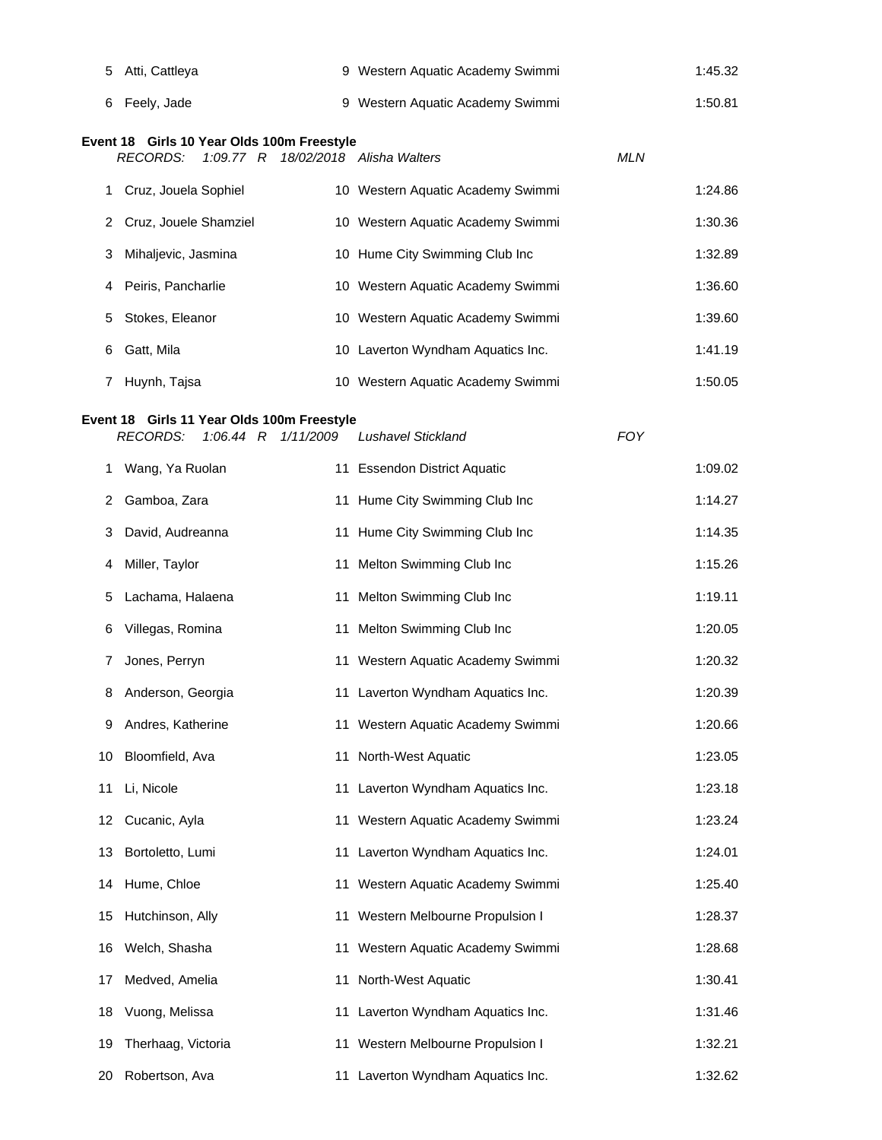| 5  | Atti, Cattleya                              |    | 9 Western Aquatic Academy Swimmi  |            | 1:45.32 |
|----|---------------------------------------------|----|-----------------------------------|------------|---------|
| 6  | Feely, Jade                                 |    | 9 Western Aquatic Academy Swimmi  |            | 1:50.81 |
|    | Event 18 Girls 10 Year Olds 100m Freestyle  |    |                                   |            |         |
|    | <b>RECORDS:</b><br>1:09.77 R                |    | 18/02/2018 Alisha Walters         | <b>MLN</b> |         |
| 1. | Cruz, Jouela Sophiel                        |    | 10 Western Aquatic Academy Swimmi |            | 1:24.86 |
| 2  | Cruz, Jouele Shamziel                       |    | 10 Western Aquatic Academy Swimmi |            | 1:30.36 |
| 3  | Mihaljevic, Jasmina                         |    | 10 Hume City Swimming Club Inc    |            | 1:32.89 |
| 4  | Peiris, Pancharlie                          |    | 10 Western Aquatic Academy Swimmi |            | 1:36.60 |
| 5  | Stokes, Eleanor                             |    | 10 Western Aquatic Academy Swimmi |            | 1:39.60 |
| 6  | Gatt, Mila                                  |    | 10 Laverton Wyndham Aquatics Inc. |            | 1:41.19 |
| 7  | Huynh, Tajsa                                |    | 10 Western Aquatic Academy Swimmi |            | 1:50.05 |
|    | Event 18 Girls 11 Year Olds 100m Freestyle  |    |                                   |            |         |
|    | <b>RECORDS:</b><br>$1:06.44$ R<br>1/11/2009 |    | <b>Lushavel Stickland</b>         | <b>FOY</b> |         |
| 1. | Wang, Ya Ruolan                             |    | 11 Essendon District Aquatic      |            | 1:09.02 |
| 2  | Gamboa, Zara                                |    | 11 Hume City Swimming Club Inc    |            | 1:14.27 |
| 3  | David, Audreanna                            |    | 11 Hume City Swimming Club Inc    |            | 1:14.35 |
| 4  | Miller, Taylor                              |    | 11 Melton Swimming Club Inc       |            | 1:15.26 |
| 5  | Lachama, Halaena                            |    | 11 Melton Swimming Club Inc       |            | 1:19.11 |
| 6  | Villegas, Romina                            |    | 11 Melton Swimming Club Inc       |            | 1:20.05 |
| 7  | Jones, Perryn                               |    | 11 Western Aquatic Academy Swimmi |            | 1:20.32 |
| 8  | Anderson, Georgia                           |    | 11 Laverton Wyndham Aquatics Inc. |            | 1:20.39 |
| 9  | Andres, Katherine                           |    | 11 Western Aquatic Academy Swimmi |            | 1:20.66 |
| 10 | Bloomfield, Ava                             | 11 | North-West Aquatic                |            | 1:23.05 |
| 11 | Li, Nicole                                  |    | 11 Laverton Wyndham Aquatics Inc. |            | 1:23.18 |
| 12 | Cucanic, Ayla                               |    | 11 Western Aquatic Academy Swimmi |            | 1:23.24 |
| 13 | Bortoletto, Lumi                            | 11 | Laverton Wyndham Aquatics Inc.    |            | 1:24.01 |
| 14 | Hume, Chloe                                 |    | 11 Western Aquatic Academy Swimmi |            | 1:25.40 |
| 15 | Hutchinson, Ally                            |    | 11 Western Melbourne Propulsion I |            | 1:28.37 |
| 16 | Welch, Shasha                               |    | 11 Western Aquatic Academy Swimmi |            | 1:28.68 |
| 17 | Medved, Amelia                              |    | 11 North-West Aquatic             |            | 1:30.41 |
| 18 | Vuong, Melissa                              |    | 11 Laverton Wyndham Aquatics Inc. |            | 1:31.46 |
| 19 | Therhaag, Victoria                          |    | 11 Western Melbourne Propulsion I |            | 1:32.21 |
| 20 | Robertson, Ava                              |    | 11 Laverton Wyndham Aquatics Inc. |            | 1:32.62 |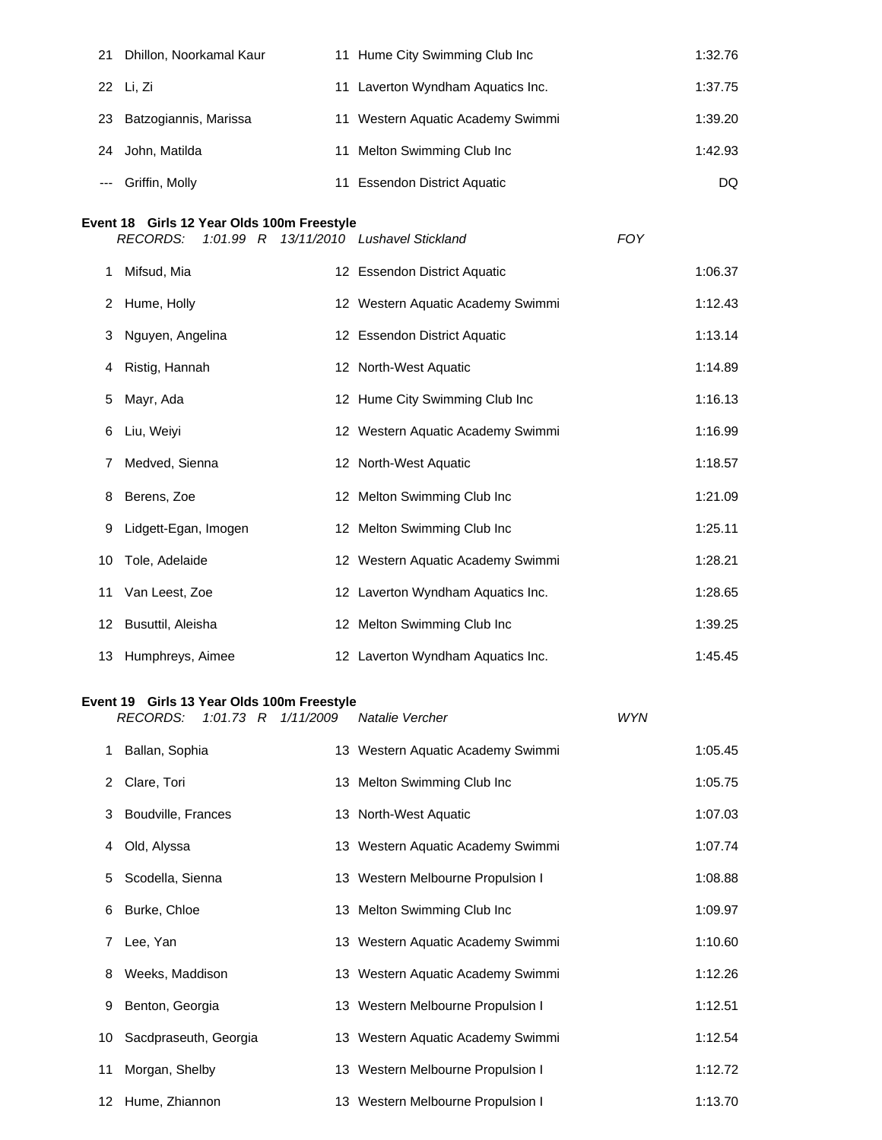| 21 | Dhillon, Noorkamal Kaur  | 11 Hume City Swimming Club Inc    | 1:32.76 |
|----|--------------------------|-----------------------------------|---------|
|    | 22 Li, Zi                | 11 Laverton Wyndham Aquatics Inc. | 1:37.75 |
|    | 23 Batzogiannis, Marissa | 11 Western Aquatic Academy Swimmi | 1:39.20 |
| 24 | John, Matilda            | 11 Melton Swimming Club Inc       | 1:42.93 |
|    | --- Griffin, Molly       | 11 Essendon District Aquatic      | DQ.     |

## **Event 18 Girls 12 Year Olds 100m Freestyle**

|    | <b>RECORDS:</b>      |  | 1:01.99 R 13/11/2010 Lushavel Stickland | <b>FOY</b> |         |
|----|----------------------|--|-----------------------------------------|------------|---------|
| 1  | Mifsud, Mia          |  | 12 Essendon District Aquatic            |            | 1:06.37 |
| 2  | Hume, Holly          |  | 12 Western Aquatic Academy Swimmi       |            | 1:12.43 |
| 3  | Nguyen, Angelina     |  | 12 Essendon District Aquatic            |            | 1:13.14 |
| 4  | Ristig, Hannah       |  | 12 North-West Aquatic                   |            | 1:14.89 |
| 5  | Mayr, Ada            |  | 12 Hume City Swimming Club Inc          |            | 1:16.13 |
| 6  | Liu, Weiyi           |  | 12 Western Aquatic Academy Swimmi       |            | 1:16.99 |
|    | Medved, Sienna       |  | 12 North-West Aquatic                   |            | 1:18.57 |
| 8  | Berens, Zoe          |  | 12 Melton Swimming Club Inc             |            | 1:21.09 |
| 9  | Lidgett-Egan, Imogen |  | 12 Melton Swimming Club Inc             |            | 1:25.11 |
| 10 | Tole, Adelaide       |  | 12 Western Aquatic Academy Swimmi       |            | 1:28.21 |
| 11 | Van Leest, Zoe       |  | 12 Laverton Wyndham Aquatics Inc.       |            | 1:28.65 |
|    | 12 Busuttil, Aleisha |  | 12 Melton Swimming Club Inc             |            | 1:39.25 |
|    | 13 Humphreys, Aimee  |  | 12 Laverton Wyndham Aquatics Inc.       |            | 1:45.45 |

#### **Event 19 Girls 13 Year Olds 100m Freestyle**

|   | <i>RECORDS:</i>          |  | 1:01.73 R 1/11/2009 | Natalie Vercher                   | <b>WYN</b> |         |
|---|--------------------------|--|---------------------|-----------------------------------|------------|---------|
|   | 1 Ballan, Sophia         |  |                     | 13 Western Aquatic Academy Swimmi |            | 1:05.45 |
|   | 2 Clare, Tori            |  |                     | 13 Melton Swimming Club Inc       |            | 1:05.75 |
|   | 3 Boudville, Frances     |  |                     | 13 North-West Aquatic             |            | 1:07.03 |
| 4 | Old, Alyssa              |  |                     | 13 Western Aquatic Academy Swimmi |            | 1:07.74 |
|   | 5 Scodella, Sienna       |  |                     | 13 Western Melbourne Propulsion I |            | 1:08.88 |
|   | 6 Burke, Chloe           |  |                     | 13 Melton Swimming Club Inc       |            | 1:09.97 |
|   | 7 Lee, Yan               |  |                     | 13 Western Aquatic Academy Swimmi |            | 1:10.60 |
|   | 8 Weeks, Maddison        |  |                     | 13 Western Aquatic Academy Swimmi |            | 1:12.26 |
| 9 | Benton, Georgia          |  |                     | 13 Western Melbourne Propulsion I |            | 1:12.51 |
|   | 10 Sacdpraseuth, Georgia |  |                     | 13 Western Aquatic Academy Swimmi |            | 1:12.54 |
|   | 11 Morgan, Shelby        |  |                     | 13 Western Melbourne Propulsion I |            | 1:12.72 |
|   | 12 Hume, Zhiannon        |  |                     | 13 Western Melbourne Propulsion I |            | 1:13.70 |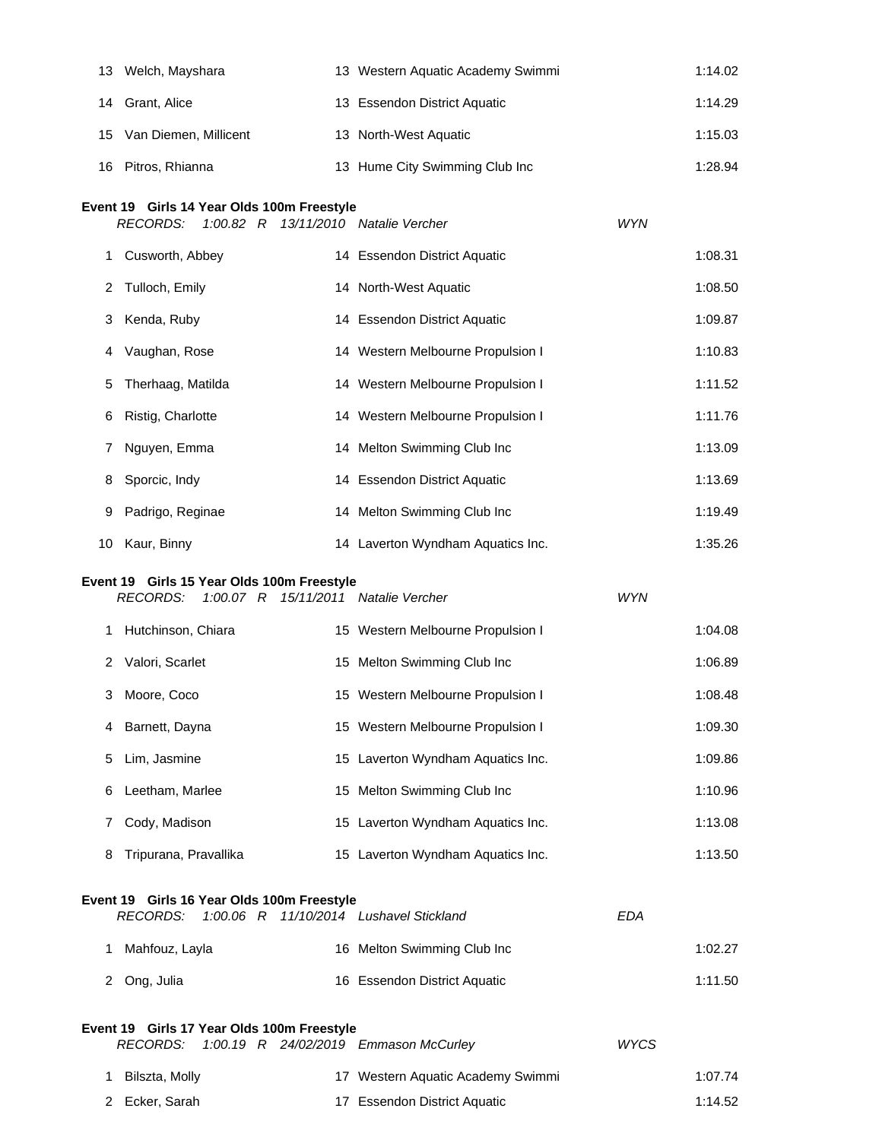|    | 13 Welch, Mayshara                                                                                     | 13 Western Aquatic Academy Swimmi |             | 1:14.02 |
|----|--------------------------------------------------------------------------------------------------------|-----------------------------------|-------------|---------|
|    |                                                                                                        |                                   |             |         |
| 14 | Grant, Alice                                                                                           | 13 Essendon District Aquatic      |             | 1:14.29 |
| 15 | Van Diemen, Millicent                                                                                  | 13 North-West Aquatic             |             | 1:15.03 |
| 16 | Pitros, Rhianna                                                                                        | 13 Hume City Swimming Club Inc    |             | 1:28.94 |
|    | Event 19 Girls 14 Year Olds 100m Freestyle                                                             |                                   |             |         |
|    | <b>RECORDS:</b><br>1:00.82 R 13/11/2010 Natalie Vercher                                                |                                   | <b>WYN</b>  |         |
| 1. | Cusworth, Abbey                                                                                        | 14 Essendon District Aquatic      |             | 1:08.31 |
| 2  | Tulloch, Emily                                                                                         | 14 North-West Aquatic             |             | 1:08.50 |
| 3  | Kenda, Ruby                                                                                            | 14 Essendon District Aquatic      |             | 1:09.87 |
| 4  | Vaughan, Rose                                                                                          | 14 Western Melbourne Propulsion I |             | 1:10.83 |
| 5  | Therhaag, Matilda                                                                                      | 14 Western Melbourne Propulsion I |             | 1:11.52 |
| 6  | Ristig, Charlotte                                                                                      | 14 Western Melbourne Propulsion I |             | 1:11.76 |
| 7  | Nguyen, Emma                                                                                           | 14 Melton Swimming Club Inc       |             | 1:13.09 |
| 8  | Sporcic, Indy                                                                                          | 14 Essendon District Aquatic      |             | 1:13.69 |
| 9  | Padrigo, Reginae                                                                                       | 14 Melton Swimming Club Inc       |             | 1:19.49 |
| 10 | Kaur, Binny                                                                                            | 14 Laverton Wyndham Aquatics Inc. |             | 1:35.26 |
|    | Event 19 Girls 15 Year Olds 100m Freestyle<br><b>RECORDS:</b><br>1:00.07 R 15/11/2011 Natalie Vercher  |                                   | <b>WYN</b>  |         |
|    | 1 Hutchinson, Chiara                                                                                   | 15 Western Melbourne Propulsion I |             | 1:04.08 |
|    | 2 Valori, Scarlet                                                                                      | 15 Melton Swimming Club Inc       |             | 1:06.89 |
| 3  | Moore, Coco                                                                                            | 15 Western Melbourne Propulsion I |             | 1:08.48 |
| 4  | Barnett, Dayna                                                                                         | 15 Western Melbourne Propulsion I |             | 1:09.30 |
| 5  | Lim, Jasmine                                                                                           | 15 Laverton Wyndham Aquatics Inc. |             | 1:09.86 |
| 6  | Leetham, Marlee                                                                                        | 15 Melton Swimming Club Inc       |             | 1:10.96 |
| 7  | Cody, Madison                                                                                          | 15 Laverton Wyndham Aquatics Inc. |             | 1:13.08 |
| 8  | Tripurana, Pravallika                                                                                  | 15 Laverton Wyndham Aquatics Inc. |             | 1:13.50 |
|    | Event 19 Girls 16 Year Olds 100m Freestyle                                                             |                                   |             |         |
|    | 1:00.06 R 11/10/2014 Lushavel Stickland<br><b>RECORDS:</b>                                             |                                   | <b>EDA</b>  |         |
| 1. | Mahfouz, Layla                                                                                         | 16 Melton Swimming Club Inc       |             | 1:02.27 |
| 2  | Ong, Julia                                                                                             | 16 Essendon District Aquatic      |             | 1:11.50 |
|    | Event 19 Girls 17 Year Olds 100m Freestyle<br><b>RECORDS:</b><br>1:00.19 R 24/02/2019 Emmason McCurley |                                   | <b>WYCS</b> |         |
| 1. | Bilszta, Molly                                                                                         | 17 Western Aquatic Academy Swimmi |             | 1:07.74 |
| 2  | Ecker, Sarah                                                                                           | 17 Essendon District Aquatic      |             | 1:14.52 |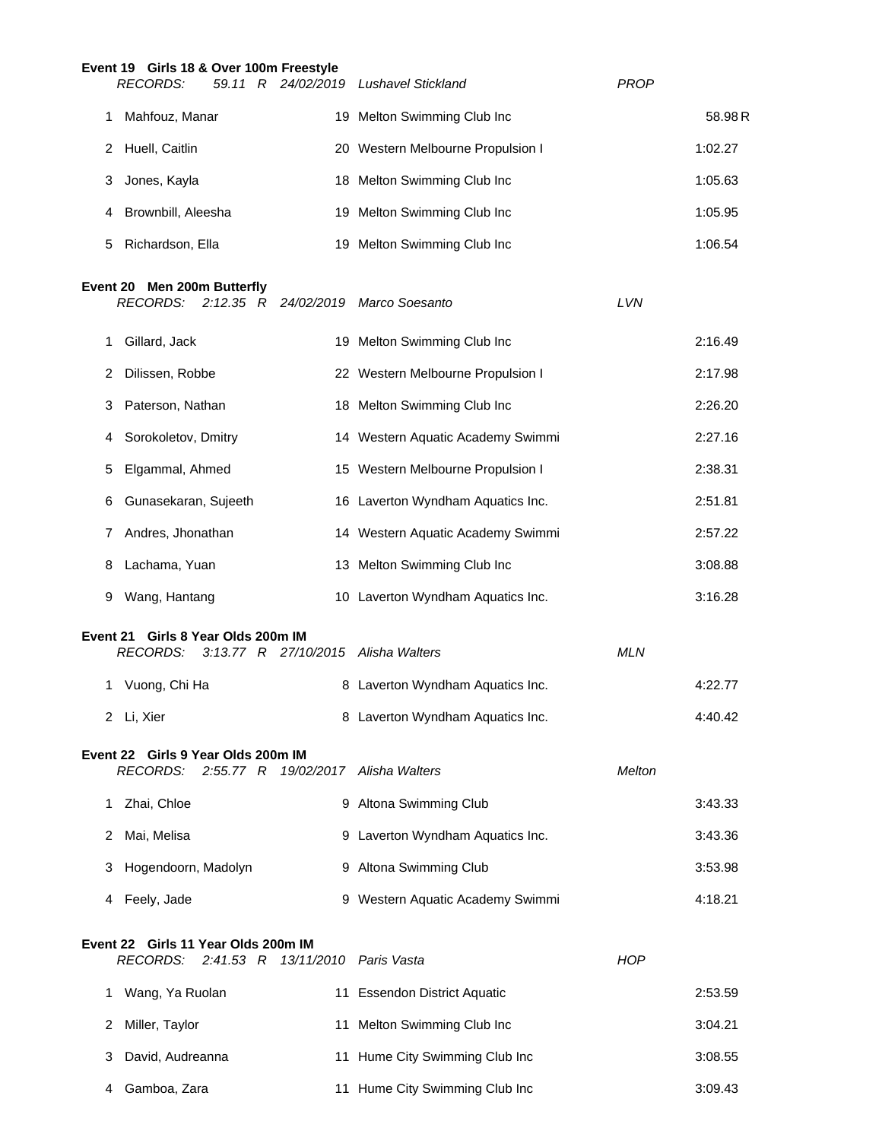|          | Event 19 Girls 18 & Over 100m Freestyle                                             |                                   |               |         |
|----------|-------------------------------------------------------------------------------------|-----------------------------------|---------------|---------|
|          | <b>RECORDS:</b><br>59.11 R 24/02/2019 Lushavel Stickland                            |                                   | PROP          |         |
| 1        | Mahfouz, Manar                                                                      | 19 Melton Swimming Club Inc       |               | 58.98R  |
| 2        | Huell, Caitlin                                                                      | 20 Western Melbourne Propulsion I |               | 1:02.27 |
| 3        | Jones, Kayla                                                                        | 18 Melton Swimming Club Inc       |               | 1:05.63 |
| 4        | Brownbill, Aleesha                                                                  | 19 Melton Swimming Club Inc       |               | 1:05.95 |
| 5        | Richardson, Ella                                                                    | 19 Melton Swimming Club Inc       |               | 1:06.54 |
|          | Event 20 Men 200m Butterfly<br><b>RECORDS:</b><br>$2:12.35$ R                       | 24/02/2019 Marco Soesanto         | LVN           |         |
| 1        | Gillard, Jack                                                                       | 19 Melton Swimming Club Inc       |               | 2:16.49 |
| 2        | Dilissen, Robbe                                                                     | 22 Western Melbourne Propulsion I |               | 2:17.98 |
| 3        | Paterson, Nathan                                                                    | 18 Melton Swimming Club Inc       |               | 2:26.20 |
| 4        | Sorokoletov, Dmitry                                                                 | 14 Western Aquatic Academy Swimmi |               | 2:27.16 |
| 5        | Elgammal, Ahmed                                                                     | 15 Western Melbourne Propulsion I |               | 2:38.31 |
| 6        | Gunasekaran, Sujeeth                                                                | 16 Laverton Wyndham Aquatics Inc. |               | 2:51.81 |
| 7        | Andres, Jhonathan                                                                   | 14 Western Aquatic Academy Swimmi |               | 2:57.22 |
| 8        | Lachama, Yuan                                                                       | 13 Melton Swimming Club Inc       |               | 3:08.88 |
| 9        | Wang, Hantang                                                                       | 10 Laverton Wyndham Aquatics Inc. |               | 3:16.28 |
| Event 21 | Girls 8 Year Olds 200m IM<br><b>RECORDS:</b><br>3:13.77 R 27/10/2015 Alisha Walters |                                   | <b>MLN</b>    |         |
| 1.       | Vuong, Chi Ha                                                                       | 8 Laverton Wyndham Aquatics Inc.  |               | 4:22.77 |
|          | 2 Li, Xier                                                                          | 8 Laverton Wyndham Aquatics Inc.  |               | 4:40.42 |
|          | Event 22 Girls 9 Year Olds 200m IM<br><b>RECORDS:</b><br>2:55.77 R                  | 19/02/2017 Alisha Walters         | <b>Melton</b> |         |
| 1        | Zhai, Chloe                                                                         | 9 Altona Swimming Club            |               | 3:43.33 |
| 2        | Mai, Melisa                                                                         | 9 Laverton Wyndham Aquatics Inc.  |               | 3:43.36 |
| З        | Hogendoorn, Madolyn                                                                 | 9 Altona Swimming Club            |               | 3:53.98 |
| 4        | Feely, Jade                                                                         | 9 Western Aquatic Academy Swimmi  |               | 4:18.21 |
|          | Event 22 Girls 11 Year Olds 200m IM<br><b>RECORDS:</b><br>2:41.53 R 13/11/2010      | Paris Vasta                       | <b>HOP</b>    |         |
| 1        | Wang, Ya Ruolan                                                                     | 11 Essendon District Aquatic      |               | 2:53.59 |
| 2        | Miller, Taylor                                                                      | 11 Melton Swimming Club Inc       |               | 3:04.21 |
| 3        | David, Audreanna                                                                    | 11 Hume City Swimming Club Inc    |               | 3:08.55 |
| 4        | Gamboa, Zara                                                                        | 11 Hume City Swimming Club Inc    |               | 3:09.43 |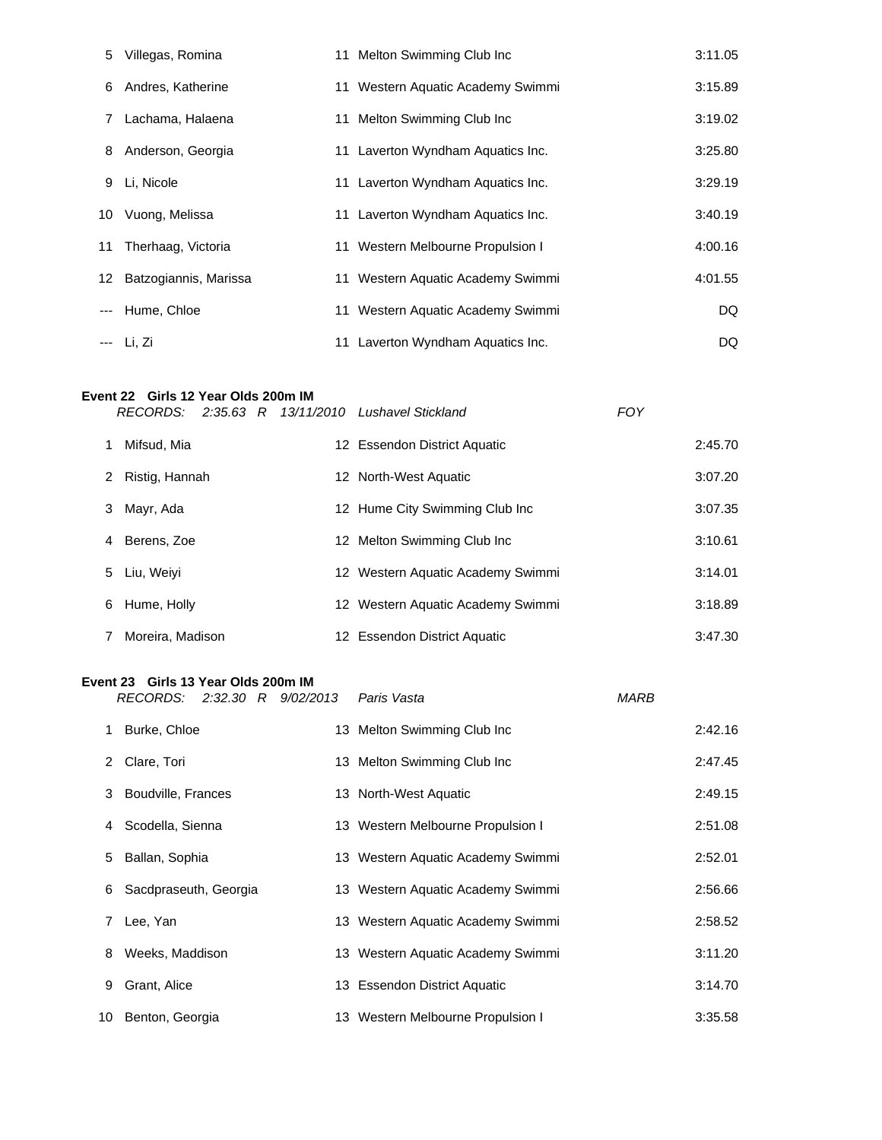|          | 5 Villegas, Romina       | 11 Melton Swimming Club Inc       | 3:11.05 |
|----------|--------------------------|-----------------------------------|---------|
|          | 6 Andres, Katherine      | 11 Western Aquatic Academy Swimmi | 3:15.89 |
|          | 7 Lachama, Halaena       | 11 Melton Swimming Club Inc       | 3:19.02 |
|          | 8 Anderson, Georgia      | 11 Laverton Wyndham Aquatics Inc. | 3:25.80 |
|          | 9 Li, Nicole             | 11 Laverton Wyndham Aquatics Inc. | 3:29.19 |
|          | 10 Vuong, Melissa        | 11 Laverton Wyndham Aquatics Inc. | 3:40.19 |
|          | 11 Therhaag, Victoria    | 11 Western Melbourne Propulsion I | 4:00.16 |
|          | 12 Batzogiannis, Marissa | 11 Western Aquatic Academy Swimmi | 4:01.55 |
| $\cdots$ | Hume, Chloe              | 11 Western Aquatic Academy Swimmi | DQ.     |
|          | --- Li, Zi               | 11 Laverton Wyndham Aquatics Inc. | DQ.     |

## **Event 22 Girls 12 Year Olds 200m IM**

|                     |  | RECORDS: 2:35.63 R 13/11/2010 Lushavel Stickland | <b>FOY</b> |         |
|---------------------|--|--------------------------------------------------|------------|---------|
| Mifsud, Mia         |  | 12 Essendon District Aquatic                     |            | 2:45.70 |
| Ristig, Hannah<br>2 |  | 12 North-West Aquatic                            |            | 3:07.20 |
| Mayr, Ada<br>3      |  | 12 Hume City Swimming Club Inc                   |            | 3:07.35 |
| 4 Berens, Zoe       |  | 12 Melton Swimming Club Inc                      |            | 3:10.61 |
| 5 Liu, Weivi        |  | 12 Western Aquatic Academy Swimmi                |            | 3:14.01 |
| Hume, Holly<br>6    |  | 12 Western Aquatic Academy Swimmi                |            | 3:18.89 |
| Moreira, Madison    |  | 12 Essendon District Aquatic                     |            | 3:47.30 |

## **Event 23 Girls 13 Year Olds 200m IM**

|    | RECORDS:              |  | 2:32.30 R 9/02/2013 | Paris Vasta                       | <b>MARB</b> |         |
|----|-----------------------|--|---------------------|-----------------------------------|-------------|---------|
| 1. | Burke, Chloe          |  |                     | 13 Melton Swimming Club Inc       |             | 2:42.16 |
| 2  | Clare, Tori           |  |                     | 13 Melton Swimming Club Inc       |             | 2:47.45 |
|    | 3 Boudville, Frances  |  |                     | 13 North-West Aquatic             |             | 2:49.15 |
| 4  | Scodella, Sienna      |  |                     | 13 Western Melbourne Propulsion I |             | 2:51.08 |
| 5  | Ballan, Sophia        |  |                     | 13 Western Aquatic Academy Swimmi |             | 2:52.01 |
| 6  | Sacdpraseuth, Georgia |  |                     | 13 Western Aquatic Academy Swimmi |             | 2:56.66 |
|    | Lee, Yan              |  |                     | 13 Western Aquatic Academy Swimmi |             | 2:58.52 |
| 8  | Weeks, Maddison       |  |                     | 13 Western Aquatic Academy Swimmi |             | 3:11.20 |
| 9  | Grant, Alice          |  |                     | 13 Essendon District Aquatic      |             | 3:14.70 |
| 10 | Benton, Georgia       |  |                     | 13 Western Melbourne Propulsion I |             | 3:35.58 |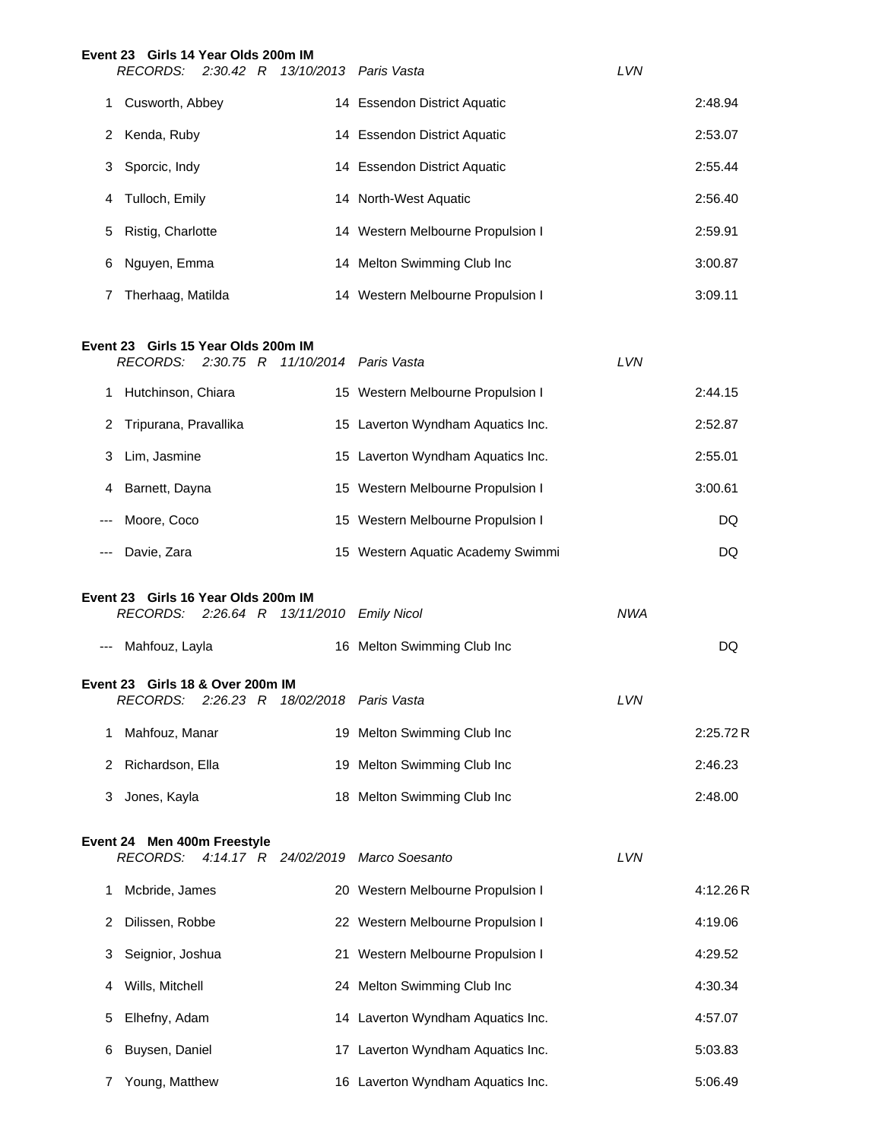|   | Event 23 Girls 14 Year Olds 200m IM<br>RECORDS: 2:30.42 R 13/10/2013 Paris Vasta |                                   | <b>LVN</b> |         |
|---|----------------------------------------------------------------------------------|-----------------------------------|------------|---------|
|   | Cusworth, Abbey                                                                  | 14 Essendon District Aquatic      |            | 2:48.94 |
| 2 | Kenda, Ruby                                                                      | 14 Essendon District Aquatic      |            | 2:53.07 |
|   | 3 Sporcic, Indy                                                                  | 14 Essendon District Aquatic      |            | 2:55.44 |
| 4 | Tulloch, Emily                                                                   | 14 North-West Aquatic             |            | 2:56.40 |
| 5 | Ristig, Charlotte                                                                | 14 Western Melbourne Propulsion I |            | 2:59.91 |
| 6 | Nguyen, Emma                                                                     | 14 Melton Swimming Club Inc       |            | 3:00.87 |
|   | Therhaag, Matilda                                                                | 14 Western Melbourne Propulsion I |            | 3:09.11 |

#### **Event 23 Girls 15 Year Olds 200m IM**

|                                                                                                | RECORDS: 2:30.75 R 11/10/2014 Paris Vasta                                     |                                   | <b>LVN</b> |          |  |
|------------------------------------------------------------------------------------------------|-------------------------------------------------------------------------------|-----------------------------------|------------|----------|--|
| 1                                                                                              | Hutchinson, Chiara                                                            | 15 Western Melbourne Propulsion I |            | 2:44.15  |  |
| 2                                                                                              | Tripurana, Pravallika                                                         | 15 Laverton Wyndham Aquatics Inc. |            | 2:52.87  |  |
| 3                                                                                              | Lim, Jasmine                                                                  | 15 Laverton Wyndham Aquatics Inc. |            | 2:55.01  |  |
| 4                                                                                              | Barnett, Dayna                                                                | 15 Western Melbourne Propulsion I |            | 3:00.61  |  |
|                                                                                                | Moore, Coco                                                                   | 15 Western Melbourne Propulsion I |            | DQ       |  |
|                                                                                                | Davie, Zara                                                                   | 15 Western Aquatic Academy Swimmi |            | DQ       |  |
| Event 23 Girls 16 Year Olds 200m IM<br><b>NWA</b><br>RECORDS: 2:26.64 R 13/11/2010 Emily Nicol |                                                                               |                                   |            |          |  |
| $\cdots$                                                                                       | Mahfouz, Layla                                                                | 16 Melton Swimming Club Inc       |            | DQ       |  |
|                                                                                                | Event 23 Girls 18 & Over 200m IM<br>RECORDS: 2:26.23 R 18/02/2018 Paris Vasta |                                   | <b>LVN</b> |          |  |
| 1                                                                                              | Mahfouz, Manar                                                                | 19 Melton Swimming Club Inc       |            | 2:25.72R |  |
| 2                                                                                              | Richardson, Ella                                                              | 19 Melton Swimming Club Inc       |            | 2:46.23  |  |
| 3                                                                                              | Jones, Kayla                                                                  | 18 Melton Swimming Club Inc       |            | 2:48.00  |  |

## **Event 24 Men 400m Freestyle**

*RECORDS: 4:14.17 R 24/02/2019 Marco Soesanto LVN*

|   | neuunda.<br>4.14.17 h 24/02/2019 Mail Suesantu |                                   | LVIV |          |
|---|------------------------------------------------|-----------------------------------|------|----------|
|   | Mcbride, James                                 | 20 Western Melbourne Propulsion I |      | 4:12.26R |
| 2 | Dilissen, Robbe                                | 22 Western Melbourne Propulsion I |      | 4:19.06  |
| 3 | Seignior, Joshua                               | 21 Western Melbourne Propulsion I |      | 4:29.52  |
| 4 | Wills, Mitchell                                | 24 Melton Swimming Club Inc       |      | 4:30.34  |
| 5 | Elhefny, Adam                                  | 14 Laverton Wyndham Aquatics Inc. |      | 4:57.07  |
| 6 | Buysen, Daniel                                 | 17 Laverton Wyndham Aquatics Inc. |      | 5:03.83  |
|   | Young, Matthew                                 | 16 Laverton Wyndham Aquatics Inc. |      | 5:06.49  |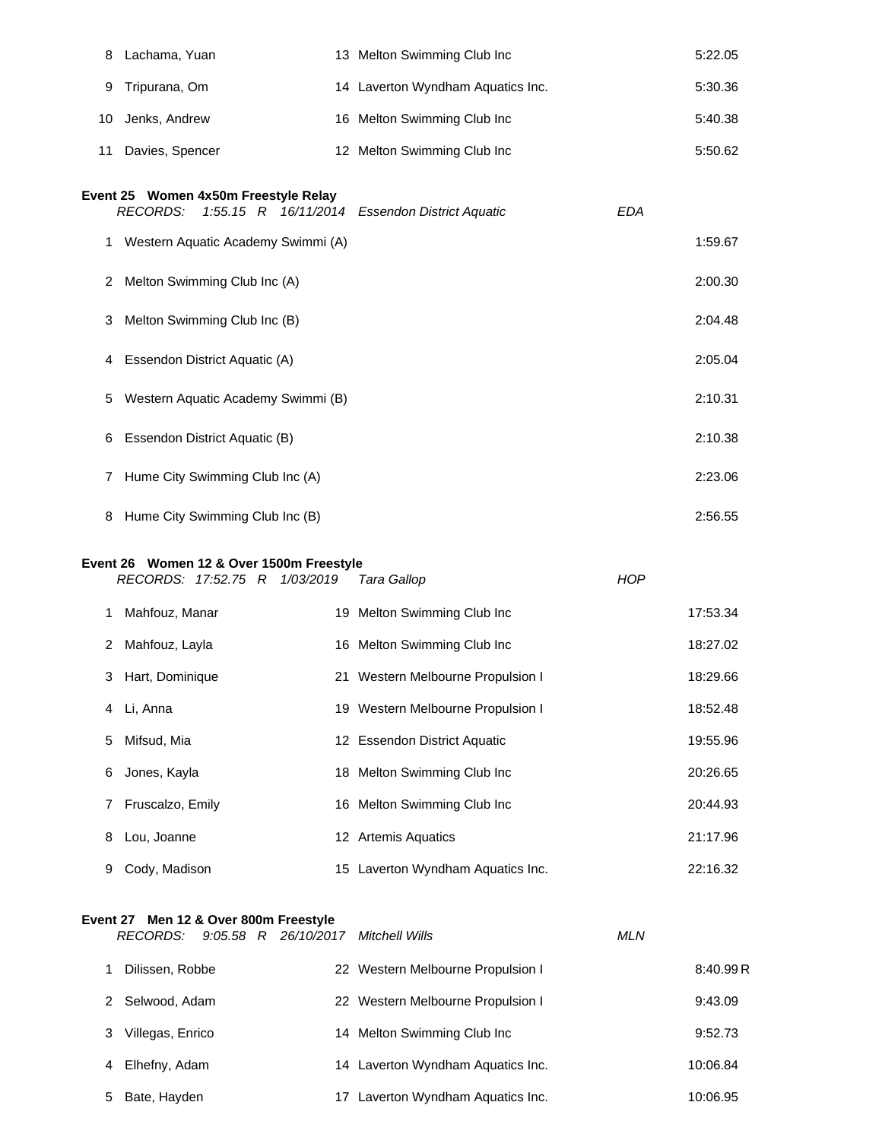| 8  | Lachama, Yuan                                                             | 13 Melton Swimming Club Inc          |            | 5:22.05  |
|----|---------------------------------------------------------------------------|--------------------------------------|------------|----------|
| 9  | Tripurana, Om                                                             | 14 Laverton Wyndham Aquatics Inc.    |            | 5:30.36  |
| 10 | Jenks, Andrew                                                             | 16 Melton Swimming Club Inc          |            | 5:40.38  |
| 11 | Davies, Spencer                                                           | 12 Melton Swimming Club Inc          |            | 5:50.62  |
|    | Event 25 Women 4x50m Freestyle Relay<br><b>RECORDS:</b><br>$1:55.15$ R    | 16/11/2014 Essendon District Aquatic | <b>EDA</b> |          |
|    | 1 Western Aquatic Academy Swimmi (A)                                      |                                      |            | 1:59.67  |
| 2  | Melton Swimming Club Inc (A)                                              |                                      |            | 2:00.30  |
| 3  | Melton Swimming Club Inc (B)                                              |                                      |            | 2:04.48  |
| 4  | Essendon District Aquatic (A)                                             |                                      |            | 2:05.04  |
| 5  | Western Aquatic Academy Swimmi (B)                                        |                                      |            | 2:10.31  |
| 6  | Essendon District Aquatic (B)                                             |                                      |            | 2:10.38  |
| 7  | Hume City Swimming Club Inc (A)                                           |                                      |            | 2:23.06  |
| 8  | Hume City Swimming Club Inc (B)                                           |                                      |            | 2:56.55  |
|    | Event 26 Women 12 & Over 1500m Freestyle<br>RECORDS: 17:52.75 R 1/03/2019 | Tara Gallop                          | <b>HOP</b> |          |
| 1. | Mahfouz, Manar                                                            | 19 Melton Swimming Club Inc          |            | 17:53.34 |
| 2  | Mahfouz, Layla                                                            | 16 Melton Swimming Club Inc          |            | 18:27.02 |
| 3  | Hart, Dominique                                                           | 21 Western Melbourne Propulsion I    |            | 18:29.66 |
| 4  | Li, Anna                                                                  | 19 Western Melbourne Propulsion I    |            | 18:52.48 |
| 5  | Mifsud, Mia                                                               | 12 Essendon District Aquatic         |            | 19:55.96 |
| 6  | Jones, Kayla                                                              | 18 Melton Swimming Club Inc          |            | 20:26.65 |
| 7  | Fruscalzo, Emily                                                          | 16 Melton Swimming Club Inc          |            | 20:44.93 |
| 8  | Lou, Joanne                                                               | 12 Artemis Aquatics                  |            | 21:17.96 |
| 9  | Cody, Madison                                                             | 15 Laverton Wyndham Aquatics Inc.    |            | 22:16.32 |

# **Event 27 Men 12 & Over 800m Freestyle**

| RECORDS:            |  | $9:05.58$ R $26/10/2017$ | Mitchell Wills                    | <b>MLN</b> |          |
|---------------------|--|--------------------------|-----------------------------------|------------|----------|
| Dilissen, Robbe     |  |                          | 22 Western Melbourne Propulsion I |            | 8:40.99R |
| Selwood, Adam<br>2. |  |                          | 22 Western Melbourne Propulsion I |            | 9:43.09  |
| Villegas, Enrico    |  |                          | 14 Melton Swimming Club Inc       |            | 9:52.73  |
| Elhefny, Adam<br>4  |  |                          | 14 Laverton Wyndham Aquatics Inc. |            | 10:06.84 |
| Bate, Hayden<br>5.  |  |                          | Laverton Wyndham Aquatics Inc.    |            | 10:06.95 |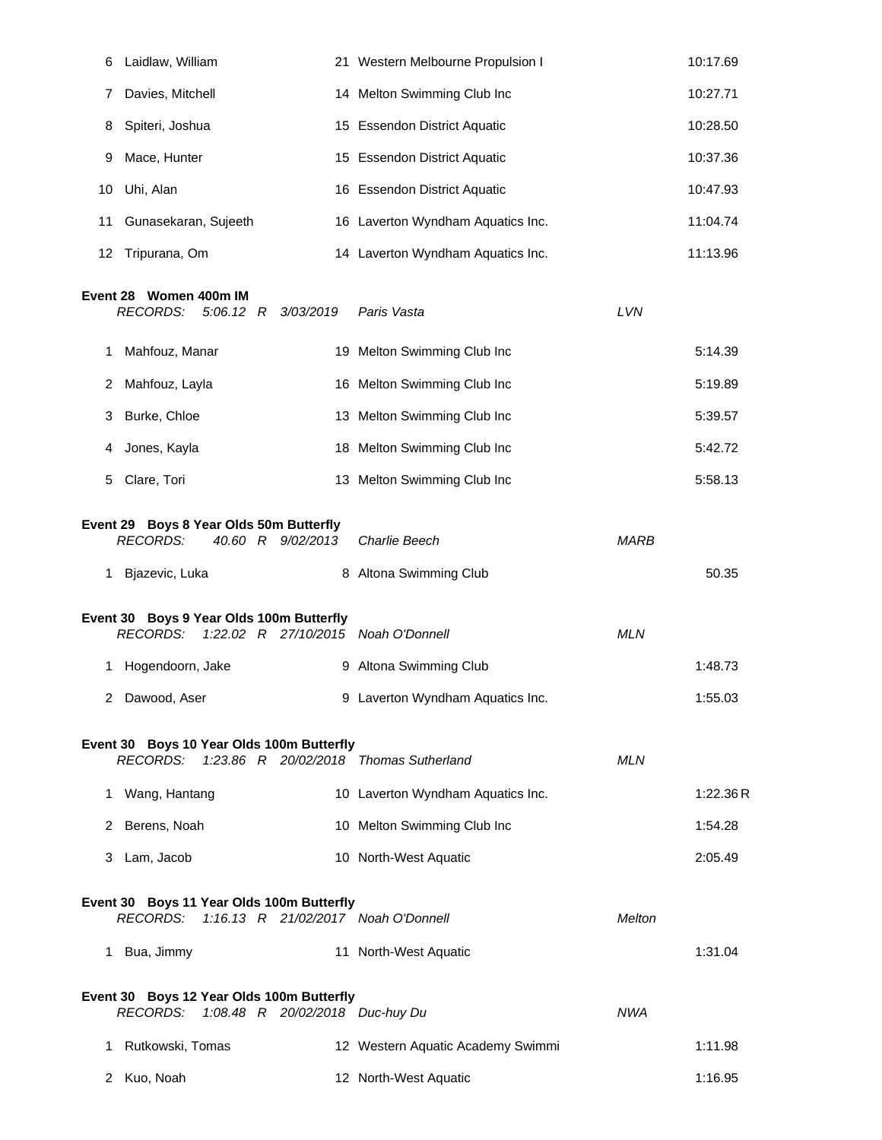| 6  | Laidlaw, William                                                                                       |   | 21 Western Melbourne Propulsion I |             | 10:17.69 |
|----|--------------------------------------------------------------------------------------------------------|---|-----------------------------------|-------------|----------|
| 7  | Davies, Mitchell                                                                                       |   | 14 Melton Swimming Club Inc       |             | 10:27.71 |
| 8  | Spiteri, Joshua                                                                                        |   | 15 Essendon District Aquatic      |             | 10:28.50 |
| 9  | Mace, Hunter                                                                                           |   | 15 Essendon District Aquatic      |             | 10:37.36 |
| 10 | Uhi, Alan                                                                                              |   | 16 Essendon District Aquatic      |             | 10:47.93 |
| 11 | Gunasekaran, Sujeeth                                                                                   |   | 16 Laverton Wyndham Aquatics Inc. |             | 11:04.74 |
| 12 | Tripurana, Om                                                                                          |   | 14 Laverton Wyndham Aquatics Inc. |             | 11:13.96 |
|    | Event 28 Women 400m IM<br><b>RECORDS:</b><br>$5:06.12$ R<br>3/03/2019                                  |   | Paris Vasta                       | LVN         |          |
| 1  | Mahfouz, Manar                                                                                         |   | 19 Melton Swimming Club Inc       |             | 5:14.39  |
| 2  | Mahfouz, Layla                                                                                         |   | 16 Melton Swimming Club Inc       |             | 5:19.89  |
| 3  | Burke, Chloe                                                                                           |   | 13 Melton Swimming Club Inc       |             | 5:39.57  |
| 4  | Jones, Kayla                                                                                           |   | 18 Melton Swimming Club Inc       |             | 5:42.72  |
| 5  | Clare, Tori                                                                                            |   | 13 Melton Swimming Club Inc       |             | 5:58.13  |
|    | Event 29 Boys 8 Year Olds 50m Butterfly<br><b>RECORDS:</b><br>40.60 R 9/02/2013                        |   | Charlie Beech                     | <b>MARB</b> |          |
|    | 1 Bjazevic, Luka                                                                                       |   | 8 Altona Swimming Club            |             | 50.35    |
|    | Event 30 Boys 9 Year Olds 100m Butterfly<br><b>RECORDS:</b><br>1:22.02 R 27/10/2015 Noah O'Donnell     |   |                                   | <b>MLN</b>  |          |
| 1  | Hogendoorn, Jake                                                                                       | 9 | Altona Swimming Club              |             | 1:48.73  |
|    | 2 Dawood, Aser                                                                                         |   | 9 Laverton Wyndham Aquatics Inc.  |             | 1:55.03  |
|    | Event 30 Boys 10 Year Olds 100m Butterfly<br>1:23.86 R 20/02/2018 Thomas Sutherland<br><b>RECORDS:</b> |   |                                   | <b>MLN</b>  |          |
|    | 1 Wang, Hantang                                                                                        |   | 10 Laverton Wyndham Aquatics Inc. |             | 1:22.36R |
|    | 2 Berens, Noah                                                                                         |   | 10 Melton Swimming Club Inc       |             | 1:54.28  |
|    | 3 Lam, Jacob                                                                                           |   | 10 North-West Aquatic             |             | 2:05.49  |
|    | Event 30 Boys 11 Year Olds 100m Butterfly<br>1:16.13 R 21/02/2017 Noah O'Donnell<br>RECORDS:           |   |                                   | Melton      |          |
|    | 1 Bua, Jimmy                                                                                           |   | 11 North-West Aquatic             |             | 1:31.04  |
|    | Event 30 Boys 12 Year Olds 100m Butterfly<br>1:08.48 R 20/02/2018 Duc-huy Du<br>RECORDS:               |   |                                   | NWA         |          |
| 1. | Rutkowski, Tomas                                                                                       |   | 12 Western Aquatic Academy Swimmi |             | 1:11.98  |
| 2  | Kuo, Noah                                                                                              |   | 12 North-West Aquatic             |             | 1:16.95  |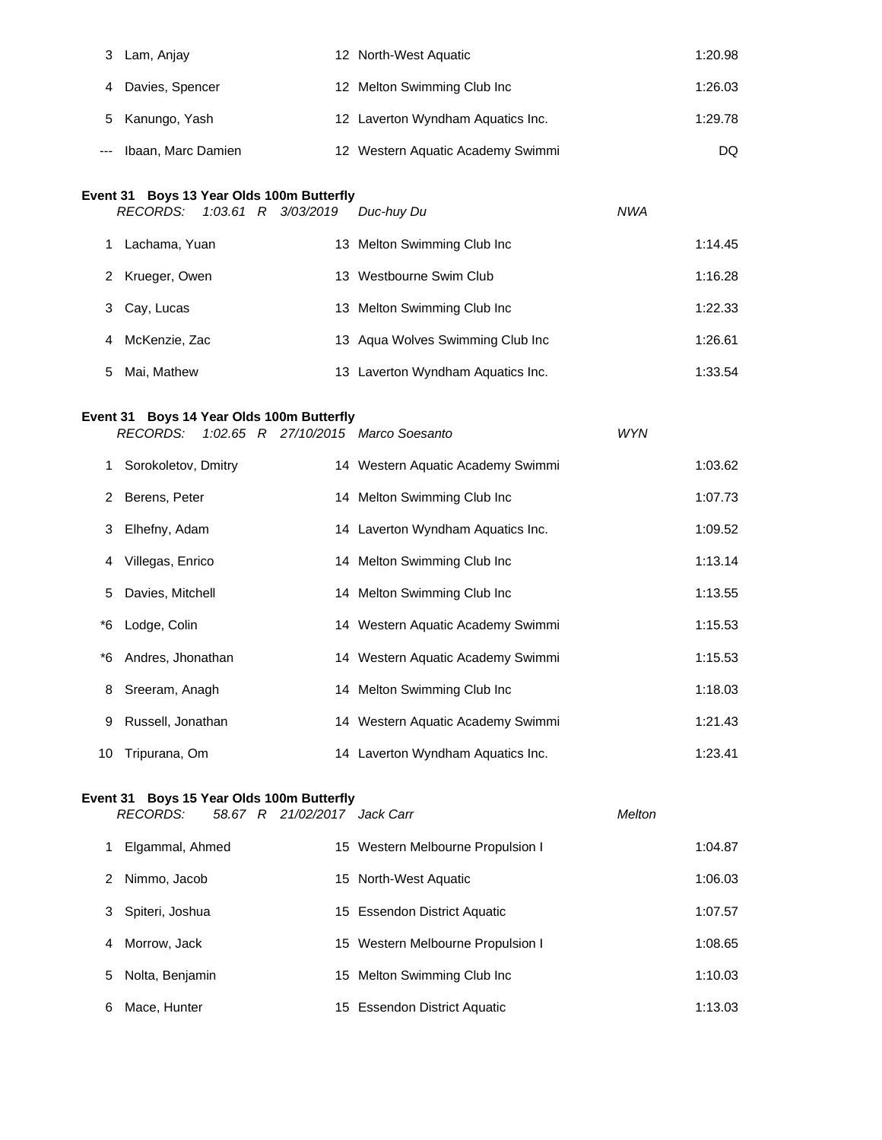| Lam, Anjay             | 12 North-West Aquatic             | 1:20.98 |
|------------------------|-----------------------------------|---------|
| Davies, Spencer        | 12 Melton Swimming Club Inc       | 1:26.03 |
| 5 Kanungo, Yash        | 12 Laverton Wyndham Aquatics Inc. | 1:29.78 |
| --- Ibaan, Marc Damien | 12 Western Aquatic Academy Swimmi | DQ.     |

#### **Event 31 Boys 13 Year Olds 100m Butterfly**

|    | RECORDS:        |  | 1:03.61 R 3/03/2019 | Duc-huv Du                        | <b>NWA</b> |         |
|----|-----------------|--|---------------------|-----------------------------------|------------|---------|
|    | Lachama, Yuan   |  |                     | 13 Melton Swimming Club Inc       |            | 1:14.45 |
| 2  | Krueger, Owen   |  |                     | 13 Westbourne Swim Club           |            | 1:16.28 |
| 3  | Cay, Lucas      |  |                     | 13 Melton Swimming Club Inc       |            | 1:22.33 |
|    | 4 McKenzie, Zac |  |                     | 13 Agua Wolves Swimming Club Inc  |            | 1:26.61 |
| 5. | Mai, Mathew     |  |                     | 13 Laverton Wyndham Aquatics Inc. |            | 1:33.54 |

# **Event 31 Boys 14 Year Olds 100m Butterfly**

*RECORDS: 1:02.65 R 27/10/2015 Marco Soesanto WYN*

|    | Sorokoletov, Dmitry | 14 Western Aquatic Academy Swimmi | 1:03.62 |
|----|---------------------|-----------------------------------|---------|
|    | 2 Berens, Peter     | 14 Melton Swimming Club Inc       | 1:07.73 |
|    | 3 Elhefny, Adam     | 14 Laverton Wyndham Aquatics Inc. | 1:09.52 |
| 4  | Villegas, Enrico    | 14 Melton Swimming Club Inc       | 1:13.14 |
|    | 5 Davies, Mitchell  | 14 Melton Swimming Club Inc       | 1:13.55 |
| *6 | Lodge, Colin        | 14 Western Aquatic Academy Swimmi | 1:15.53 |
| *6 | Andres, Jhonathan   | 14 Western Aquatic Academy Swimmi | 1:15.53 |
|    | 8 Sreeram, Anagh    | 14 Melton Swimming Club Inc       | 1:18.03 |
| 9  | Russell, Jonathan   | 14 Western Aquatic Academy Swimmi | 1:21.43 |
| 10 | Tripurana, Om       | 14 Laverton Wyndham Aquatics Inc. | 1:23.41 |

## **Event 31 Boys 15 Year Olds 100m Butterfly**

*RECORDS: 58.67 R 21/02/2017 Jack Carr Melton*

| R 21/02/2017 Jack C |  |
|---------------------|--|
|                     |  |

|   | Elgammal, Ahmed   | 15 Western Melbourne Propulsion I | 1:04.87 |
|---|-------------------|-----------------------------------|---------|
| 2 | Nimmo, Jacob      | 15 North-West Aquatic             | 1:06.03 |
|   | 3 Spiteri, Joshua | 15 Essendon District Aquatic      | 1:07.57 |
|   | 4 Morrow, Jack    | 15 Western Melbourne Propulsion I | 1:08.65 |
|   | 5 Nolta, Benjamin | 15 Melton Swimming Club Inc       | 1:10.03 |
| 6 | Mace, Hunter      | 15 Essendon District Aquatic      | 1:13.03 |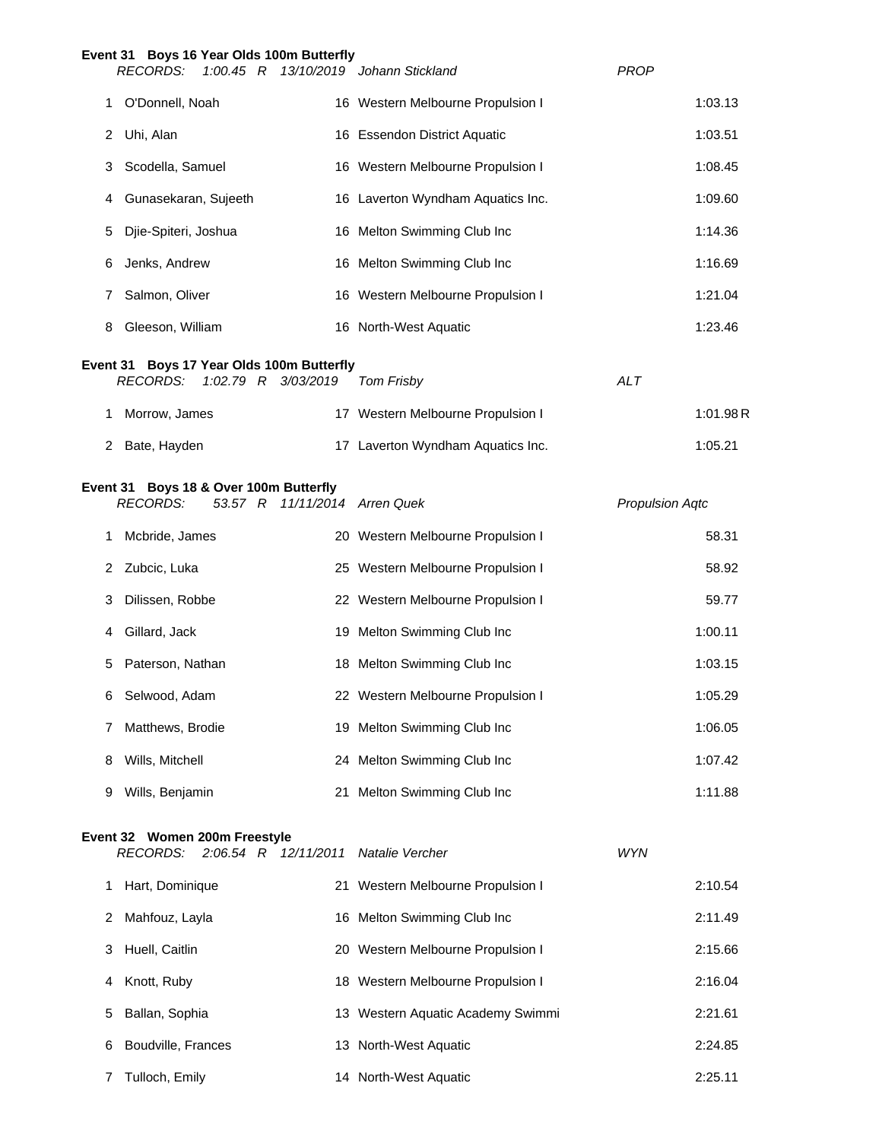|   | Event 31 Boys 16 Year Olds 100m Butterfly<br><b>RECORDS:</b> |                               | 1:00.45 R 13/10/2019 Johann Stickland | <b>PROP</b>            |
|---|--------------------------------------------------------------|-------------------------------|---------------------------------------|------------------------|
| 1 | O'Donnell, Noah                                              |                               | 16 Western Melbourne Propulsion I     | 1:03.13                |
| 2 | Uhi, Alan                                                    |                               | 16 Essendon District Aquatic          | 1:03.51                |
| 3 | Scodella, Samuel                                             |                               | 16 Western Melbourne Propulsion I     | 1:08.45                |
| 4 | Gunasekaran, Sujeeth                                         |                               | 16 Laverton Wyndham Aquatics Inc.     | 1:09.60                |
| 5 | Djie-Spiteri, Joshua                                         |                               | 16 Melton Swimming Club Inc           | 1:14.36                |
| 6 | Jenks, Andrew                                                |                               | 16 Melton Swimming Club Inc           | 1:16.69                |
| 7 | Salmon, Oliver                                               |                               | 16 Western Melbourne Propulsion I     | 1:21.04                |
| 8 | Gleeson, William                                             |                               | 16 North-West Aquatic                 | 1:23.46                |
|   | Event 31 Boys 17 Year Olds 100m Butterfly<br><b>RECORDS:</b> |                               |                                       | <b>ALT</b>             |
|   |                                                              | 1:02.79 R 3/03/2019           | Tom Frisby                            |                        |
| 1 | Morrow, James                                                |                               | 17 Western Melbourne Propulsion I     | 1:01.98R               |
| 2 | Bate, Hayden                                                 |                               | 17 Laverton Wyndham Aquatics Inc.     | 1:05.21                |
|   | Event 31 Boys 18 & Over 100m Butterfly<br><b>RECORDS:</b>    | 53.57 R 11/11/2014 Arren Quek |                                       | <b>Propulsion Aqtc</b> |
| 1 | Mcbride, James                                               |                               | 20 Western Melbourne Propulsion I     | 58.31                  |
| 2 | Zubcic, Luka                                                 |                               | 25 Western Melbourne Propulsion I     | 58.92                  |
| 3 | Dilissen, Robbe                                              |                               | 22 Western Melbourne Propulsion I     | 59.77                  |
| 4 | Gillard, Jack                                                |                               | 19 Melton Swimming Club Inc           | 1:00.11                |
| 5 | Paterson, Nathan                                             |                               | 18 Melton Swimming Club Inc           | 1:03.15                |
| 6 | Selwood, Adam                                                |                               | 22 Western Melbourne Propulsion I     | 1:05.29                |
| 7 | Matthews, Brodie                                             |                               | 19 Melton Swimming Club Inc           | 1:06.05                |
| 8 | Wills, Mitchell                                              |                               | 24 Melton Swimming Club Inc           | 1:07.42                |
| 9 | Wills, Benjamin                                              |                               | 21 Melton Swimming Club Inc           | 1:11.88                |
|   | Event 32 Women 200m Freestyle<br><b>RECORDS:</b>             | $2:06.54$ R $12/11/2011$      | Natalie Vercher                       | <b>WYN</b>             |
| 1 | Hart, Dominique                                              |                               | 21 Western Melbourne Propulsion I     | 2:10.54                |
| 2 | Mahfouz, Layla                                               |                               | 16 Melton Swimming Club Inc           | 2:11.49                |
| 3 | Huell, Caitlin                                               |                               | 20 Western Melbourne Propulsion I     | 2:15.66                |
| 4 | Knott, Ruby                                                  |                               | 18 Western Melbourne Propulsion I     | 2:16.04                |
| 5 | Ballan, Sophia                                               |                               | 13 Western Aquatic Academy Swimmi     | 2:21.61                |
| 6 | Boudville, Frances                                           |                               | 13 North-West Aquatic                 | 2:24.85                |
| 7 | Tulloch, Emily                                               |                               | 14 North-West Aquatic                 | 2:25.11                |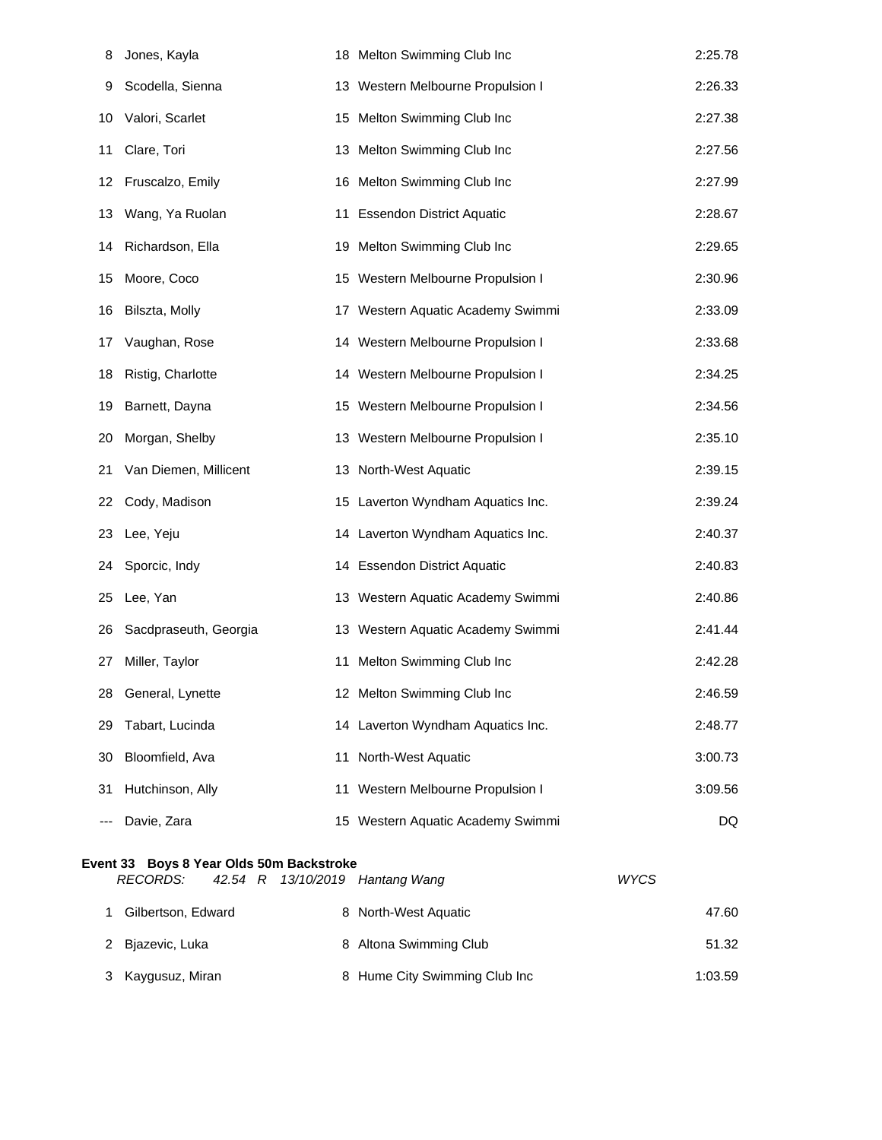| 8   | Jones, Kayla                                                           |    | 18 Melton Swimming Club Inc       | 2:25.78     |
|-----|------------------------------------------------------------------------|----|-----------------------------------|-------------|
| 9   | Scodella, Sienna                                                       |    | 13 Western Melbourne Propulsion I | 2:26.33     |
| 10  | Valori, Scarlet                                                        |    | 15 Melton Swimming Club Inc       | 2:27.38     |
| 11  | Clare, Tori                                                            |    | 13 Melton Swimming Club Inc       | 2:27.56     |
| 12  | Fruscalzo, Emily                                                       |    | 16 Melton Swimming Club Inc       | 2:27.99     |
| 13  | Wang, Ya Ruolan                                                        |    | 11 Essendon District Aquatic      | 2:28.67     |
| 14  | Richardson, Ella                                                       |    | 19 Melton Swimming Club Inc       | 2:29.65     |
| 15  | Moore, Coco                                                            |    | 15 Western Melbourne Propulsion I | 2:30.96     |
| 16  | Bilszta, Molly                                                         |    | 17 Western Aquatic Academy Swimmi | 2:33.09     |
| 17  | Vaughan, Rose                                                          |    | 14 Western Melbourne Propulsion I | 2:33.68     |
| 18  | Ristig, Charlotte                                                      |    | 14 Western Melbourne Propulsion I | 2:34.25     |
| 19  | Barnett, Dayna                                                         |    | 15 Western Melbourne Propulsion I | 2:34.56     |
| 20  | Morgan, Shelby                                                         |    | 13 Western Melbourne Propulsion I | 2:35.10     |
| 21  | Van Diemen, Millicent                                                  |    | 13 North-West Aquatic             | 2:39.15     |
| 22  | Cody, Madison                                                          |    | 15 Laverton Wyndham Aquatics Inc. | 2:39.24     |
| 23  | Lee, Yeju                                                              |    | 14 Laverton Wyndham Aquatics Inc. | 2:40.37     |
| 24  | Sporcic, Indy                                                          |    | 14 Essendon District Aquatic      | 2:40.83     |
| 25  | Lee, Yan                                                               |    | 13 Western Aquatic Academy Swimmi | 2:40.86     |
| 26  | Sacdpraseuth, Georgia                                                  |    | 13 Western Aquatic Academy Swimmi | 2:41.44     |
| 27  | Miller, Taylor                                                         | 11 | Melton Swimming Club Inc          | 2:42.28     |
| 28  | General, Lynette                                                       |    | 12 Melton Swimming Club Inc       | 2:46.59     |
| 29  | Tabart, Lucinda                                                        |    | 14 Laverton Wyndham Aquatics Inc. | 2:48.77     |
| 30  | Bloomfield, Ava                                                        |    | 11 North-West Aquatic             | 3:00.73     |
| 31  | Hutchinson, Ally                                                       |    | 11 Western Melbourne Propulsion I | 3:09.56     |
| --- | Davie, Zara                                                            |    | 15 Western Aquatic Academy Swimmi | DQ          |
|     | Event 33 Boys 8 Year Olds 50m Backstroke<br><b>RECORDS:</b><br>42.54 R |    | 13/10/2019 Hantang Wang           | <b>WYCS</b> |
| 1   | Gilbertson, Edward                                                     |    | 8 North-West Aquatic              | 47.60       |
| 2   | Bjazevic, Luka                                                         |    | 8 Altona Swimming Club            | 51.32       |
|     |                                                                        |    |                                   |             |

3 Kaygusuz, Miran 1:03.59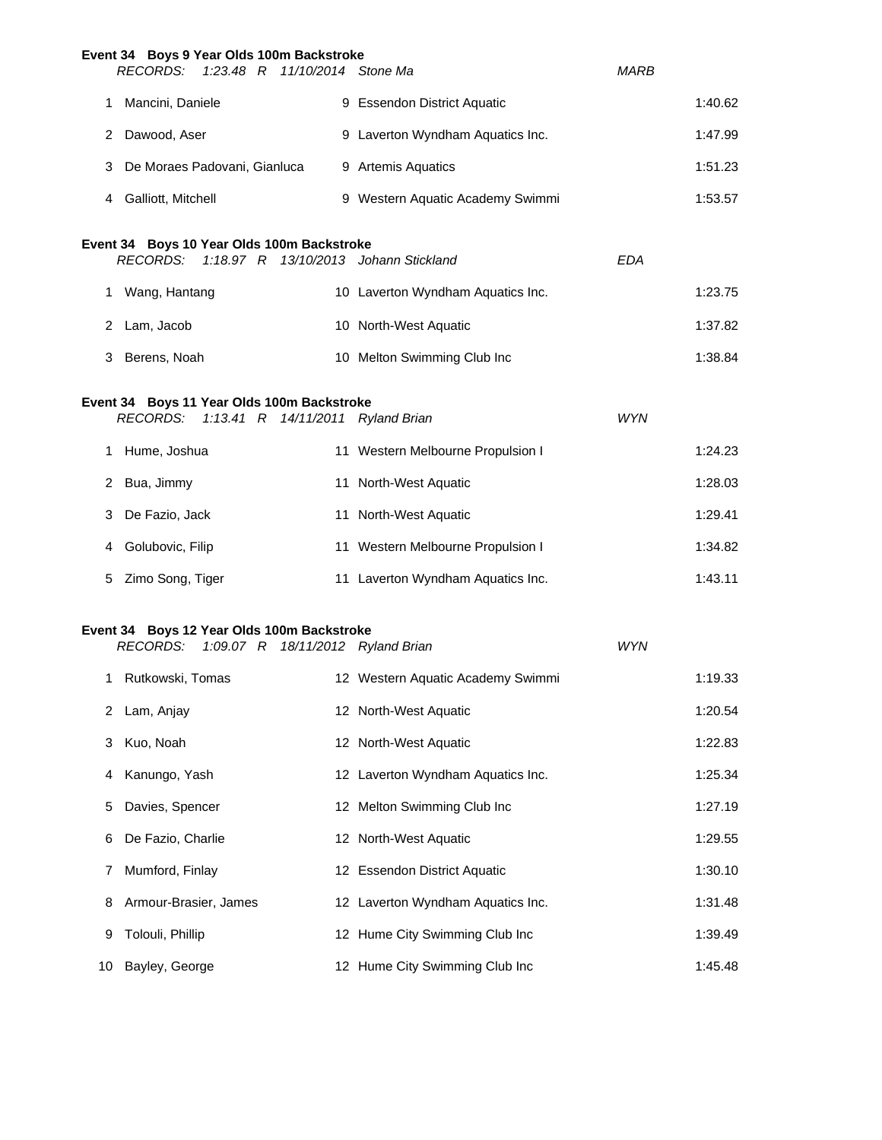|    | Event 34 Boys 9 Year Olds 100m Backstroke<br>RECORDS:         | 1:23.48 R 11/10/2014 Stone Ma |                                       | <i>MARB</i> |         |
|----|---------------------------------------------------------------|-------------------------------|---------------------------------------|-------------|---------|
|    | 1 Mancini, Daniele                                            |                               | 9 Essendon District Aquatic           |             | 1:40.62 |
|    |                                                               |                               |                                       |             |         |
|    | 2 Dawood, Aser                                                |                               | 9 Laverton Wyndham Aquatics Inc.      |             | 1:47.99 |
|    | 3 De Moraes Padovani, Gianluca                                |                               | 9 Artemis Aquatics                    | 1:51.23     |         |
|    | 4 Galliott, Mitchell                                          |                               | 9 Western Aquatic Academy Swimmi      |             | 1:53.57 |
|    | Event 34 Boys 10 Year Olds 100m Backstroke<br>RECORDS:        |                               | 1:18.97 R 13/10/2013 Johann Stickland | <b>EDA</b>  |         |
|    | 1 Wang, Hantang                                               |                               | 10 Laverton Wyndham Aquatics Inc.     | 1:23.75     |         |
|    | 2 Lam, Jacob                                                  |                               | 10 North-West Aquatic                 | 1:37.82     |         |
|    | 3 Berens, Noah                                                |                               | 10 Melton Swimming Club Inc           | 1:38.84     |         |
|    | Event 34 Boys 11 Year Olds 100m Backstroke                    |                               |                                       |             |         |
|    | RECORDS: 1:13.41 R 14/11/2011 Ryland Brian                    |                               |                                       | <b>WYN</b>  |         |
|    | 1 Hume, Joshua                                                |                               | 11 Western Melbourne Propulsion I     | 1:24.23     |         |
|    | 2 Bua, Jimmy                                                  |                               | 11 North-West Aquatic                 | 1:28.03     |         |
|    | 3 De Fazio, Jack                                              |                               | 11 North-West Aquatic                 | 1:29.41     |         |
|    | 4 Golubovic, Filip                                            |                               | 11 Western Melbourne Propulsion I     | 1:34.82     |         |
| 5  | Zimo Song, Tiger                                              |                               | 11 Laverton Wyndham Aquatics Inc.     | 1:43.11     |         |
|    |                                                               |                               |                                       |             |         |
|    | Event 34 Boys 12 Year Olds 100m Backstroke<br><b>RECORDS:</b> |                               | 1:09.07 R 18/11/2012 Ryland Brian     | <b>WYN</b>  |         |
|    | 1 Rutkowski, Tomas                                            |                               | 12 Western Aquatic Academy Swimmi     | 1:19.33     |         |
| 2  | Lam, Anjay                                                    |                               | 12 North-West Aquatic                 |             | 1:20.54 |
| 3  | Kuo, Noah                                                     |                               | 12 North-West Aquatic                 |             | 1:22.83 |
| 4  | Kanungo, Yash                                                 |                               | 12 Laverton Wyndham Aquatics Inc.     |             | 1:25.34 |
| 5  | Davies, Spencer                                               |                               | 12 Melton Swimming Club Inc           |             | 1:27.19 |
| 6  | De Fazio, Charlie                                             |                               | 12 North-West Aquatic                 |             | 1:29.55 |
| 7  | Mumford, Finlay                                               |                               | 12 Essendon District Aquatic          |             | 1:30.10 |
| 8  | Armour-Brasier, James                                         |                               | 12 Laverton Wyndham Aquatics Inc.     |             | 1:31.48 |
| 9  | Tolouli, Phillip                                              |                               | 12 Hume City Swimming Club Inc        |             | 1:39.49 |
| 10 | Bayley, George                                                |                               | 12 Hume City Swimming Club Inc        |             | 1:45.48 |
|    |                                                               |                               |                                       |             |         |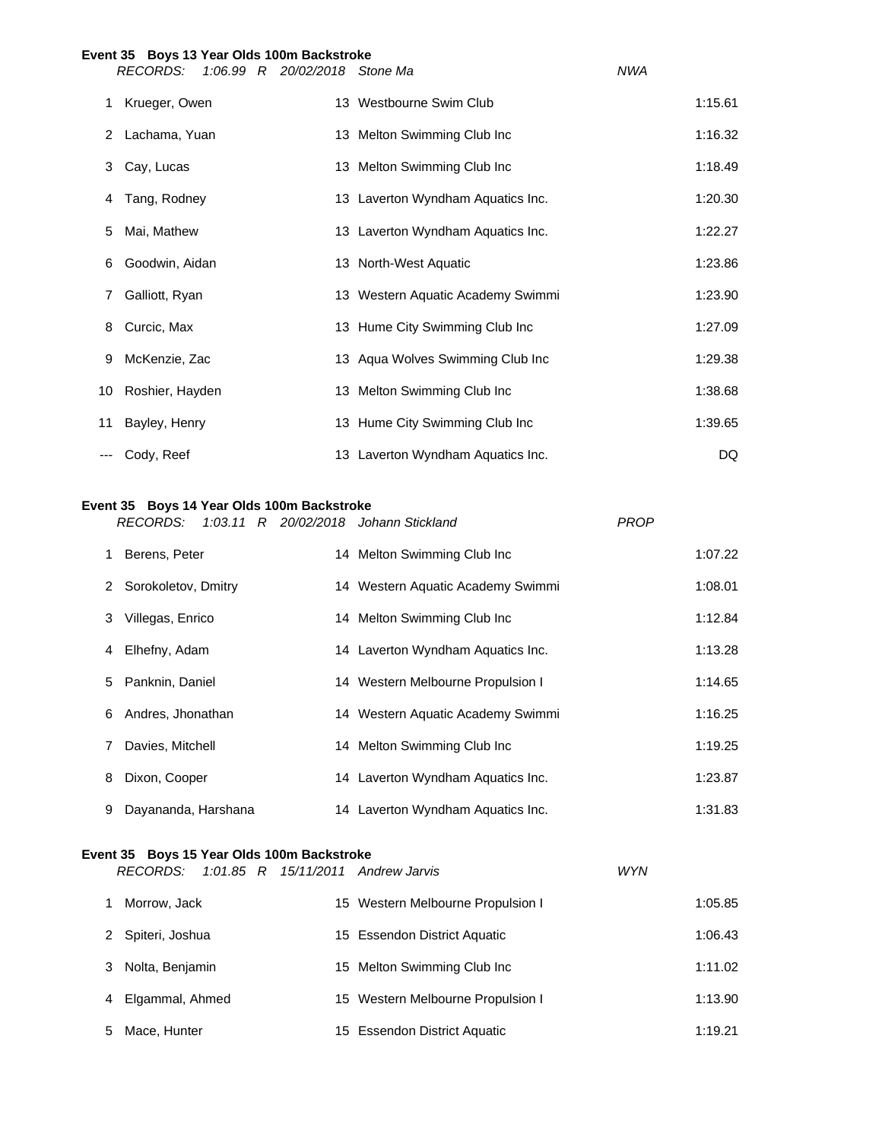|     | Event 35 Boys 13 Year Olds 100m Backstroke |                                   |            |         |
|-----|--------------------------------------------|-----------------------------------|------------|---------|
|     | RECORDS:<br>1:06.99 R 20/02/2018 Stone Ma  |                                   | <b>NWA</b> |         |
|     | 1 Krueger, Owen                            | 13 Westbourne Swim Club           |            | 1:15.61 |
|     | 2 Lachama, Yuan                            | 13 Melton Swimming Club Inc       |            | 1:16.32 |
| 3   | Cay, Lucas                                 | 13 Melton Swimming Club Inc       |            | 1:18.49 |
| 4   | Tang, Rodney                               | 13 Laverton Wyndham Aquatics Inc. |            | 1:20.30 |
| 5   | Mai, Mathew                                | 13 Laverton Wyndham Aquatics Inc. |            | 1:22.27 |
| 6   | Goodwin, Aidan                             | 13 North-West Aquatic             |            | 1:23.86 |
| 7   | Galliott, Ryan                             | 13 Western Aquatic Academy Swimmi |            | 1:23.90 |
| 8   | Curcic, Max                                | 13 Hume City Swimming Club Inc    |            | 1:27.09 |
| 9   | McKenzie, Zac                              | 13 Aqua Wolves Swimming Club Inc  |            | 1:29.38 |
| 10  | Roshier, Hayden                            | 13 Melton Swimming Club Inc       |            | 1:38.68 |
| 11  | Bayley, Henry                              | 13 Hume City Swimming Club Inc    |            | 1:39.65 |
| --- | Cody, Reef                                 | 13 Laverton Wyndham Aquatics Inc. |            | DQ      |

# **Event 35 Boys 14 Year Olds 100m Backstroke**

|   | RECORDS:              |  | 1:03.11 R 20/02/2018 Johann Stickland | <b>PROP</b> |         |
|---|-----------------------|--|---------------------------------------|-------------|---------|
|   | 1 Berens, Peter       |  | 14 Melton Swimming Club Inc           |             | 1:07.22 |
|   | 2 Sorokoletov, Dmitry |  | 14 Western Aquatic Academy Swimmi     |             | 1:08.01 |
| 3 | Villegas, Enrico      |  | 14 Melton Swimming Club Inc           |             | 1:12.84 |
|   | 4 Elhefny, Adam       |  | 14 Laverton Wyndham Aquatics Inc.     |             | 1:13.28 |
| 5 | Panknin, Daniel       |  | 14 Western Melbourne Propulsion I     |             | 1:14.65 |
|   | 6 Andres, Jhonathan   |  | 14 Western Aquatic Academy Swimmi     |             | 1:16.25 |
| 7 | Davies, Mitchell      |  | 14 Melton Swimming Club Inc           |             | 1:19.25 |
| 8 | Dixon, Cooper         |  | 14 Laverton Wyndham Aquatics Inc.     |             | 1:23.87 |
| 9 | Dayananda, Harshana   |  | 14 Laverton Wyndham Aquatics Inc.     |             | 1:31.83 |

# **Event 35 Boys 15 Year Olds 100m Backstroke**

*RECORDS: 1:01.85 R 15/11/2011 Andrew Jarvis WYN* Morrow, Jack 15 Western Melbourne Propulsion I 1:05.85 2 Spiteri, Joshua 15 Essendon District Aquatic 1:06.43 3 Nolta, Benjamin 15 Melton Swimming Club Inc 1:11.02

4 Elgammal, Ahmed 15 Western Melbourne Propulsion I 1:13.90

5 Mace, Hunter 1:19.21 15 Essendon District Aquatic 1:19.21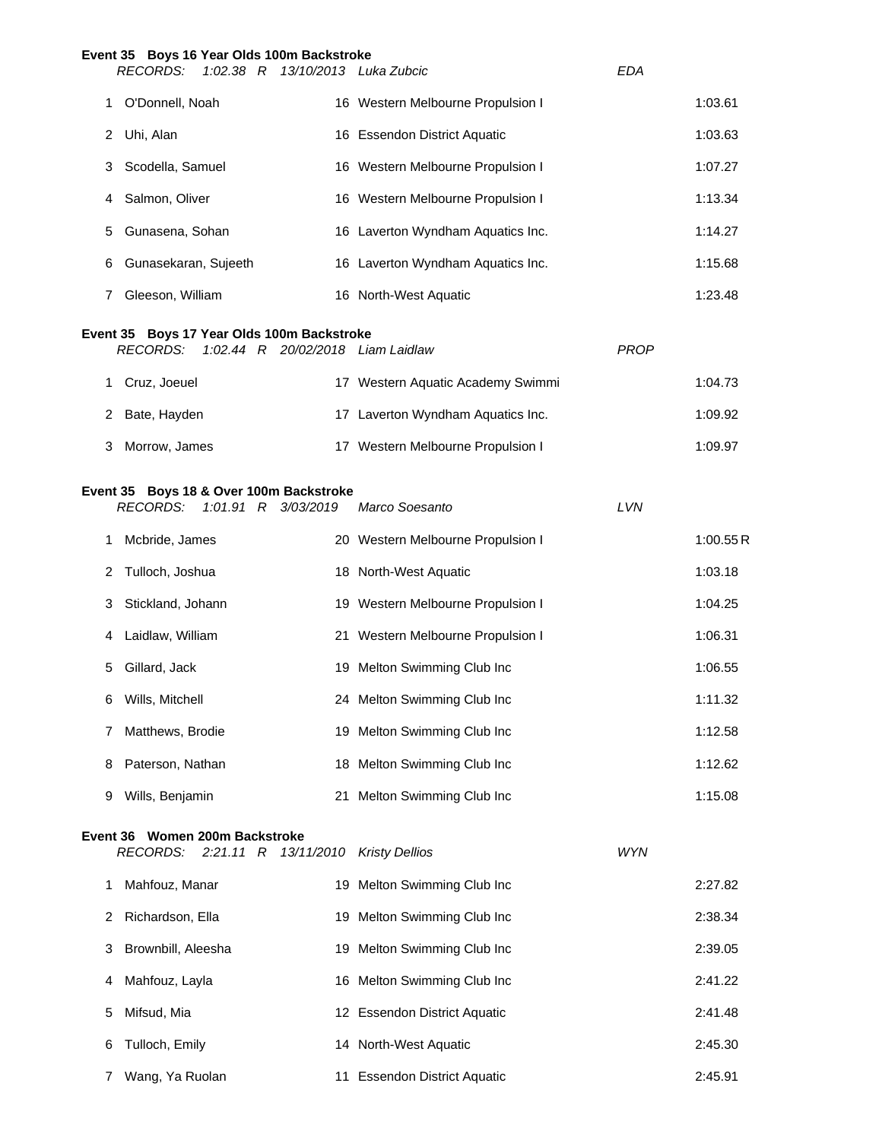|    | Event 35 Boys 16 Year Olds 100m Backstroke<br>$1:02.38$ R<br>RECORDS:                              |            | 13/10/2013 Luka Zubcic            | <b>EDA</b>  |          |
|----|----------------------------------------------------------------------------------------------------|------------|-----------------------------------|-------------|----------|
| 1  | O'Donnell, Noah                                                                                    |            | 16 Western Melbourne Propulsion I |             | 1:03.61  |
| 2  | Uhi, Alan                                                                                          |            | 16 Essendon District Aquatic      |             | 1:03.63  |
| 3  | Scodella, Samuel                                                                                   |            | 16 Western Melbourne Propulsion I |             | 1:07.27  |
| 4  | Salmon, Oliver                                                                                     |            | 16 Western Melbourne Propulsion I |             | 1:13.34  |
| 5  | Gunasena, Sohan                                                                                    |            | 16 Laverton Wyndham Aquatics Inc. |             | 1:14.27  |
| 6  | Gunasekaran, Sujeeth                                                                               |            | 16 Laverton Wyndham Aquatics Inc. |             | 1:15.68  |
| 7  | Gleeson, William                                                                                   |            | 16 North-West Aquatic             |             | 1:23.48  |
|    | Event 35 Boys 17 Year Olds 100m Backstroke<br><b>RECORDS:</b><br>1:02.44 R 20/02/2018 Liam Laidlaw |            |                                   | <b>PROP</b> |          |
| 1. | Cruz, Joeuel                                                                                       |            | 17 Western Aquatic Academy Swimmi |             | 1:04.73  |
|    | 2 Bate, Hayden                                                                                     |            | 17 Laverton Wyndham Aquatics Inc. |             | 1:09.92  |
| 3  | Morrow, James                                                                                      |            | 17 Western Melbourne Propulsion I |             | 1:09.97  |
|    | Event 35 Boys 18 & Over 100m Backstroke<br><b>RECORDS:</b><br>1:01.91 R 3/03/2019                  |            | Marco Soesanto                    | LVN         |          |
| 1  | Mcbride, James                                                                                     |            | 20 Western Melbourne Propulsion I |             | 1:00.55R |
| 2  | Tulloch, Joshua                                                                                    |            | 18 North-West Aquatic             |             | 1:03.18  |
| 3  | Stickland, Johann                                                                                  |            | 19 Western Melbourne Propulsion I |             | 1:04.25  |
| 4  | Laidlaw, William                                                                                   |            | 21 Western Melbourne Propulsion I |             | 1:06.31  |
| 5  | Gillard, Jack                                                                                      |            | 19 Melton Swimming Club Inc       |             | 1:06.55  |
| 6  | Wills, Mitchell                                                                                    |            | 24 Melton Swimming Club Inc       |             | 1:11.32  |
| 7  | Matthews, Brodie                                                                                   |            | 19 Melton Swimming Club Inc       |             | 1:12.58  |
| 8  | Paterson, Nathan                                                                                   |            | 18 Melton Swimming Club Inc       |             | 1:12.62  |
| 9  | Wills, Benjamin                                                                                    |            | 21 Melton Swimming Club Inc       |             | 1:15.08  |
|    | Event 36 Women 200m Backstroke<br><b>RECORDS:</b><br>$2:21.11$ R                                   | 13/11/2010 | <b>Kristy Dellios</b>             | <b>WYN</b>  |          |
| 1  | Mahfouz, Manar                                                                                     |            | 19 Melton Swimming Club Inc       |             | 2:27.82  |
| 2  | Richardson, Ella                                                                                   |            | 19 Melton Swimming Club Inc       |             | 2:38.34  |
| 3  | Brownbill, Aleesha                                                                                 |            | 19 Melton Swimming Club Inc       |             | 2:39.05  |
| 4  | Mahfouz, Layla                                                                                     |            | 16 Melton Swimming Club Inc       |             | 2:41.22  |
| 5  | Mifsud, Mia                                                                                        |            | 12 Essendon District Aquatic      |             | 2:41.48  |
| 6  | Tulloch, Emily                                                                                     |            | 14 North-West Aquatic             |             | 2:45.30  |
| 7  | Wang, Ya Ruolan                                                                                    |            | 11 Essendon District Aquatic      |             | 2:45.91  |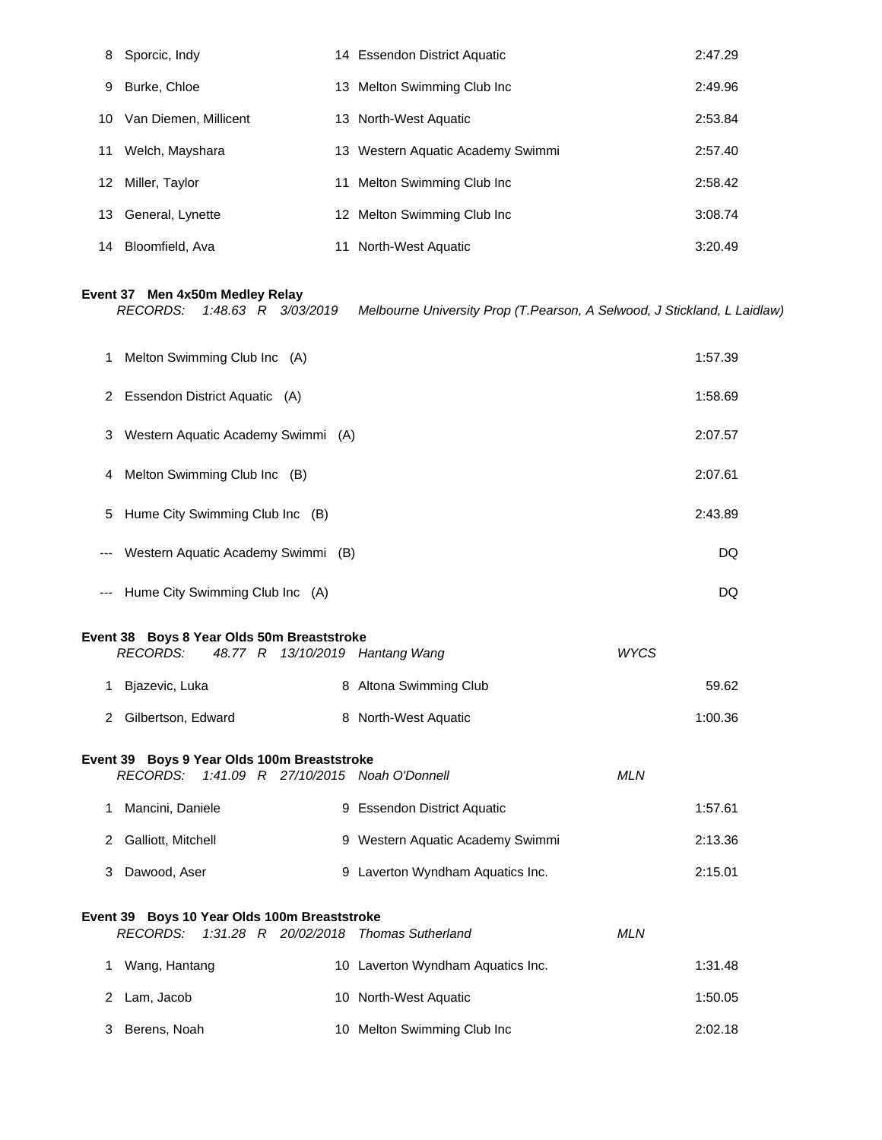| 8  | Sporcic, Indy         |    | 14 Essendon District Aquatic      | 2:47.29 |
|----|-----------------------|----|-----------------------------------|---------|
| 9  | Burke, Chloe          | 13 | Melton Swimming Club Inc          | 2:49.96 |
| 10 | Van Diemen, Millicent |    | 13 North-West Aquatic             | 2:53.84 |
| 11 | Welch, Mayshara       |    | 13 Western Aquatic Academy Swimmi | 2:57.40 |
|    | 12 Miller, Taylor     | 11 | Melton Swimming Club Inc          | 2:58.42 |
| 13 | General, Lynette      |    | 12 Melton Swimming Club Inc       | 3:08.74 |
| 14 | Bloomfield, Ava       |    | 11 North-West Aquatic             | 3:20.49 |

## **Event 37 Men 4x50m Medley Relay**

|       | <b>RECORDS:</b><br>1:48.63 R 3/03/2019                                                                    | Melbourne University Prop (T.Pearson, A Selwood, J Stickland, L Laidlaw) |             |         |
|-------|-----------------------------------------------------------------------------------------------------------|--------------------------------------------------------------------------|-------------|---------|
| 1.    | Melton Swimming Club Inc (A)                                                                              |                                                                          |             | 1:57.39 |
|       | 2 Essendon District Aquatic (A)                                                                           |                                                                          |             | 1:58.69 |
| 3.    | Western Aquatic Academy Swimmi (A)                                                                        |                                                                          |             | 2:07.57 |
| 4     | Melton Swimming Club Inc (B)                                                                              |                                                                          |             | 2:07.61 |
| 5     | Hume City Swimming Club Inc (B)                                                                           |                                                                          |             | 2:43.89 |
| ---   | Western Aquatic Academy Swimmi (B)                                                                        |                                                                          |             | DQ      |
| $---$ | Hume City Swimming Club Inc (A)                                                                           |                                                                          |             | DQ      |
|       | Event 38 Boys 8 Year Olds 50m Breaststroke<br><b>RECORDS:</b><br>48.77 R 13/10/2019 Hantang Wang          |                                                                          | <b>WYCS</b> |         |
|       | 1 Bjazevic, Luka                                                                                          | 8 Altona Swimming Club                                                   |             | 59.62   |
|       | 2 Gilbertson, Edward                                                                                      | 8 North-West Aquatic                                                     |             | 1:00.36 |
|       | Event 39 Boys 9 Year Olds 100m Breaststroke<br><b>RECORDS:</b><br>1:41.09 R 27/10/2015 Noah O'Donnell     |                                                                          | <b>MLN</b>  |         |
| 1.    | Mancini, Daniele                                                                                          | 9 Essendon District Aquatic                                              |             | 1:57.61 |
|       | 2 Galliott, Mitchell                                                                                      | 9 Western Aquatic Academy Swimmi                                         |             | 2:13.36 |
| 3     | Dawood, Aser                                                                                              | 9 Laverton Wyndham Aquatics Inc.                                         |             | 2:15.01 |
|       | Event 39 Boys 10 Year Olds 100m Breaststroke<br><b>RECORDS:</b><br>1:31.28 R 20/02/2018 Thomas Sutherland |                                                                          | <b>MLN</b>  |         |
|       | 1 Wang, Hantang                                                                                           | 10 Laverton Wyndham Aquatics Inc.                                        |             | 1:31.48 |
|       | 2 Lam, Jacob                                                                                              | 10 North-West Aquatic                                                    |             | 1:50.05 |
| 3     | Berens, Noah                                                                                              | 10 Melton Swimming Club Inc                                              |             | 2:02.18 |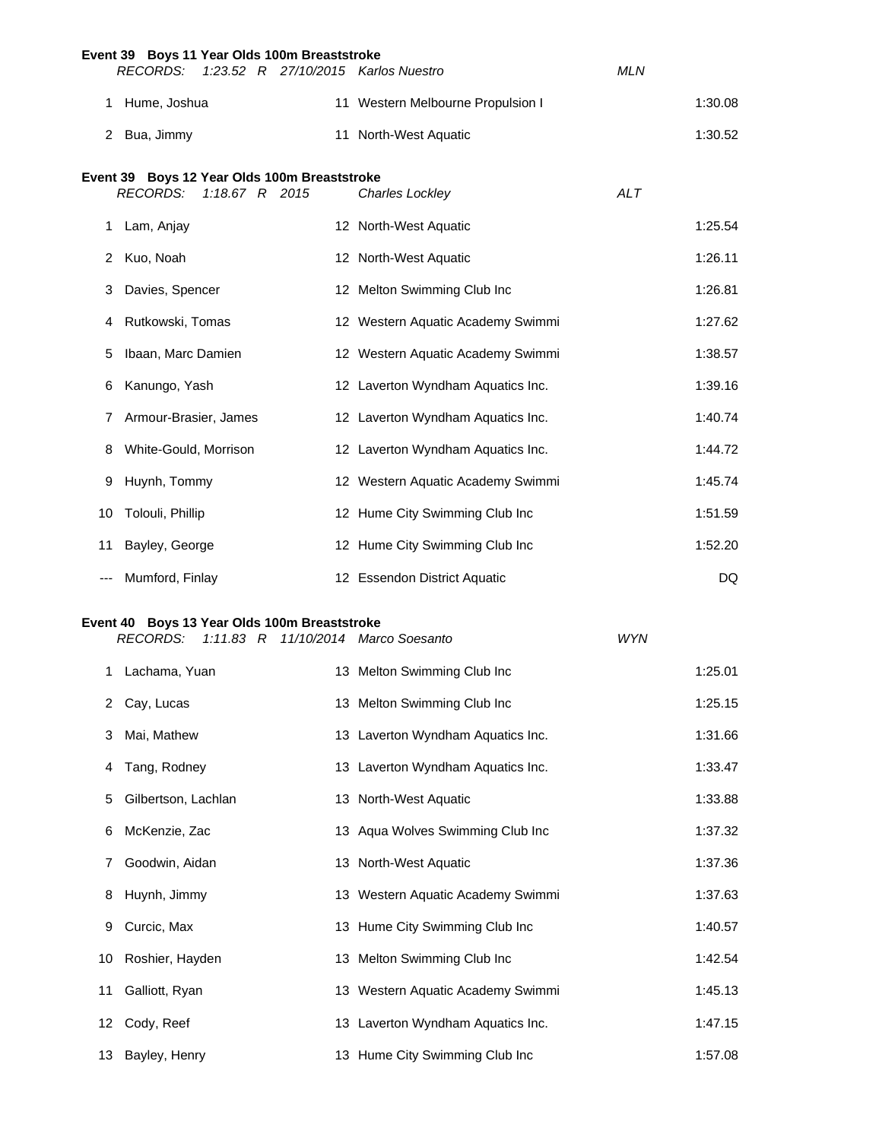|     | Event 39 Boys 11 Year Olds 100m Breaststroke                    |                    |  |                                     |            |         |
|-----|-----------------------------------------------------------------|--------------------|--|-------------------------------------|------------|---------|
|     | <b>RECORDS:</b>                                                 |                    |  | 1:23.52 R 27/10/2015 Karlos Nuestro | <b>MLN</b> |         |
| 1.  | Hume, Joshua                                                    |                    |  | 11 Western Melbourne Propulsion I   |            | 1:30.08 |
|     | 2 Bua, Jimmy                                                    |                    |  | 11 North-West Aquatic               |            | 1:30.52 |
|     | Event 39 Boys 12 Year Olds 100m Breaststroke<br><b>RECORDS:</b> | $1:18.67$ R $2015$ |  | Charles Lockley                     | <b>ALT</b> |         |
| 1.  | Lam, Anjay                                                      |                    |  | 12 North-West Aquatic               |            | 1:25.54 |
| 2   | Kuo, Noah                                                       |                    |  | 12 North-West Aquatic               |            | 1:26.11 |
| 3   | Davies, Spencer                                                 |                    |  | 12 Melton Swimming Club Inc         |            | 1:26.81 |
| 4   | Rutkowski, Tomas                                                |                    |  | 12 Western Aquatic Academy Swimmi   |            | 1:27.62 |
| 5   | Ibaan, Marc Damien                                              |                    |  | 12 Western Aquatic Academy Swimmi   |            | 1:38.57 |
| 6   | Kanungo, Yash                                                   |                    |  | 12 Laverton Wyndham Aquatics Inc.   |            | 1:39.16 |
| 7   | Armour-Brasier, James                                           |                    |  | 12 Laverton Wyndham Aquatics Inc.   |            | 1:40.74 |
| 8   | White-Gould, Morrison                                           |                    |  | 12 Laverton Wyndham Aquatics Inc.   |            | 1:44.72 |
| 9   | Huynh, Tommy                                                    |                    |  | 12 Western Aquatic Academy Swimmi   |            | 1:45.74 |
| 10  | Tolouli, Phillip                                                |                    |  | 12 Hume City Swimming Club Inc      |            | 1:51.59 |
| 11  | Bayley, George                                                  |                    |  | 12 Hume City Swimming Club Inc      |            | 1:52.20 |
| --- | Mumford, Finlay                                                 |                    |  | 12 Essendon District Aquatic        |            | DQ      |
|     | Event 40 Boys 13 Year Olds 100m Breaststroke<br><b>RECORDS:</b> |                    |  | 1:11.83 R 11/10/2014 Marco Soesanto | <b>WYN</b> |         |
| 1   | Lachama, Yuan                                                   |                    |  | 13 Melton Swimming Club Inc         |            | 1:25.01 |
| 2   | Cay, Lucas                                                      |                    |  | 13 Melton Swimming Club Inc         |            | 1:25.15 |
| 3   | Mai, Mathew                                                     |                    |  | 13 Laverton Wyndham Aquatics Inc.   |            | 1:31.66 |
| 4   | Tang, Rodney                                                    |                    |  | 13 Laverton Wyndham Aquatics Inc.   |            | 1:33.47 |
| 5   | Gilbertson, Lachlan                                             |                    |  | 13 North-West Aquatic               |            | 1:33.88 |
| 6   | McKenzie, Zac                                                   |                    |  | 13 Aqua Wolves Swimming Club Inc    |            | 1:37.32 |
| 7   | Goodwin, Aidan                                                  |                    |  | 13 North-West Aquatic               |            | 1:37.36 |
| 8   | Huynh, Jimmy                                                    |                    |  | 13 Western Aquatic Academy Swimmi   |            | 1:37.63 |
| 9   | Curcic, Max                                                     |                    |  | 13 Hume City Swimming Club Inc      |            | 1:40.57 |
| 10  | Roshier, Hayden                                                 |                    |  | 13 Melton Swimming Club Inc         |            | 1:42.54 |
| 11  | Galliott, Ryan                                                  |                    |  | 13 Western Aquatic Academy Swimmi   |            | 1:45.13 |
| 12  | Cody, Reef                                                      |                    |  | 13 Laverton Wyndham Aquatics Inc.   |            | 1:47.15 |
| 13  | Bayley, Henry                                                   |                    |  | 13 Hume City Swimming Club Inc      |            | 1:57.08 |
|     |                                                                 |                    |  |                                     |            |         |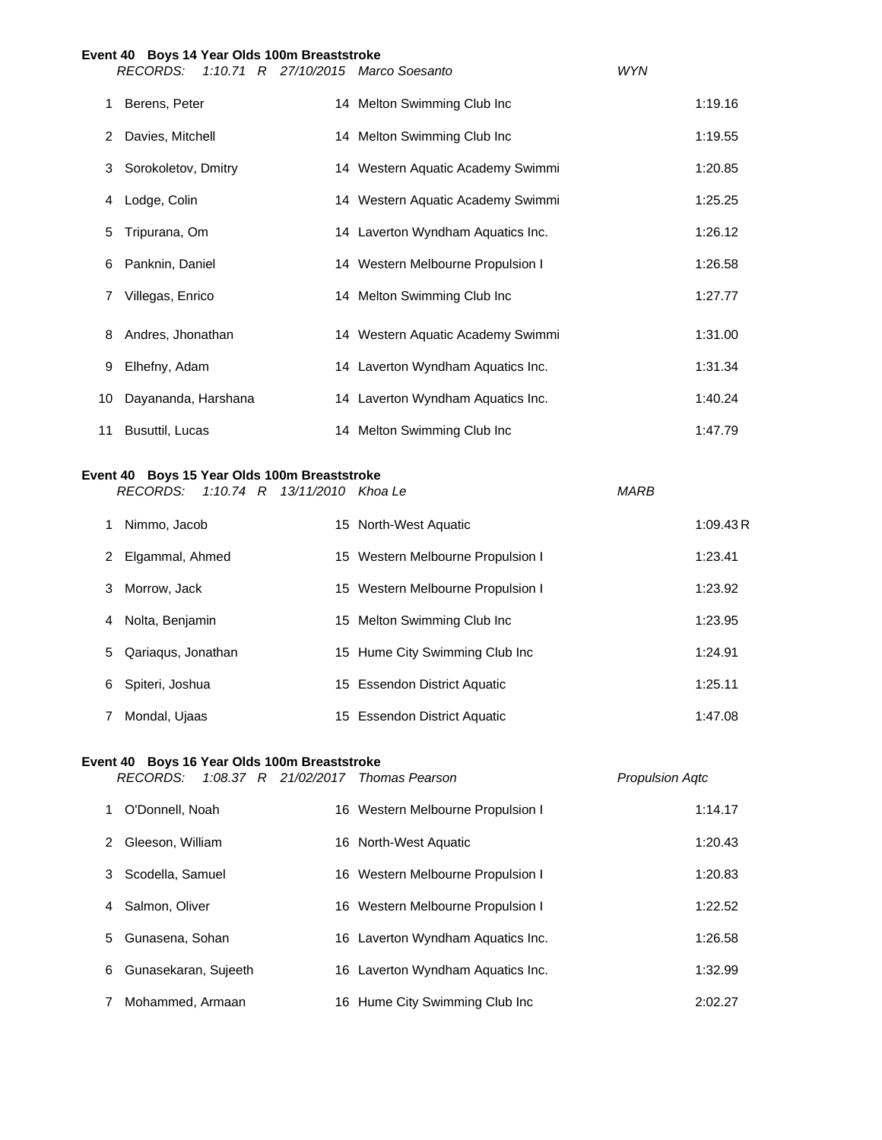|              | Event 40 Boys 14 Year Olds 100m Breaststroke |                                     |            |
|--------------|----------------------------------------------|-------------------------------------|------------|
|              | RECORDS:                                     | 1:10.71 R 27/10/2015 Marco Soesanto | <b>WYN</b> |
| 1            | Berens, Peter                                | 14 Melton Swimming Club Inc         | 1:19.16    |
| 2            | Davies, Mitchell                             | 14 Melton Swimming Club Inc         | 1:19.55    |
| 3            | Sorokoletov, Dmitry                          | 14 Western Aquatic Academy Swimmi   | 1:20.85    |
| 4            | Lodge, Colin                                 | 14 Western Aquatic Academy Swimmi   | 1:25.25    |
| 5            | Tripurana, Om                                | 14 Laverton Wyndham Aquatics Inc.   | 1:26.12    |
| 6            | Panknin, Daniel                              | 14 Western Melbourne Propulsion I   | 1:26.58    |
| $\mathbf{7}$ | Villegas, Enrico                             | 14 Melton Swimming Club Inc         | 1:27.77    |
| 8            | Andres, Jhonathan                            | 14 Western Aquatic Academy Swimmi   | 1:31.00    |
| 9            | Elhefny, Adam                                | 14 Laverton Wyndham Aquatics Inc.   | 1:31.34    |
| 10           | Dayananda, Harshana                          | 14 Laverton Wyndham Aquatics Inc.   | 1:40.24    |
| 11           | Busuttil, Lucas                              | 14 Melton Swimming Club Inc         | 1:47.79    |

## **Event 40 Boys 15 Year Olds 100m Breaststroke**

*RECORDS: 1:10.74 R 13/11/2010 Khoa Le MARB*

|   | Nimmo, Jacob       | 15 North-West Aquatic             | 1:09.43R |
|---|--------------------|-----------------------------------|----------|
| 2 | Elgammal, Ahmed    | 15 Western Melbourne Propulsion I | 1:23.41  |
| 3 | Morrow, Jack       | 15 Western Melbourne Propulsion I | 1:23.92  |
| 4 | Nolta, Benjamin    | 15 Melton Swimming Club Inc       | 1:23.95  |
| 5 | Qariagus, Jonathan | 15 Hume City Swimming Club Inc    | 1:24.91  |
| 6 | Spiteri, Joshua    | 15 Essendon District Aquatic      | 1:25.11  |
|   | Mondal, Ujaas      | 15 Essendon District Aquatic      | 1:47.08  |

#### **Event 40 Boys 16 Year Olds 100m Breaststroke**

|   | RECORDS:             |  | 1:08.37 R 21/02/2017 Thomas Pearson | <b>Propulsion Agtc</b> |
|---|----------------------|--|-------------------------------------|------------------------|
| 1 | O'Donnell, Noah      |  | 16 Western Melbourne Propulsion I   | 1:14.17                |
| 2 | Gleeson, William     |  | 16 North-West Aquatic               | 1:20.43                |
| 3 | Scodella, Samuel     |  | 16 Western Melbourne Propulsion I   | 1:20.83                |
| 4 | Salmon, Oliver       |  | 16 Western Melbourne Propulsion I   | 1:22.52                |
|   | 5 Gunasena, Sohan    |  | 16 Laverton Wyndham Aquatics Inc.   | 1:26.58                |
| 6 | Gunasekaran, Sujeeth |  | 16 Laverton Wyndham Aquatics Inc.   | 1:32.99                |
| 7 | Mohammed, Armaan     |  | 16 Hume City Swimming Club Inc      | 2:02.27                |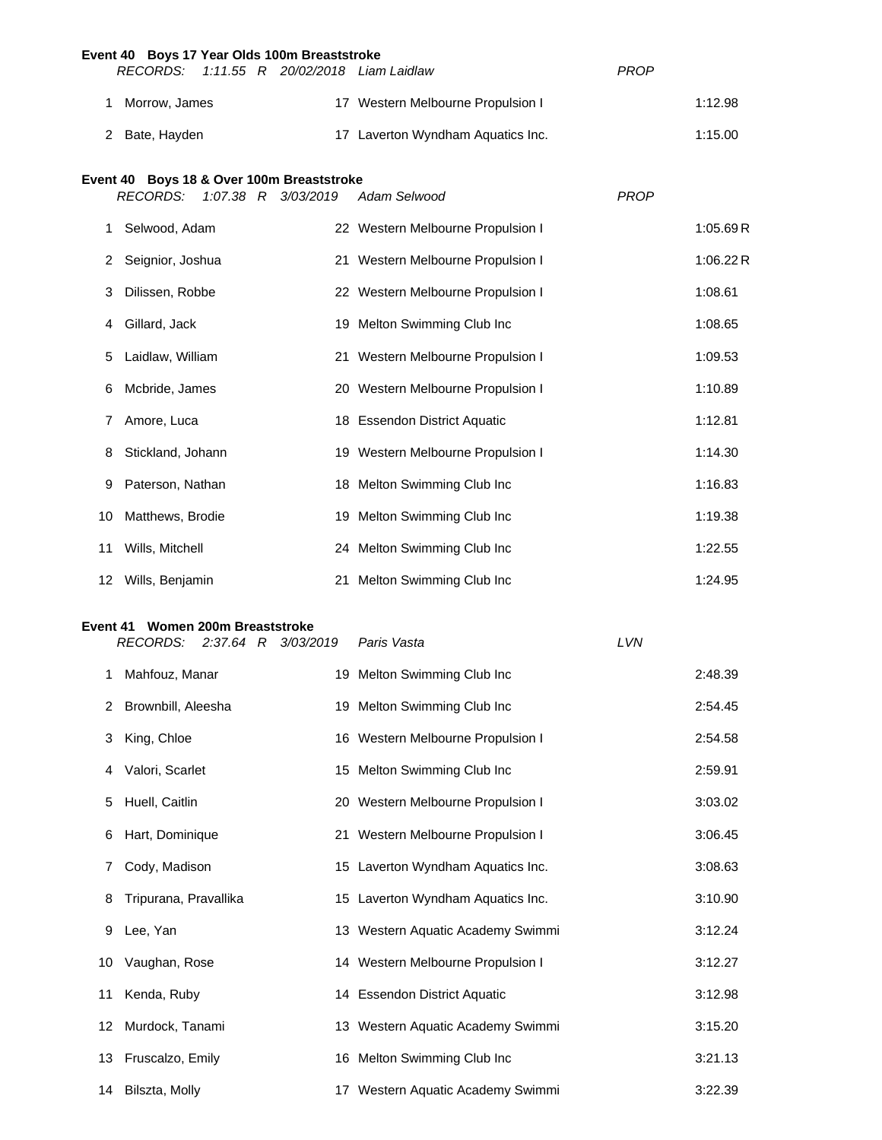|          | Event 40 Boys 17 Year Olds 100m Breaststroke<br>RECORDS:     |  |                     | 1:11.55 R 20/02/2018 Liam Laidlaw | PROP        |          |
|----------|--------------------------------------------------------------|--|---------------------|-----------------------------------|-------------|----------|
| 1.       | Morrow, James                                                |  |                     | 17 Western Melbourne Propulsion I |             | 1:12.98  |
| 2        | Bate, Hayden                                                 |  |                     | 17 Laverton Wyndham Aquatics Inc. |             | 1:15.00  |
|          |                                                              |  |                     |                                   |             |          |
|          | Event 40 Boys 18 & Over 100m Breaststroke<br><b>RECORDS:</b> |  | 1:07.38 R 3/03/2019 | Adam Selwood                      | <b>PROP</b> |          |
| 1.       | Selwood, Adam                                                |  |                     | 22 Western Melbourne Propulsion I |             | 1:05.69R |
| 2        | Seignior, Joshua                                             |  |                     | 21 Western Melbourne Propulsion I |             | 1:06.22R |
| 3        | Dilissen, Robbe                                              |  |                     | 22 Western Melbourne Propulsion I |             | 1:08.61  |
| 4        | Gillard, Jack                                                |  |                     | 19 Melton Swimming Club Inc       |             | 1:08.65  |
| 5        | Laidlaw, William                                             |  |                     | 21 Western Melbourne Propulsion I |             | 1:09.53  |
| 6        | Mcbride, James                                               |  |                     | 20 Western Melbourne Propulsion I |             | 1:10.89  |
| 7        | Amore, Luca                                                  |  |                     | 18 Essendon District Aquatic      |             | 1:12.81  |
| 8        | Stickland, Johann                                            |  |                     | 19 Western Melbourne Propulsion I |             | 1:14.30  |
| 9        | Paterson, Nathan                                             |  |                     | 18 Melton Swimming Club Inc       |             | 1:16.83  |
| 10       | Matthews, Brodie                                             |  |                     | 19 Melton Swimming Club Inc       |             | 1:19.38  |
| 11       | Wills, Mitchell                                              |  |                     | 24 Melton Swimming Club Inc       |             | 1:22.55  |
| 12       | Wills, Benjamin                                              |  |                     | 21 Melton Swimming Club Inc       |             | 1:24.95  |
|          |                                                              |  |                     |                                   |             |          |
| Event 41 | Women 200m Breaststroke<br><b>RECORDS:</b>                   |  | 2:37.64 R 3/03/2019 | Paris Vasta                       | LVN         |          |
| 1.       | Mahfouz, Manar                                               |  |                     | 19 Melton Swimming Club Inc       |             | 2:48.39  |
| 2        | Brownbill, Aleesha                                           |  |                     | 19 Melton Swimming Club Inc       |             | 2:54.45  |
| 3        | King, Chloe                                                  |  |                     | 16 Western Melbourne Propulsion I |             | 2:54.58  |
| 4        | Valori, Scarlet                                              |  |                     | 15 Melton Swimming Club Inc       |             | 2:59.91  |
| 5        | Huell, Caitlin                                               |  |                     | 20 Western Melbourne Propulsion I |             | 3:03.02  |
| 6        | Hart, Dominique                                              |  |                     | 21 Western Melbourne Propulsion I |             | 3:06.45  |
| 7        | Cody, Madison                                                |  |                     | 15 Laverton Wyndham Aquatics Inc. |             | 3:08.63  |
| 8        | Tripurana, Pravallika                                        |  |                     | 15 Laverton Wyndham Aquatics Inc. |             | 3:10.90  |
| 9        | Lee, Yan                                                     |  |                     | 13 Western Aquatic Academy Swimmi |             | 3:12.24  |
| 10       | Vaughan, Rose                                                |  |                     | 14 Western Melbourne Propulsion I |             | 3:12.27  |
| 11       | Kenda, Ruby                                                  |  |                     | 14 Essendon District Aquatic      |             | 3:12.98  |
| 12       | Murdock, Tanami                                              |  |                     | 13 Western Aquatic Academy Swimmi |             | 3:15.20  |
| 13       | Fruscalzo, Emily                                             |  |                     | 16 Melton Swimming Club Inc       |             | 3:21.13  |
| 14       | Bilszta, Molly                                               |  |                     | 17 Western Aquatic Academy Swimmi |             | 3:22.39  |
|          |                                                              |  |                     |                                   |             |          |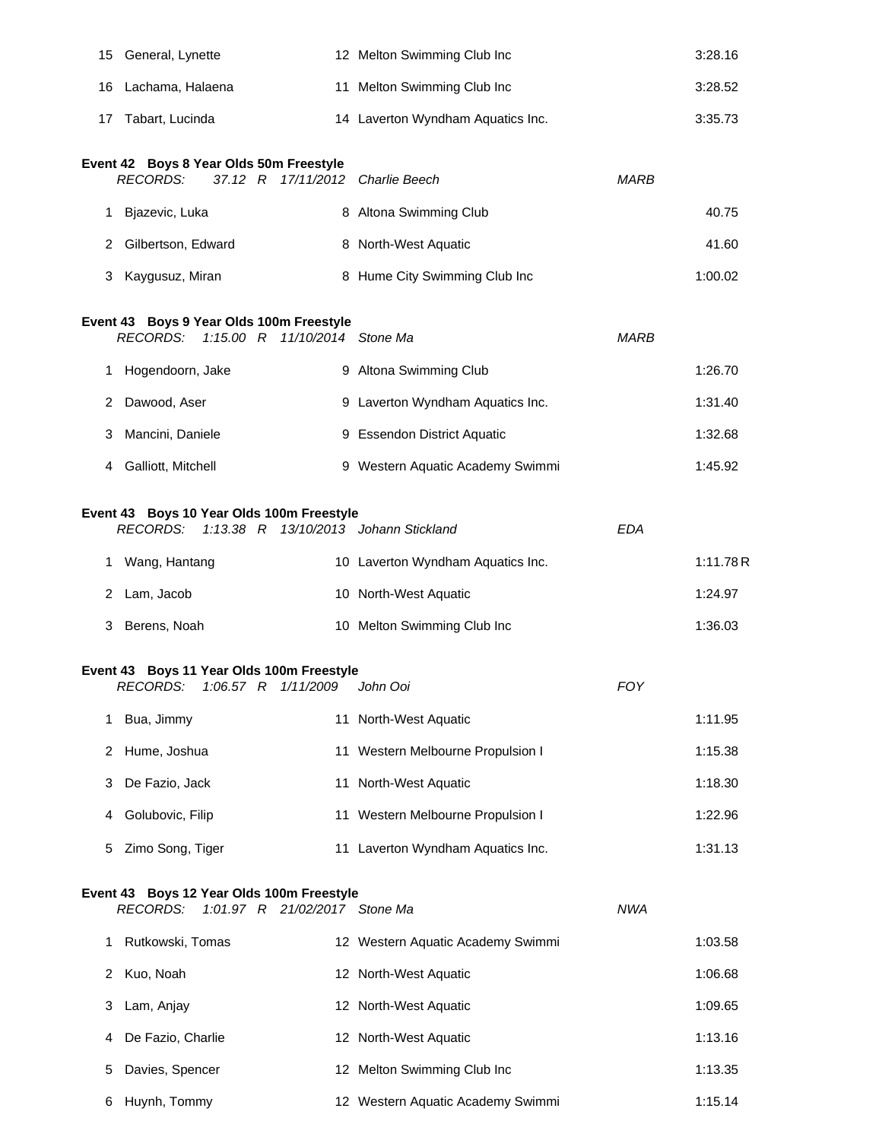| 15 | General, Lynette                                                                                      | 12 Melton Swimming Club Inc       |             | 3:28.16   |
|----|-------------------------------------------------------------------------------------------------------|-----------------------------------|-------------|-----------|
|    | 16 Lachama, Halaena                                                                                   | 11 Melton Swimming Club Inc       |             | 3:28.52   |
| 17 | Tabart, Lucinda                                                                                       | 14 Laverton Wyndham Aquatics Inc. |             | 3:35.73   |
|    | Event 42 Boys 8 Year Olds 50m Freestyle<br><b>RECORDS:</b><br>37.12 R 17/11/2012 Charlie Beech        |                                   | MARB        |           |
|    | 1 Bjazevic, Luka                                                                                      | 8 Altona Swimming Club            |             | 40.75     |
| 2  | Gilbertson, Edward                                                                                    | 8 North-West Aquatic              |             | 41.60     |
| 3  | Kaygusuz, Miran                                                                                       | 8 Hume City Swimming Club Inc     |             | 1:00.02   |
|    | Event 43 Boys 9 Year Olds 100m Freestyle<br><b>RECORDS:</b><br>1:15.00 R 11/10/2014 Stone Ma          |                                   | <b>MARB</b> |           |
| 1. | Hogendoorn, Jake                                                                                      | 9 Altona Swimming Club            |             | 1:26.70   |
| 2  | Dawood, Aser                                                                                          | 9 Laverton Wyndham Aquatics Inc.  |             | 1:31.40   |
| 3  | Mancini, Daniele                                                                                      | 9 Essendon District Aquatic       |             | 1:32.68   |
|    | 4 Galliott, Mitchell                                                                                  | 9 Western Aquatic Academy Swimmi  |             | 1:45.92   |
|    | Event 43 Boys 10 Year Olds 100m Freestyle<br><b>RECORDS:</b><br>1:13.38 R 13/10/2013 Johann Stickland |                                   | <b>EDA</b>  |           |
|    | 1 Wang, Hantang                                                                                       | 10 Laverton Wyndham Aquatics Inc. |             | 1:11.78 R |
|    | 2 Lam, Jacob                                                                                          | 10 North-West Aquatic             |             | 1:24.97   |
| 3  | Berens, Noah                                                                                          | 10 Melton Swimming Club Inc       |             | 1:36.03   |
|    | Event 43 Boys 11 Year Olds 100m Freestyle<br><b>RECORDS:</b><br>1:06.57 $R$<br>1/11/2009              | John Ooi                          | <b>FOY</b>  |           |
| 1. | Bua, Jimmy                                                                                            | 11 North-West Aquatic             |             | 1:11.95   |
| 2  | Hume, Joshua                                                                                          | 11 Western Melbourne Propulsion I |             | 1:15.38   |
| 3  | De Fazio, Jack                                                                                        | 11 North-West Aquatic             |             | 1:18.30   |
| 4  | Golubovic, Filip                                                                                      | 11 Western Melbourne Propulsion I |             | 1:22.96   |
| 5  | Zimo Song, Tiger                                                                                      | 11 Laverton Wyndham Aquatics Inc. |             | 1:31.13   |
|    | Event 43 Boys 12 Year Olds 100m Freestyle<br><b>RECORDS:</b><br>1:01.97 R 21/02/2017 Stone Ma         |                                   | <b>NWA</b>  |           |
| 1. | Rutkowski, Tomas                                                                                      | 12 Western Aquatic Academy Swimmi |             | 1:03.58   |
| 2  | Kuo, Noah                                                                                             | 12 North-West Aquatic             |             | 1:06.68   |
| 3  | Lam, Anjay                                                                                            | 12 North-West Aquatic             |             | 1:09.65   |
| 4  | De Fazio, Charlie                                                                                     | 12 North-West Aquatic             |             | 1:13.16   |
| 5  | Davies, Spencer                                                                                       | 12 Melton Swimming Club Inc       |             | 1:13.35   |
| 6  | Huynh, Tommy                                                                                          | 12 Western Aquatic Academy Swimmi |             | 1:15.14   |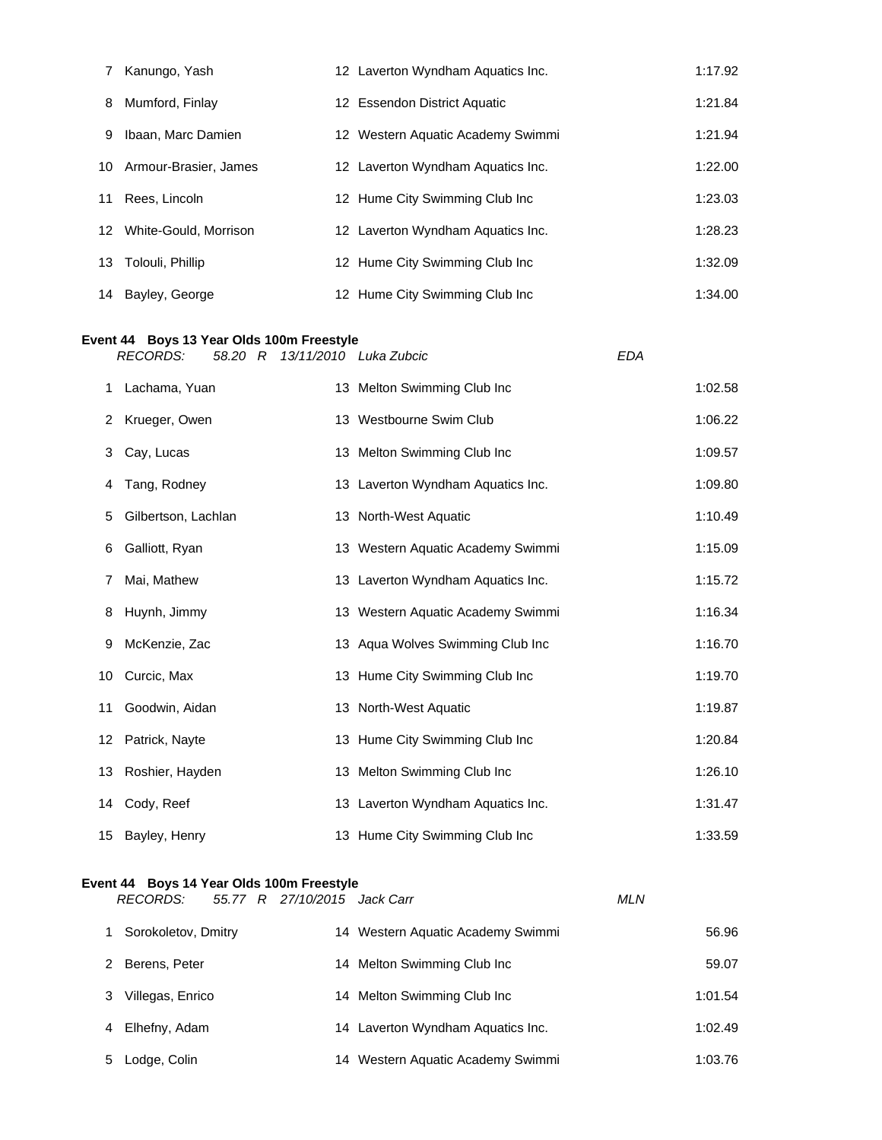| 7  | Kanungo, Yash                                                                                | 12 Laverton Wyndham Aquatics Inc. |            | 1:17.92 |
|----|----------------------------------------------------------------------------------------------|-----------------------------------|------------|---------|
| 8  | Mumford, Finlay                                                                              | 12 Essendon District Aquatic      |            | 1:21.84 |
| 9  | Ibaan, Marc Damien                                                                           | 12 Western Aquatic Academy Swimmi |            | 1:21.94 |
| 10 | Armour-Brasier, James                                                                        | 12 Laverton Wyndham Aquatics Inc. |            | 1:22.00 |
| 11 | Rees, Lincoln                                                                                | 12 Hume City Swimming Club Inc    |            | 1:23.03 |
| 12 | White-Gould, Morrison                                                                        | 12 Laverton Wyndham Aquatics Inc. |            | 1:28.23 |
| 13 | Tolouli, Phillip                                                                             | 12 Hume City Swimming Club Inc    |            | 1:32.09 |
| 14 | Bayley, George                                                                               | 12 Hume City Swimming Club Inc    |            | 1:34.00 |
|    | Event 44 Boys 13 Year Olds 100m Freestyle<br><b>RECORDS:</b><br>58.20 R                      | 13/11/2010 Luka Zubcic            | <b>EDA</b> |         |
| 1  | Lachama, Yuan                                                                                | 13 Melton Swimming Club Inc       |            | 1:02.58 |
| 2  | Krueger, Owen                                                                                | 13 Westbourne Swim Club           |            | 1:06.22 |
| 3  | Cay, Lucas                                                                                   | 13 Melton Swimming Club Inc       |            | 1:09.57 |
| 4  | Tang, Rodney                                                                                 | 13 Laverton Wyndham Aquatics Inc. |            | 1:09.80 |
| 5  | Gilbertson, Lachlan                                                                          | 13 North-West Aquatic             |            | 1:10.49 |
| 6  | Galliott, Ryan                                                                               | 13 Western Aquatic Academy Swimmi |            | 1:15.09 |
| 7  | Mai, Mathew                                                                                  | 13 Laverton Wyndham Aquatics Inc. |            | 1:15.72 |
| 8  | Huynh, Jimmy                                                                                 | 13 Western Aquatic Academy Swimmi |            | 1:16.34 |
| 9  | McKenzie, Zac                                                                                | 13 Aqua Wolves Swimming Club Inc  |            | 1:16.70 |
| 10 | Curcic, Max                                                                                  | 13 Hume City Swimming Club Inc    |            | 1:19.70 |
| 11 | Goodwin, Aidan                                                                               | 13 North-West Aquatic             |            | 1:19.87 |
| 12 | Patrick, Nayte                                                                               | 13 Hume City Swimming Club Inc    |            | 1:20.84 |
| 13 | Roshier, Hayden                                                                              | 13 Melton Swimming Club Inc       |            | 1:26.10 |
| 14 | Cody, Reef                                                                                   | 13 Laverton Wyndham Aquatics Inc. |            | 1:31.47 |
| 15 | Bayley, Henry                                                                                | 13 Hume City Swimming Club Inc    |            | 1:33.59 |
|    | Event 44 Boys 14 Year Olds 100m Freestyle<br><b>RECORDS:</b><br>55.77 R 27/10/2015 Jack Carr |                                   | <b>MLN</b> |         |
| 1. | Sorokoletov, Dmitry                                                                          | 14 Western Aquatic Academy Swimmi |            | 56.96   |
| 2  | Berens, Peter                                                                                | 14 Melton Swimming Club Inc       |            | 59.07   |

3 Villegas, Enrico 14 Melton Swimming Club Inc 1:01.54

4 Elhefny, Adam 14 Laverton Wyndham Aquatics Inc. 1:02.49

Lodge, Colin 14 Western Aquatic Academy Swimmi 1:03.76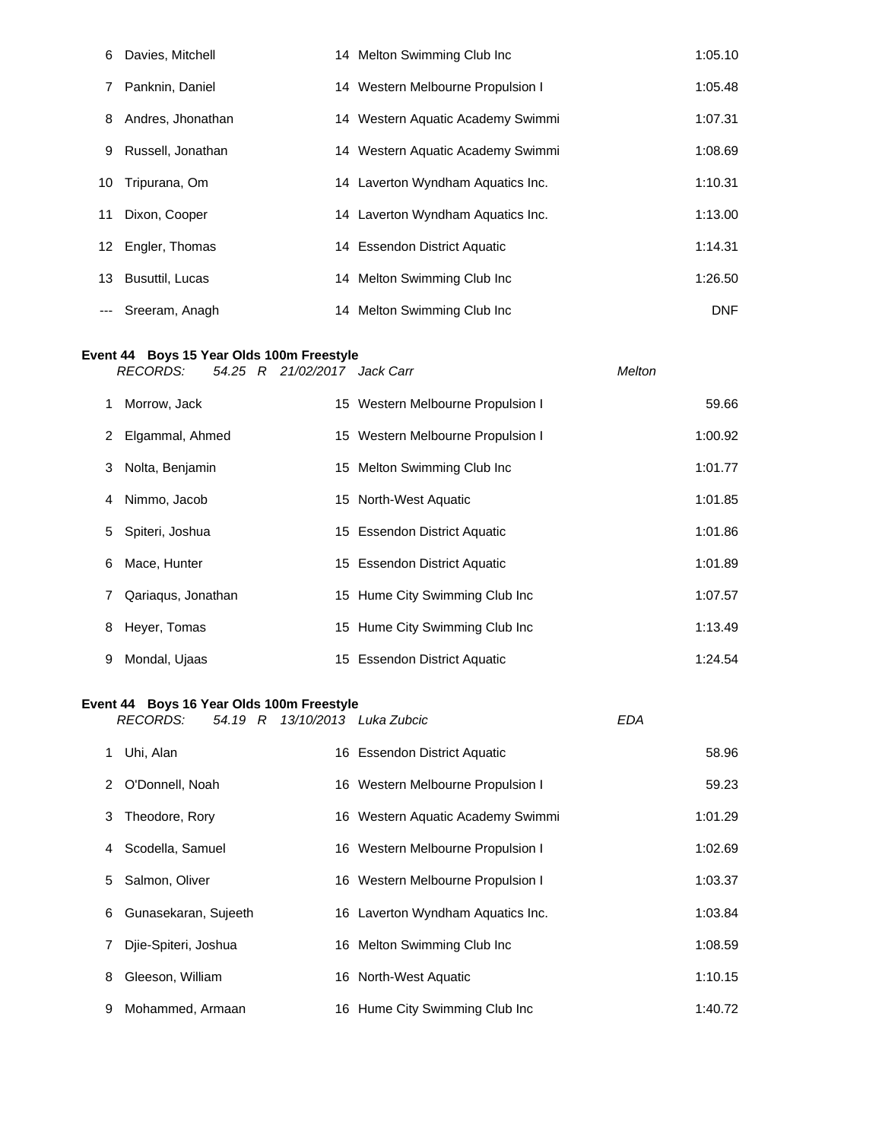| 6  | Davies, Mitchell   | 14 Melton Swimming Club Inc       | 1:05.10    |
|----|--------------------|-----------------------------------|------------|
| 7  | Panknin, Daniel    | 14 Western Melbourne Propulsion I | 1:05.48    |
| 8  | Andres, Jhonathan  | 14 Western Aquatic Academy Swimmi | 1:07.31    |
| 9  | Russell, Jonathan  | 14 Western Aquatic Academy Swimmi | 1:08.69    |
| 10 | Tripurana, Om      | 14 Laverton Wyndham Aquatics Inc. | 1:10.31    |
| 11 | Dixon, Cooper      | 14 Laverton Wyndham Aquatics Inc. | 1:13.00    |
|    | 12 Engler, Thomas  | 14 Essendon District Aquatic      | 1:14.31    |
|    | 13 Busuttil, Lucas | 14 Melton Swimming Club Inc       | 1:26.50    |
|    | --- Sreeram, Anagh | 14 Melton Swimming Club Inc       | <b>DNF</b> |

#### **Event 44 Boys 15 Year Olds 100m Freestyle** *RECORDS: 54.25 R 21/02/2017 Jack Carr Melton*

|   | 1 Morrow, Jack     | 15 Western Melbourne Propulsion I | 59.66   |
|---|--------------------|-----------------------------------|---------|
|   | 2 Elgammal, Ahmed  | 15 Western Melbourne Propulsion I | 1:00.92 |
|   | 3 Nolta, Benjamin  | 15 Melton Swimming Club Inc       | 1:01.77 |
|   | 4 Nimmo, Jacob     | 15 North-West Aquatic             | 1:01.85 |
|   | 5 Spiteri, Joshua  | 15 Essendon District Aquatic      | 1:01.86 |
| 6 | Mace, Hunter       | 15 Essendon District Aquatic      | 1:01.89 |
| 7 | Qariaqus, Jonathan | 15 Hume City Swimming Club Inc    | 1:07.57 |
|   | 8 Heyer, Tomas     | 15 Hume City Swimming Club Inc    | 1:13.49 |
| 9 | Mondal, Ujaas      | 15 Essendon District Aquatic      | 1:24.54 |

## **Event 44 Boys 16 Year Olds 100m Freestyle**

|             | <b>RECORDS:</b>        |  | 54.19 R 13/10/2013 Luka Zubcic    | <b>EDA</b> |         |
|-------------|------------------------|--|-----------------------------------|------------|---------|
| 1           | Uhi, Alan              |  | 16 Essendon District Aquatic      |            | 58.96   |
|             | 2 O'Donnell, Noah      |  | 16 Western Melbourne Propulsion I |            | 59.23   |
|             | 3 Theodore, Rory       |  | 16 Western Aquatic Academy Swimmi |            | 1:01.29 |
|             | 4 Scodella, Samuel     |  | 16 Western Melbourne Propulsion I |            | 1:02.69 |
| 5           | Salmon, Oliver         |  | 16 Western Melbourne Propulsion I |            | 1:03.37 |
|             | 6 Gunasekaran, Sujeeth |  | 16 Laverton Wyndham Aquatics Inc. |            | 1:03.84 |
| $7^{\circ}$ | Diie-Spiteri, Joshua   |  | 16 Melton Swimming Club Inc       |            | 1:08.59 |
| 8           | Gleeson, William       |  | 16 North-West Aquatic             |            | 1:10.15 |
| 9           | Mohammed, Armaan       |  | 16 Hume City Swimming Club Inc    |            | 1:40.72 |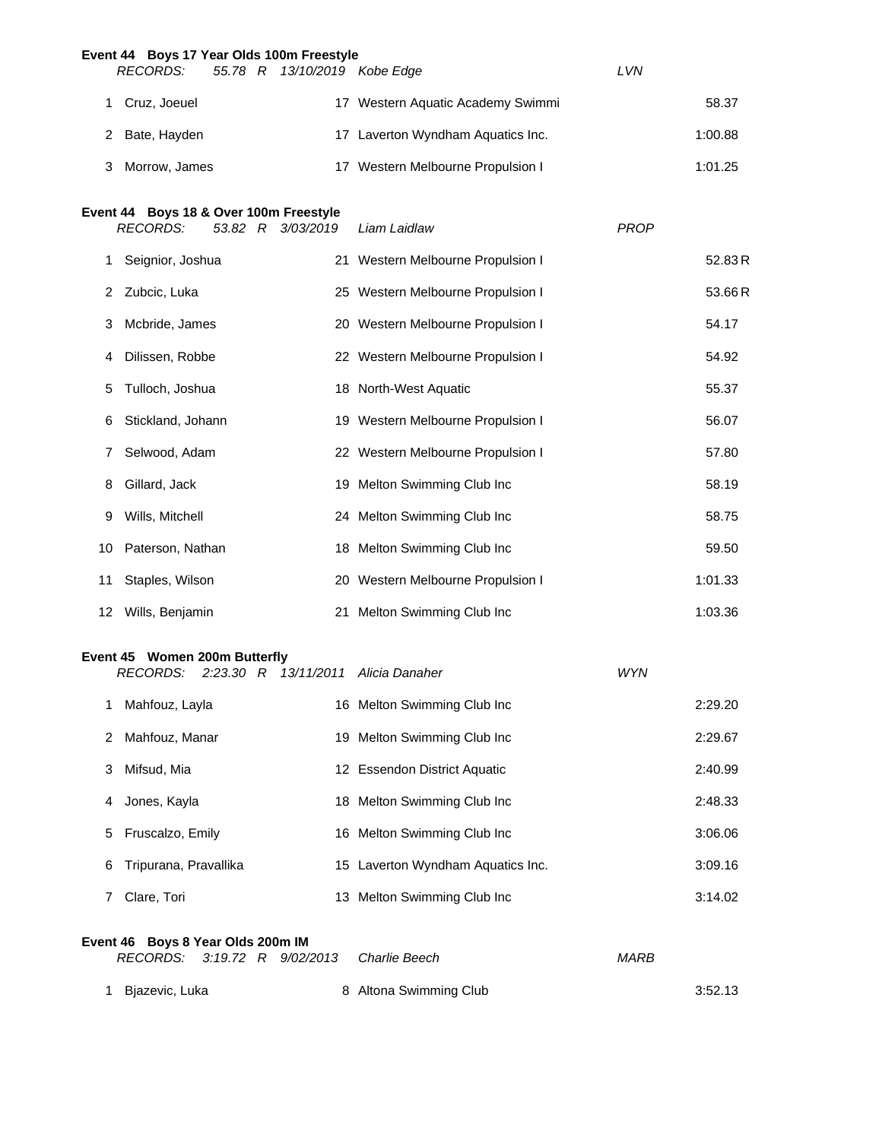|          | Event 44 Boys 17 Year Olds 100m Freestyle                 |           |           |                                     |             |         |
|----------|-----------------------------------------------------------|-----------|-----------|-------------------------------------|-------------|---------|
|          | <b>RECORDS:</b>                                           | 55.78 R   |           | 13/10/2019 Kobe Edge                | LVN         |         |
| 1.       | Cruz, Joeuel                                              |           |           | 17 Western Aquatic Academy Swimmi   |             | 58.37   |
| 2        | Bate, Hayden                                              |           |           | 17 Laverton Wyndham Aquatics Inc.   |             | 1:00.88 |
| 3        | Morrow, James                                             |           |           | 17 Western Melbourne Propulsion I   |             | 1:01.25 |
|          |                                                           |           |           |                                     |             |         |
|          | Event 44 Boys 18 & Over 100m Freestyle<br><b>RECORDS:</b> | 53.82 R   | 3/03/2019 | Liam Laidlaw                        | <b>PROP</b> |         |
| 1.       | Seignior, Joshua                                          |           |           | 21 Western Melbourne Propulsion I   |             | 52.83R  |
| 2        | Zubcic, Luka                                              |           |           | 25 Western Melbourne Propulsion I   |             | 53.66R  |
| 3        | Mcbride, James                                            |           |           | 20 Western Melbourne Propulsion I   |             | 54.17   |
| 4        | Dilissen, Robbe                                           |           |           | 22 Western Melbourne Propulsion I   |             | 54.92   |
| 5        | Tulloch, Joshua                                           |           |           | 18 North-West Aquatic               |             | 55.37   |
| 6        | Stickland, Johann                                         |           |           | 19 Western Melbourne Propulsion I   |             | 56.07   |
| 7        | Selwood, Adam                                             |           |           | 22 Western Melbourne Propulsion I   |             | 57.80   |
| 8        | Gillard, Jack                                             |           |           | 19 Melton Swimming Club Inc         |             | 58.19   |
| 9        | Wills, Mitchell                                           |           |           | 24 Melton Swimming Club Inc         |             | 58.75   |
| 10       | Paterson, Nathan                                          |           |           | 18 Melton Swimming Club Inc         |             | 59.50   |
| 11       | Staples, Wilson                                           |           |           | 20 Western Melbourne Propulsion I   |             | 1:01.33 |
|          | 12 Wills, Benjamin                                        |           |           | 21 Melton Swimming Club Inc         |             | 1:03.36 |
|          |                                                           |           |           |                                     |             |         |
|          | Event 45 Women 200m Butterfly<br><b>RECORDS:</b>          |           |           | 2:23.30 R 13/11/2011 Alicia Danaher | WYN         |         |
| 1        | Mahfouz, Layla                                            |           |           | 16 Melton Swimming Club Inc         |             | 2:29.20 |
| 2        | Mahfouz, Manar                                            |           |           | 19 Melton Swimming Club Inc         |             | 2:29.67 |
| 3        | Mifsud, Mia                                               |           |           | 12 Essendon District Aquatic        |             | 2:40.99 |
| 4        | Jones, Kayla                                              |           |           | 18 Melton Swimming Club Inc         |             | 2:48.33 |
| 5        | Fruscalzo, Emily                                          |           |           | 16 Melton Swimming Club Inc         |             | 3:06.06 |
| 6        | Tripurana, Pravallika                                     |           |           | 15 Laverton Wyndham Aquatics Inc.   |             | 3:09.16 |
| 7        | Clare, Tori                                               |           |           | 13 Melton Swimming Club Inc         |             | 3:14.02 |
|          |                                                           |           |           |                                     |             |         |
| Event 46 | Boys 8 Year Olds 200m IM<br><b>RECORDS:</b>               | 3:19.72 R | 9/02/2013 | Charlie Beech                       | <b>MARB</b> |         |

1 Bjazevic, Luka **8 Altona Swimming Club** 3:52.13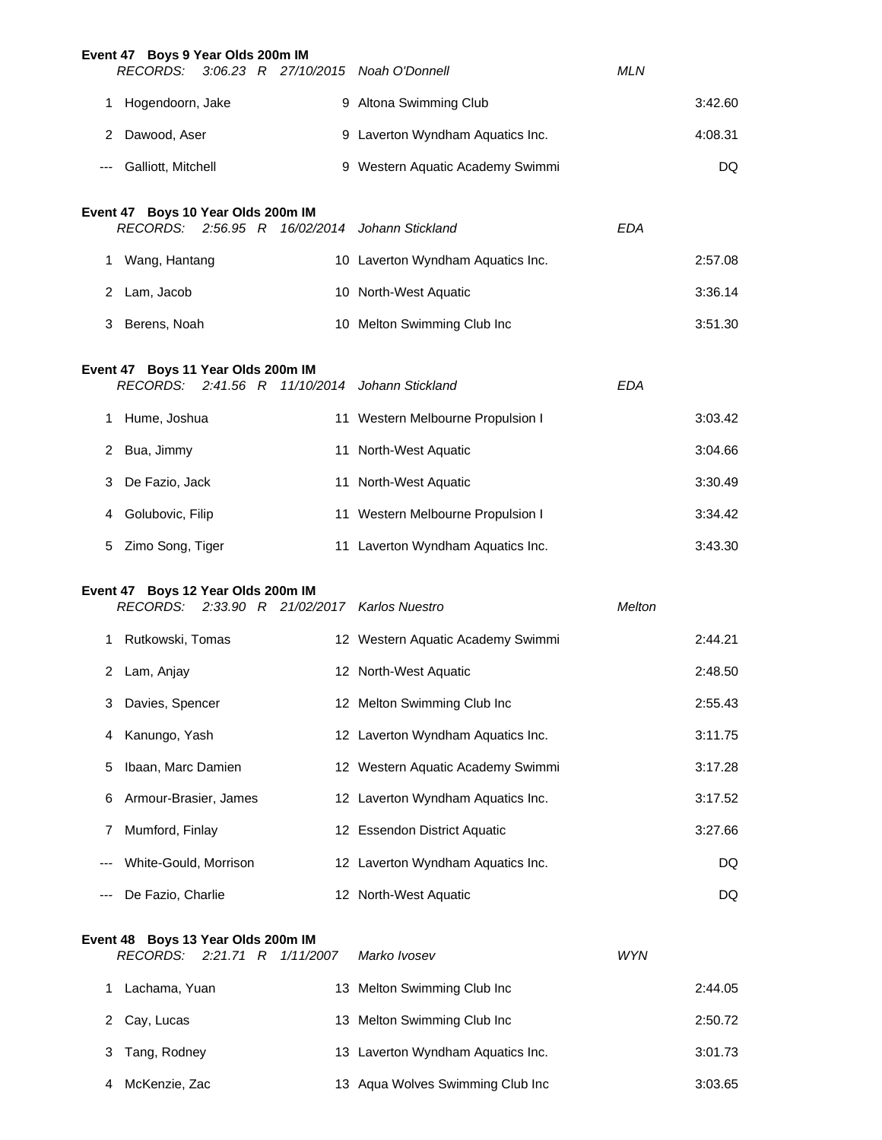|        | Event 47 Boys 9 Year Olds 200m IM<br>RECORDS:         |  |                     | 3:06.23 R 27/10/2015 Noah O'Donnell            | <b>MLN</b> |         |
|--------|-------------------------------------------------------|--|---------------------|------------------------------------------------|------------|---------|
|        | 1 Hogendoorn, Jake                                    |  |                     | 9 Altona Swimming Club                         |            | 3:42.60 |
| 2      | Dawood, Aser                                          |  |                     | 9 Laverton Wyndham Aquatics Inc.               |            | 4:08.31 |
| ---    | Galliott, Mitchell                                    |  |                     | 9 Western Aquatic Academy Swimmi               |            | DQ      |
|        |                                                       |  |                     |                                                |            |         |
|        | Event 47 Boys 10 Year Olds 200m IM                    |  |                     | RECORDS: 2:56.95 R 16/02/2014 Johann Stickland | <b>EDA</b> |         |
|        | 1 Wang, Hantang                                       |  |                     | 10 Laverton Wyndham Aquatics Inc.              |            | 2:57.08 |
|        | 2 Lam, Jacob                                          |  |                     | 10 North-West Aquatic                          |            | 3:36.14 |
| 3      | Berens, Noah                                          |  |                     | 10 Melton Swimming Club Inc                    |            | 3:51.30 |
|        | Event 47 Boys 11 Year Olds 200m IM                    |  |                     |                                                |            |         |
|        |                                                       |  |                     | RECORDS: 2:41.56 R 11/10/2014 Johann Stickland | <b>EDA</b> |         |
|        | 1 Hume, Joshua                                        |  |                     | 11 Western Melbourne Propulsion I              |            | 3:03.42 |
|        | 2 Bua, Jimmy                                          |  |                     | 11 North-West Aquatic                          |            | 3:04.66 |
| 3      | De Fazio, Jack                                        |  |                     | 11 North-West Aquatic                          |            | 3:30.49 |
| 4      | Golubovic, Filip                                      |  |                     | 11 Western Melbourne Propulsion I              |            | 3:34.42 |
| 5      | Zimo Song, Tiger                                      |  |                     | 11 Laverton Wyndham Aquatics Inc.              |            | 3:43.30 |
|        | Event 47 Boys 12 Year Olds 200m IM                    |  |                     |                                                |            |         |
|        |                                                       |  |                     | RECORDS: 2:33.90 R 21/02/2017 Karlos Nuestro   | Melton     |         |
|        | 1 Rutkowski, Tomas                                    |  |                     | 12 Western Aquatic Academy Swimmi              |            | 2:44.21 |
| 2      | Lam, Anjay                                            |  |                     | 12 North-West Aquatic                          |            | 2:48.50 |
| 3      | Davies, Spencer                                       |  |                     | 12 Melton Swimming Club Inc                    |            | 2:55.43 |
| 4      | Kanungo, Yash                                         |  |                     | 12 Laverton Wyndham Aquatics Inc.              |            | 3:11.75 |
| 5      | Ibaan, Marc Damien                                    |  |                     | 12 Western Aquatic Academy Swimmi              |            | 3:17.28 |
| 6      | Armour-Brasier, James                                 |  |                     | 12 Laverton Wyndham Aquatics Inc.              |            | 3:17.52 |
| 7      | Mumford, Finlay                                       |  |                     | 12 Essendon District Aquatic                   |            | 3:27.66 |
|        | White-Gould, Morrison                                 |  |                     | 12 Laverton Wyndham Aquatics Inc.              |            | DQ.     |
|        | De Fazio, Charlie                                     |  |                     | 12 North-West Aquatic                          |            | DQ      |
|        | Event 48 Boys 13 Year Olds 200m IM<br><i>RECORDS:</i> |  | 2:21.71 R 1/11/2007 | Marko Ivosev                                   | <b>WYN</b> |         |
| 1.     | Lachama, Yuan                                         |  |                     | 13 Melton Swimming Club Inc                    |            | 2:44.05 |
| $^{2}$ | Cay, Lucas                                            |  |                     | 13 Melton Swimming Club Inc                    |            | 2:50.72 |

| 3 Tang, Rodney  | 13 Laverton Wyndham Aquatics Inc. | 3:01.73 |
|-----------------|-----------------------------------|---------|
| 4 McKenzie, Zac | 13 Agua Wolves Swimming Club Inc  | 3:03.65 |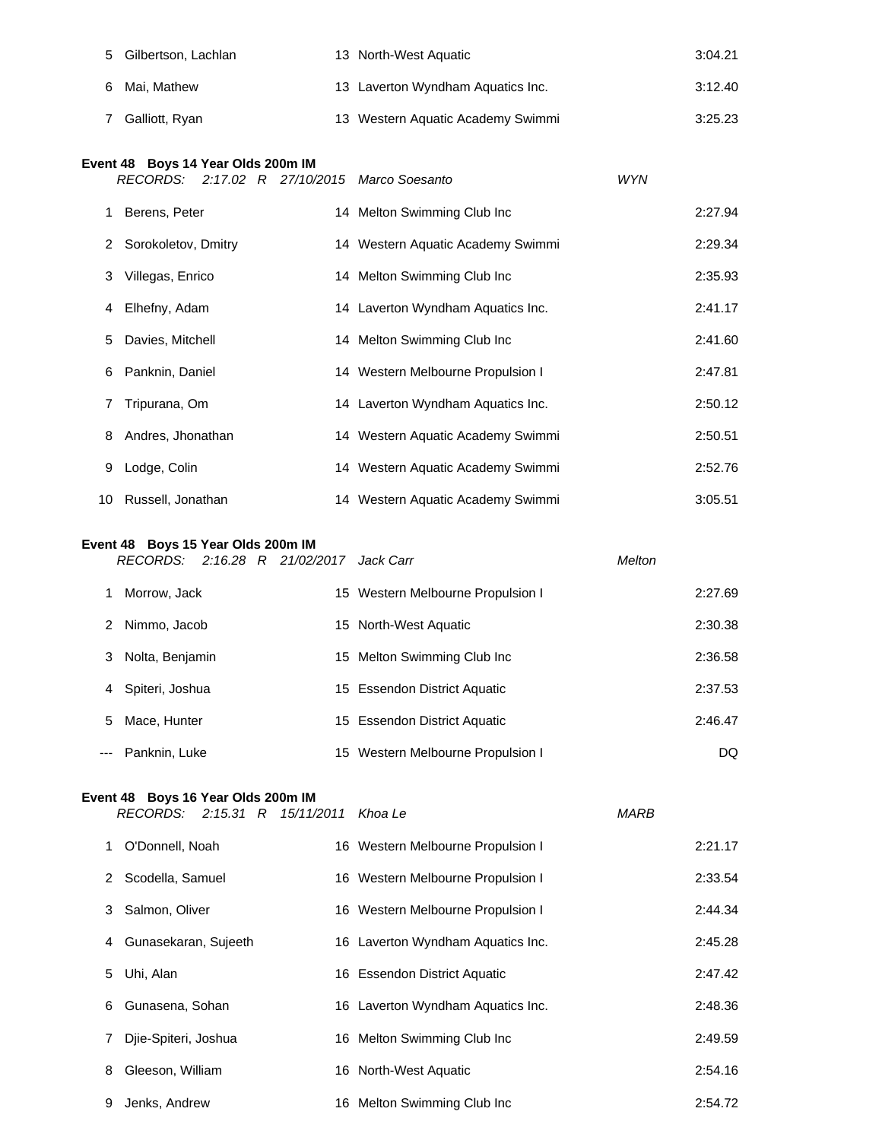| 5 | Gilbertson, Lachlan                                                                | 13 North-West Aquatic             |            | 3:04.21 |
|---|------------------------------------------------------------------------------------|-----------------------------------|------------|---------|
| 6 | Mai, Mathew                                                                        | 13 Laverton Wyndham Aquatics Inc. |            | 3:12.40 |
| 7 | Galliott, Ryan                                                                     | 13 Western Aquatic Academy Swimmi |            | 3:25.23 |
|   | Event 48 Boys 14 Year Olds 200m IM<br>RECORDS: 2:17.02 R 27/10/2015 Marco Soesanto |                                   | <b>WYN</b> |         |
|   | Berens, Peter                                                                      | 14 Melton Swimming Club Inc       |            | 2:27.94 |
| 2 | Sorokoletov, Dmitry                                                                | 14 Western Aquatic Academy Swimmi |            | 2:29.34 |
| 3 | Villegas, Enrico                                                                   | 14 Melton Swimming Club Inc       |            | 2:35.93 |
| 4 | Elhefny, Adam                                                                      | 14 Laverton Wyndham Aquatics Inc. |            | 2:41.17 |
| 5 | Davies, Mitchell                                                                   | 14 Melton Swimming Club Inc       |            | 2:41.60 |
| 6 | Panknin, Daniel                                                                    | 14 Western Melbourne Propulsion I |            | 2:47.81 |
|   | Tripurana, Om                                                                      | 14 Laverton Wyndham Aquatics Inc. |            | 2:50.12 |
| 8 | Andres, Jhonathan                                                                  | 14 Western Aquatic Academy Swimmi |            | 2:50.51 |

 Lodge, Colin 14 Western Aquatic Academy Swimmi 2:52.76 Russell, Jonathan 14 Western Aquatic Academy Swimmi 3:05.51

#### **Event 48 Boys 15 Year Olds 200m IM**

|       |                 |  | RECORDS: 2:16.28 R 21/02/2017 Jack Carr |                                   | <b>Melton</b> |         |
|-------|-----------------|--|-----------------------------------------|-----------------------------------|---------------|---------|
|       | Morrow, Jack    |  |                                         | 15 Western Melbourne Propulsion I |               | 2:27.69 |
|       | 2 Nimmo, Jacob  |  |                                         | 15 North-West Aquatic             |               | 2:30.38 |
| 3     | Nolta, Benjamin |  |                                         | 15 Melton Swimming Club Inc       |               | 2:36.58 |
| 4     | Spiteri, Joshua |  |                                         | 15 Essendon District Aquatic      |               | 2:37.53 |
| 5     | Mace, Hunter    |  |                                         | 15 Essendon District Aquatic      |               | 2:46.47 |
| $---$ | Panknin, Luke   |  |                                         | 15 Western Melbourne Propulsion I |               | DQ      |

# **Event 48 Boys 16 Year Olds 200m IM**

*RECORDS: 2:15.31 R 15/11/2011 Khoa Le MARB*

| Khoa Le |  |
|---------|--|

|   | O'Donnell, Noah      | 16 Western Melbourne Propulsion I | 2:21.17 |
|---|----------------------|-----------------------------------|---------|
|   | 2 Scodella, Samuel   | 16 Western Melbourne Propulsion I | 2:33.54 |
| 3 | Salmon, Oliver       | 16 Western Melbourne Propulsion I | 2:44.34 |
| 4 | Gunasekaran, Sujeeth | 16 Laverton Wyndham Aquatics Inc. | 2:45.28 |
| 5 | Uhi, Alan            | 16 Essendon District Aquatic      | 2:47.42 |
| 6 | Gunasena, Sohan      | 16 Laverton Wyndham Aquatics Inc. | 2:48.36 |
| 7 | Dije-Spiteri, Joshua | 16 Melton Swimming Club Inc       | 2:49.59 |
| 8 | Gleeson, William     | 16 North-West Aquatic             | 2:54.16 |
| 9 | Jenks, Andrew        | 16 Melton Swimming Club Inc       | 2:54.72 |